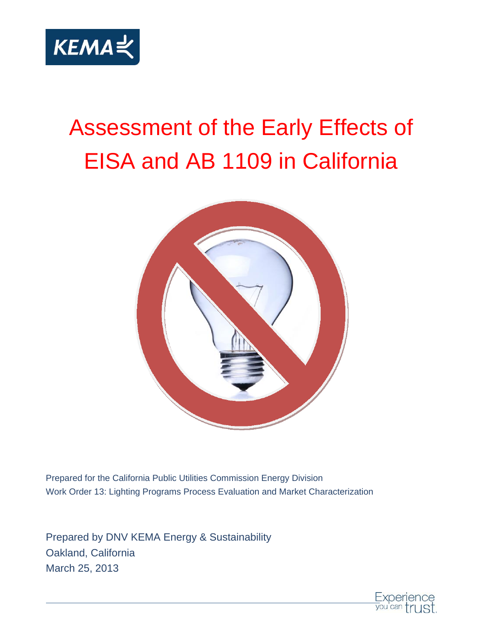

# Assessment of the Early Effects of EISA and AB 1109 in California



Prepared for the California Public Utilities Commission Energy Division Work Order 13: Lighting Programs Process Evaluation and Market Characterization

Prepared by DNV KEMA Energy & Sustainability Oakland, California March 25, 2013

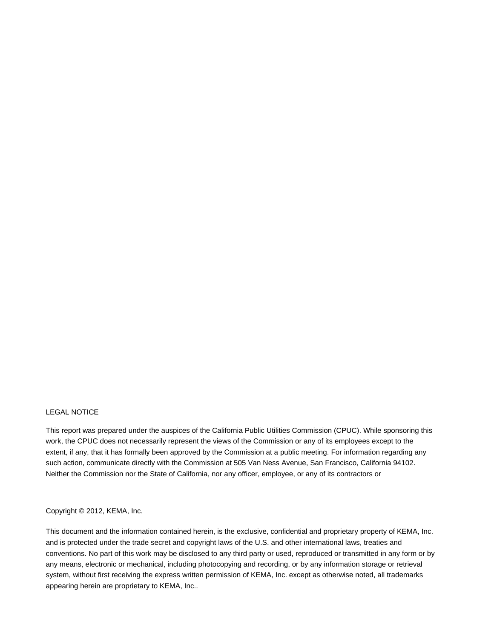#### LEGAL NOTICE

This report was prepared under the auspices of the California Public Utilities Commission (CPUC). While sponsoring this work, the CPUC does not necessarily represent the views of the Commission or any of its employees except to the extent, if any, that it has formally been approved by the Commission at a public meeting. For information regarding any such action, communicate directly with the Commission at 505 Van Ness Avenue, San Francisco, California 94102. Neither the Commission nor the State of California, nor any officer, employee, or any of its contractors or

#### Copyright © 2012, KEMA, Inc.

This document and the information contained herein, is the exclusive, confidential and proprietary property of KEMA, Inc. and is protected under the trade secret and copyright laws of the U.S. and other international laws, treaties and conventions. No part of this work may be disclosed to any third party or used, reproduced or transmitted in any form or by any means, electronic or mechanical, including photocopying and recording, or by any information storage or retrieval system, without first receiving the express written permission of KEMA, Inc. except as otherwise noted, all trademarks appearing herein are proprietary to KEMA, Inc..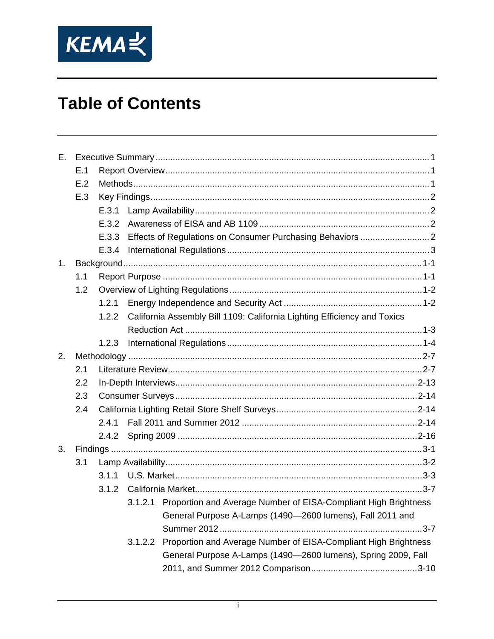

| E. |     |       |         |                                                                          |  |  |
|----|-----|-------|---------|--------------------------------------------------------------------------|--|--|
|    | E.1 |       |         |                                                                          |  |  |
|    | E.2 |       |         |                                                                          |  |  |
|    | E.3 |       |         |                                                                          |  |  |
|    |     | E.3.1 |         |                                                                          |  |  |
|    |     | E.3.2 |         |                                                                          |  |  |
|    |     | E.3.3 |         |                                                                          |  |  |
|    |     | E.3.4 |         |                                                                          |  |  |
| 1. |     |       |         |                                                                          |  |  |
|    | 1.1 |       |         |                                                                          |  |  |
|    | 1.2 |       |         |                                                                          |  |  |
|    |     | 1.2.1 |         |                                                                          |  |  |
|    |     | 1.2.2 |         | California Assembly Bill 1109: California Lighting Efficiency and Toxics |  |  |
|    |     |       |         |                                                                          |  |  |
|    |     | 1.2.3 |         |                                                                          |  |  |
| 2. |     |       |         |                                                                          |  |  |
|    | 2.1 |       |         |                                                                          |  |  |
|    | 2.2 |       |         |                                                                          |  |  |
|    | 2.3 |       |         |                                                                          |  |  |
|    | 2.4 |       |         |                                                                          |  |  |
|    |     | 2.4.1 |         |                                                                          |  |  |
|    |     | 2.4.2 |         |                                                                          |  |  |
| 3. |     |       |         |                                                                          |  |  |
|    | 3.1 |       |         |                                                                          |  |  |
|    |     | 3.1.1 |         |                                                                          |  |  |
|    |     | 3.1.2 |         |                                                                          |  |  |
|    |     |       |         | 3.1.2.1 Proportion and Average Number of EISA-Compliant High Brightness  |  |  |
|    |     |       |         | General Purpose A-Lamps (1490-2600 lumens), Fall 2011 and                |  |  |
|    |     |       |         |                                                                          |  |  |
|    |     |       | 3.1.2.2 | Proportion and Average Number of EISA-Compliant High Brightness          |  |  |
|    |     |       |         | General Purpose A-Lamps (1490-2600 lumens), Spring 2009, Fall            |  |  |
|    |     |       |         |                                                                          |  |  |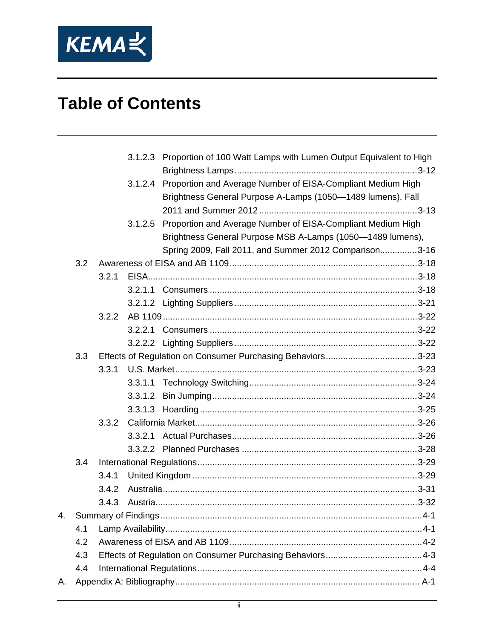

|                  |     |       | 3.1.2.3 Proportion of 100 Watt Lamps with Lumen Output Equivalent to High |  |
|------------------|-----|-------|---------------------------------------------------------------------------|--|
|                  |     |       |                                                                           |  |
|                  |     |       | 3.1.2.4 Proportion and Average Number of EISA-Compliant Medium High       |  |
|                  |     |       | Brightness General Purpose A-Lamps (1050-1489 lumens), Fall               |  |
|                  |     |       |                                                                           |  |
|                  |     |       | 3.1.2.5 Proportion and Average Number of EISA-Compliant Medium High       |  |
|                  |     |       | Brightness General Purpose MSB A-Lamps (1050-1489 lumens),                |  |
|                  |     |       | Spring 2009, Fall 2011, and Summer 2012 Comparison3-16                    |  |
|                  | 3.2 |       |                                                                           |  |
|                  |     | 3.2.1 |                                                                           |  |
|                  |     |       |                                                                           |  |
|                  |     |       |                                                                           |  |
|                  |     | 3.2.2 |                                                                           |  |
|                  |     |       |                                                                           |  |
|                  |     |       |                                                                           |  |
|                  | 3.3 |       |                                                                           |  |
|                  |     | 3.3.1 |                                                                           |  |
|                  |     |       |                                                                           |  |
|                  |     |       |                                                                           |  |
|                  |     |       |                                                                           |  |
|                  |     | 3.3.2 |                                                                           |  |
|                  |     |       |                                                                           |  |
|                  |     |       |                                                                           |  |
|                  | 3.4 |       |                                                                           |  |
|                  |     | 3.4.1 |                                                                           |  |
|                  |     | 3.4.2 |                                                                           |  |
|                  |     | 3.4.3 |                                                                           |  |
| $\overline{4}$ . |     |       |                                                                           |  |
|                  | 4.1 |       |                                                                           |  |
|                  | 4.2 |       |                                                                           |  |
|                  | 4.3 |       |                                                                           |  |
|                  | 4.4 |       |                                                                           |  |
| А.               |     |       |                                                                           |  |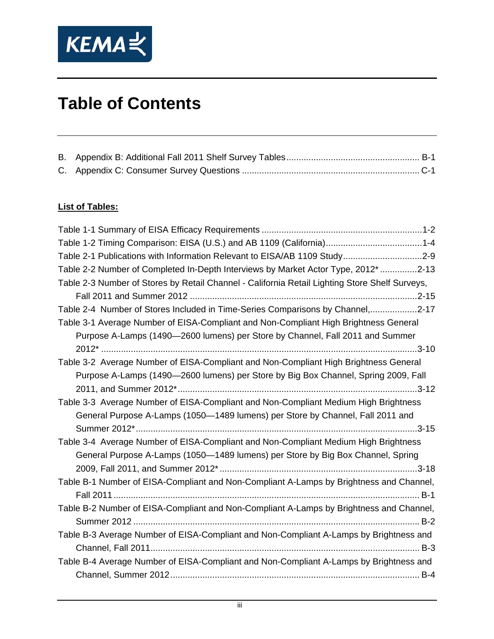

#### **List of Tables:**

| Table 1-2 Timing Comparison: EISA (U.S.) and AB 1109 (California)1-4                           |
|------------------------------------------------------------------------------------------------|
| Table 2-1 Publications with Information Relevant to EISA/AB 1109 Study2-9                      |
| Table 2-2 Number of Completed In-Depth Interviews by Market Actor Type, 2012* 2-13             |
| Table 2-3 Number of Stores by Retail Channel - California Retail Lighting Store Shelf Surveys, |
|                                                                                                |
| Table 2-4 Number of Stores Included in Time-Series Comparisons by Channel,2-17                 |
| Table 3-1 Average Number of EISA-Compliant and Non-Compliant High Brightness General           |
| Purpose A-Lamps (1490-2600 lumens) per Store by Channel, Fall 2011 and Summer                  |
|                                                                                                |
| Table 3-2 Average Number of EISA-Compliant and Non-Compliant High Brightness General           |
| Purpose A-Lamps (1490-2600 lumens) per Store by Big Box Channel, Spring 2009, Fall             |
|                                                                                                |
| Table 3-3 Average Number of EISA-Compliant and Non-Compliant Medium High Brightness            |
| General Purpose A-Lamps (1050-1489 lumens) per Store by Channel, Fall 2011 and                 |
|                                                                                                |
| Table 3-4 Average Number of EISA-Compliant and Non-Compliant Medium High Brightness            |
| General Purpose A-Lamps (1050-1489 lumens) per Store by Big Box Channel, Spring                |
|                                                                                                |
| Table B-1 Number of EISA-Compliant and Non-Compliant A-Lamps by Brightness and Channel,        |
|                                                                                                |
| Table B-2 Number of EISA-Compliant and Non-Compliant A-Lamps by Brightness and Channel,        |
|                                                                                                |
| Table B-3 Average Number of EISA-Compliant and Non-Compliant A-Lamps by Brightness and         |
|                                                                                                |
| Table B-4 Average Number of EISA-Compliant and Non-Compliant A-Lamps by Brightness and         |
|                                                                                                |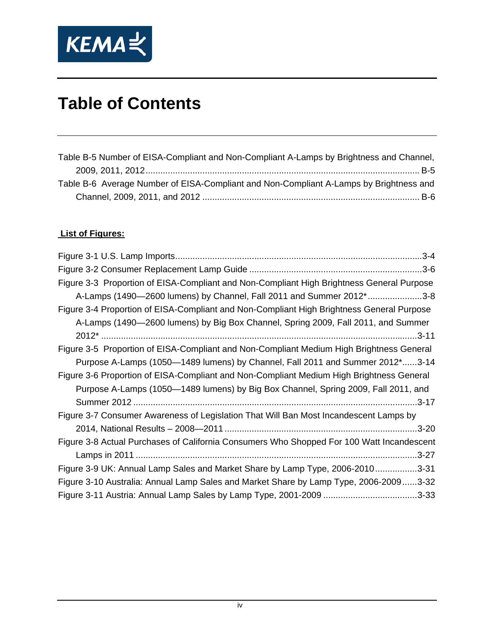

| Table B-5 Number of EISA-Compliant and Non-Compliant A-Lamps by Brightness and Channel, |
|-----------------------------------------------------------------------------------------|
|                                                                                         |
| Table B-6 Average Number of EISA-Compliant and Non-Compliant A-Lamps by Brightness and  |
|                                                                                         |

#### **List of Figures:**

| $3 - 4$                                                                                   |  |  |  |  |  |  |  |
|-------------------------------------------------------------------------------------------|--|--|--|--|--|--|--|
|                                                                                           |  |  |  |  |  |  |  |
| Figure 3-3 Proportion of EISA-Compliant and Non-Compliant High Brightness General Purpose |  |  |  |  |  |  |  |
| A-Lamps (1490—2600 lumens) by Channel, Fall 2011 and Summer 2012*3-8                      |  |  |  |  |  |  |  |
| Figure 3-4 Proportion of EISA-Compliant and Non-Compliant High Brightness General Purpose |  |  |  |  |  |  |  |
| A-Lamps (1490—2600 lumens) by Big Box Channel, Spring 2009, Fall 2011, and Summer         |  |  |  |  |  |  |  |
|                                                                                           |  |  |  |  |  |  |  |
| Figure 3-5 Proportion of EISA-Compliant and Non-Compliant Medium High Brightness General  |  |  |  |  |  |  |  |
| Purpose A-Lamps (1050-1489 lumens) by Channel, Fall 2011 and Summer 2012*3-14             |  |  |  |  |  |  |  |
| Figure 3-6 Proportion of EISA-Compliant and Non-Compliant Medium High Brightness General  |  |  |  |  |  |  |  |
| Purpose A-Lamps (1050—1489 lumens) by Big Box Channel, Spring 2009, Fall 2011, and        |  |  |  |  |  |  |  |
|                                                                                           |  |  |  |  |  |  |  |
| Figure 3-7 Consumer Awareness of Legislation That Will Ban Most Incandescent Lamps by     |  |  |  |  |  |  |  |
|                                                                                           |  |  |  |  |  |  |  |
| Figure 3-8 Actual Purchases of California Consumers Who Shopped For 100 Watt Incandescent |  |  |  |  |  |  |  |
| $.3 - 27$                                                                                 |  |  |  |  |  |  |  |
| Figure 3-9 UK: Annual Lamp Sales and Market Share by Lamp Type, 2006-20103-31             |  |  |  |  |  |  |  |
| Figure 3-10 Australia: Annual Lamp Sales and Market Share by Lamp Type, 2006-20093-32     |  |  |  |  |  |  |  |
|                                                                                           |  |  |  |  |  |  |  |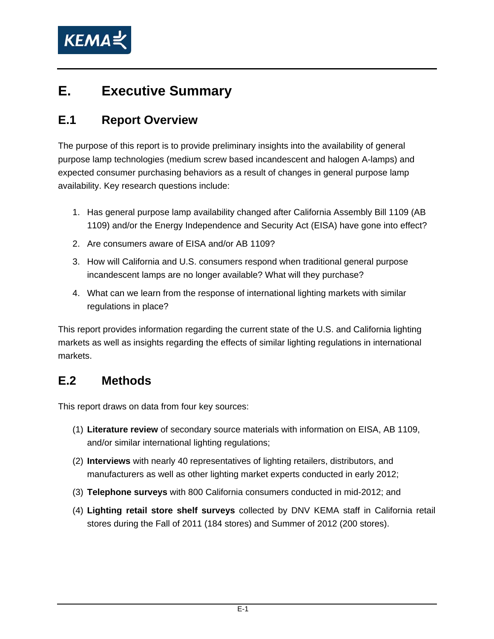

## **E. Executive Summary**

#### **E.1 Report Overview**

The purpose of this report is to provide preliminary insights into the availability of general purpose lamp technologies (medium screw based incandescent and halogen A-lamps) and expected consumer purchasing behaviors as a result of changes in general purpose lamp availability. Key research questions include:

- 1. Has general purpose lamp availability changed after California Assembly Bill 1109 (AB 1109) and/or the Energy Independence and Security Act (EISA) have gone into effect?
- 2. Are consumers aware of EISA and/or AB 1109?
- 3. How will California and U.S. consumers respond when traditional general purpose incandescent lamps are no longer available? What will they purchase?
- 4. What can we learn from the response of international lighting markets with similar regulations in place?

This report provides information regarding the current state of the U.S. and California lighting markets as well as insights regarding the effects of similar lighting regulations in international markets.

#### **E.2 Methods**

This report draws on data from four key sources:

- (1) **Literature review** of secondary source materials with information on EISA, AB 1109, and/or similar international lighting regulations;
- (2) **Interviews** with nearly 40 representatives of lighting retailers, distributors, and manufacturers as well as other lighting market experts conducted in early 2012;
- (3) **Telephone surveys** with 800 California consumers conducted in mid-2012; and
- (4) **Lighting retail store shelf surveys** collected by DNV KEMA staff in California retail stores during the Fall of 2011 (184 stores) and Summer of 2012 (200 stores).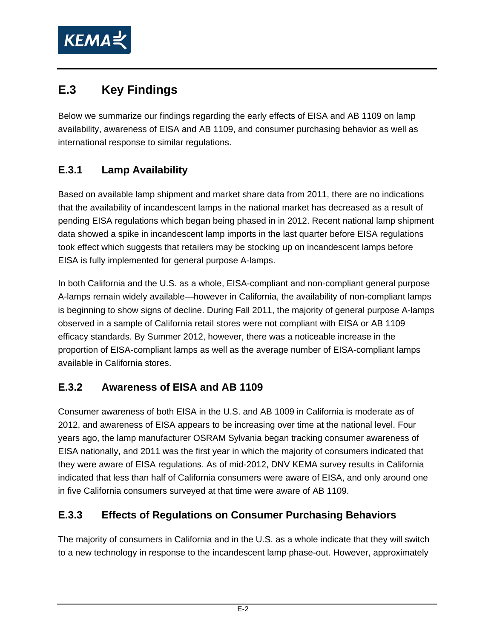

## **E.3 Key Findings**

Below we summarize our findings regarding the early effects of EISA and AB 1109 on lamp availability, awareness of EISA and AB 1109, and consumer purchasing behavior as well as international response to similar regulations.

#### **E.3.1 Lamp Availability**

Based on available lamp shipment and market share data from 2011, there are no indications that the availability of incandescent lamps in the national market has decreased as a result of pending EISA regulations which began being phased in in 2012. Recent national lamp shipment data showed a spike in incandescent lamp imports in the last quarter before EISA regulations took effect which suggests that retailers may be stocking up on incandescent lamps before EISA is fully implemented for general purpose A-lamps.

In both California and the U.S. as a whole, EISA-compliant and non-compliant general purpose A-lamps remain widely available—however in California, the availability of non-compliant lamps is beginning to show signs of decline. During Fall 2011, the majority of general purpose A-lamps observed in a sample of California retail stores were not compliant with EISA or AB 1109 efficacy standards. By Summer 2012, however, there was a noticeable increase in the proportion of EISA-compliant lamps as well as the average number of EISA-compliant lamps available in California stores.

#### **E.3.2 Awareness of EISA and AB 1109**

Consumer awareness of both EISA in the U.S. and AB 1009 in California is moderate as of 2012, and awareness of EISA appears to be increasing over time at the national level. Four years ago, the lamp manufacturer OSRAM Sylvania began tracking consumer awareness of EISA nationally, and 2011 was the first year in which the majority of consumers indicated that they were aware of EISA regulations. As of mid-2012, DNV KEMA survey results in California indicated that less than half of California consumers were aware of EISA, and only around one in five California consumers surveyed at that time were aware of AB 1109.

#### **E.3.3 Effects of Regulations on Consumer Purchasing Behaviors**

The majority of consumers in California and in the U.S. as a whole indicate that they will switch to a new technology in response to the incandescent lamp phase-out. However, approximately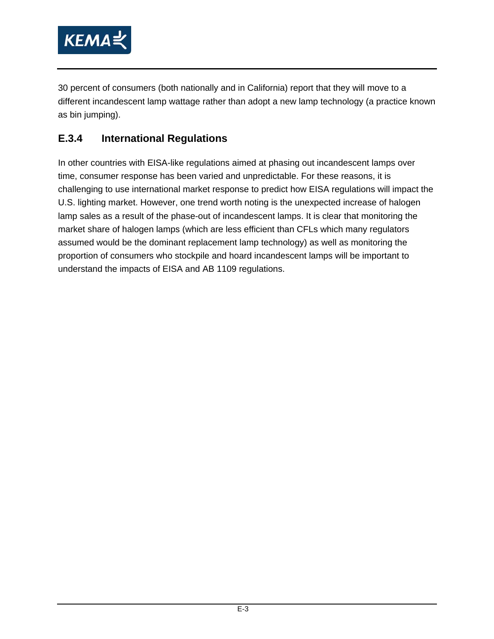

30 percent of consumers (both nationally and in California) report that they will move to a different incandescent lamp wattage rather than adopt a new lamp technology (a practice known as bin jumping).

#### **E.3.4 International Regulations**

In other countries with EISA-like regulations aimed at phasing out incandescent lamps over time, consumer response has been varied and unpredictable. For these reasons, it is challenging to use international market response to predict how EISA regulations will impact the U.S. lighting market. However, one trend worth noting is the unexpected increase of halogen lamp sales as a result of the phase-out of incandescent lamps. It is clear that monitoring the market share of halogen lamps (which are less efficient than CFLs which many regulators assumed would be the dominant replacement lamp technology) as well as monitoring the proportion of consumers who stockpile and hoard incandescent lamps will be important to understand the impacts of EISA and AB 1109 regulations.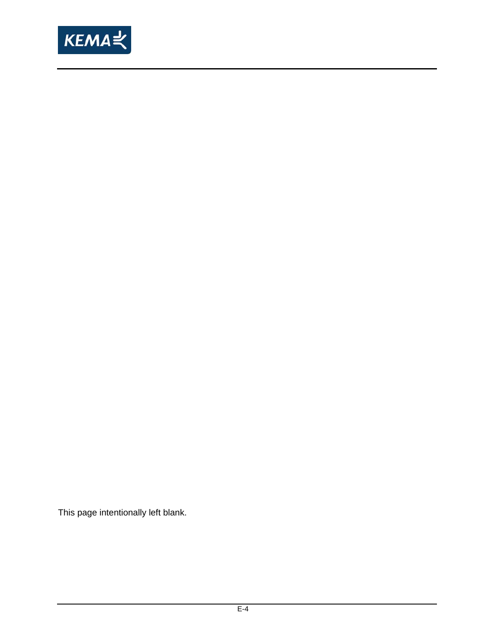

This page intentionally left blank.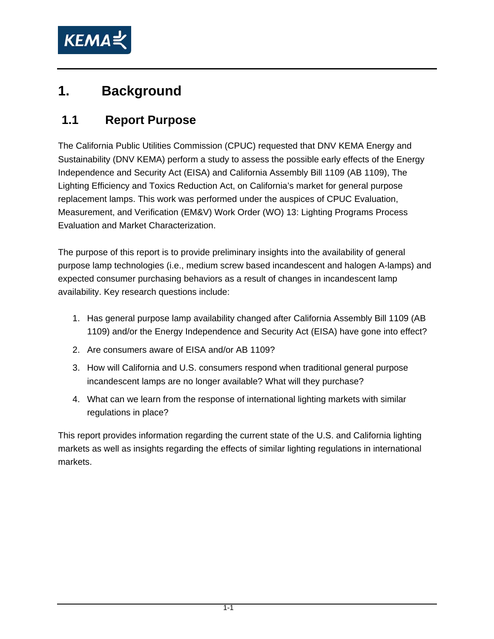

## **1. Background**

#### **1.1 Report Purpose**

The California Public Utilities Commission (CPUC) requested that DNV KEMA Energy and Sustainability (DNV KEMA) perform a study to assess the possible early effects of the Energy Independence and Security Act (EISA) and California Assembly Bill 1109 (AB 1109), The Lighting Efficiency and Toxics Reduction Act, on California's market for general purpose replacement lamps. This work was performed under the auspices of CPUC Evaluation, Measurement, and Verification (EM&V) Work Order (WO) 13: Lighting Programs Process Evaluation and Market Characterization.

The purpose of this report is to provide preliminary insights into the availability of general purpose lamp technologies (i.e., medium screw based incandescent and halogen A-lamps) and expected consumer purchasing behaviors as a result of changes in incandescent lamp availability. Key research questions include:

- 1. Has general purpose lamp availability changed after California Assembly Bill 1109 (AB 1109) and/or the Energy Independence and Security Act (EISA) have gone into effect?
- 2. Are consumers aware of EISA and/or AB 1109?
- 3. How will California and U.S. consumers respond when traditional general purpose incandescent lamps are no longer available? What will they purchase?
- 4. What can we learn from the response of international lighting markets with similar regulations in place?

This report provides information regarding the current state of the U.S. and California lighting markets as well as insights regarding the effects of similar lighting regulations in international markets.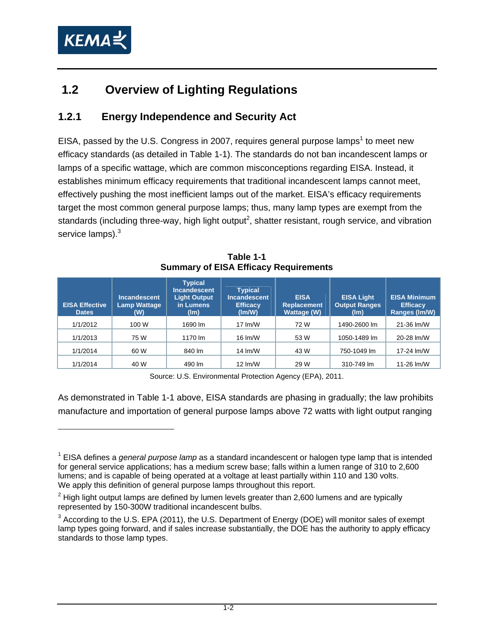

## **1.2 Overview of Lighting Regulations**

#### **1.2.1 Energy Independence and Security Act**

EISA, passed by the U.S. Congress in 2007, requires general purpose lamps<sup>1</sup> to meet new efficacy standards (as detailed in Table 1-1). The standards do not ban incandescent lamps or lamps of a specific wattage, which are common misconceptions regarding EISA. Instead, it establishes minimum efficacy requirements that traditional incandescent lamps cannot meet, effectively pushing the most inefficient lamps out of the market. EISA's efficacy requirements target the most common general purpose lamps; thus, many lamp types are exempt from the standards (including three-way, high light output<sup>2</sup>, shatter resistant, rough service, and vibration service lamps).<sup>3</sup>

| <b>EISA Effective</b><br><b>Dates</b> | <b>Incandescent</b><br><b>Lamp Wattage</b><br>(W) | <b>Typical</b><br><b>Incandescent</b><br><b>Light Output</b><br>in Lumens<br>(lm) | <b>Typical</b><br><b>Incandescent</b><br><b>Efficacy</b><br>$(\text{Im}/\text{W})$ | <b>EISA</b><br><b>Replacement</b><br><b>Wattage (W)</b> | <b>EISA Light</b><br><b>Output Ranges</b><br>(lm) | <b>EISA Minimum</b><br><b>Efficacy</b><br>Ranges (Im/W) |
|---------------------------------------|---------------------------------------------------|-----------------------------------------------------------------------------------|------------------------------------------------------------------------------------|---------------------------------------------------------|---------------------------------------------------|---------------------------------------------------------|
| 1/1/2012                              | 100 W                                             | 1690 lm                                                                           | $17 \text{ Im/W}$                                                                  | 72 W                                                    | 1490-2600 lm                                      | 21-36 lm/W                                              |
| 1/1/2013                              | 75 W                                              | 1170 lm                                                                           | $16 \,$ lm/W                                                                       | 53 W                                                    | 1050-1489 lm                                      | 20-28 lm/W                                              |
| 1/1/2014                              | 60 W                                              | 840 lm                                                                            | 14 $Im/W$                                                                          | 43 W                                                    | 750-1049 lm                                       | 17-24 lm/W                                              |
| 1/1/2014                              | 40 W                                              | 490 lm                                                                            | $12 \text{ Im/W}$                                                                  | 29 W                                                    | 310-749 lm                                        | 11-26 lm/W                                              |

**Table 1-1 Summary of EISA Efficacy Requirements** 

Source: U.S. Environmental Protection Agency (EPA), 2011.

As demonstrated in Table 1-1 above, EISA standards are phasing in gradually; the law prohibits manufacture and importation of general purpose lamps above 72 watts with light output ranging

<sup>&</sup>lt;sup>1</sup> EISA defines a *general purpose lamp* as a standard incandescent or halogen type lamp that is intended for general service applications; has a medium screw base; falls within a lumen range of 310 to 2,600 lumens; and is capable of being operated at a voltage at least partially within 110 and 130 volts. We apply this definition of general purpose lamps throughout this report.

 $2$  High light output lamps are defined by lumen levels greater than 2,600 lumens and are typically represented by 150-300W traditional incandescent bulbs.

 $3$  According to the U.S. EPA (2011), the U.S. Department of Energy (DOE) will monitor sales of exempt lamp types going forward, and if sales increase substantially, the DOE has the authority to apply efficacy standards to those lamp types.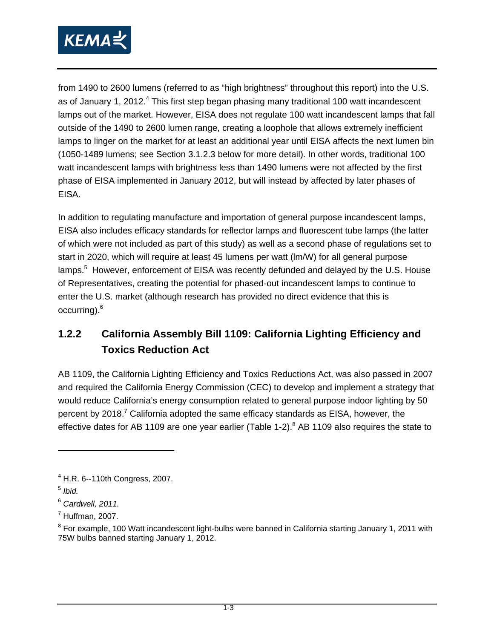

from 1490 to 2600 lumens (referred to as "high brightness" throughout this report) into the U.S. as of January 1, 2012.<sup>4</sup> This first step began phasing many traditional 100 watt incandescent lamps out of the market. However, EISA does not regulate 100 watt incandescent lamps that fall outside of the 1490 to 2600 lumen range, creating a loophole that allows extremely inefficient lamps to linger on the market for at least an additional year until EISA affects the next lumen bin (1050-1489 lumens; see Section 3.1.2.3 below for more detail). In other words, traditional 100 watt incandescent lamps with brightness less than 1490 lumens were not affected by the first phase of EISA implemented in January 2012, but will instead by affected by later phases of EISA.

In addition to regulating manufacture and importation of general purpose incandescent lamps, EISA also includes efficacy standards for reflector lamps and fluorescent tube lamps (the latter of which were not included as part of this study) as well as a second phase of regulations set to start in 2020, which will require at least 45 lumens per watt (lm/W) for all general purpose lamps.<sup>5</sup> However, enforcement of EISA was recently defunded and delayed by the U.S. House of Representatives, creating the potential for phased-out incandescent lamps to continue to enter the U.S. market (although research has provided no direct evidence that this is occurring).6

#### **1.2.2 California Assembly Bill 1109: California Lighting Efficiency and Toxics Reduction Act**

AB 1109, the California Lighting Efficiency and Toxics Reductions Act, was also passed in 2007 and required the California Energy Commission (CEC) to develop and implement a strategy that would reduce California's energy consumption related to general purpose indoor lighting by 50 percent by 2018.<sup>7</sup> California adopted the same efficacy standards as EISA, however, the effective dates for AB 1109 are one year earlier (Table 1-2).<sup>8</sup> AB 1109 also requires the state to

-

 $4$  H.R. 6--110th Congress, 2007.

<sup>5</sup> *Ibid.*

<sup>6</sup> *Cardwell, 2011.*

 $<sup>7</sup>$  Huffman, 2007.</sup>

 $8$  For example, 100 Watt incandescent light-bulbs were banned in California starting January 1, 2011 with 75W bulbs banned starting January 1, 2012.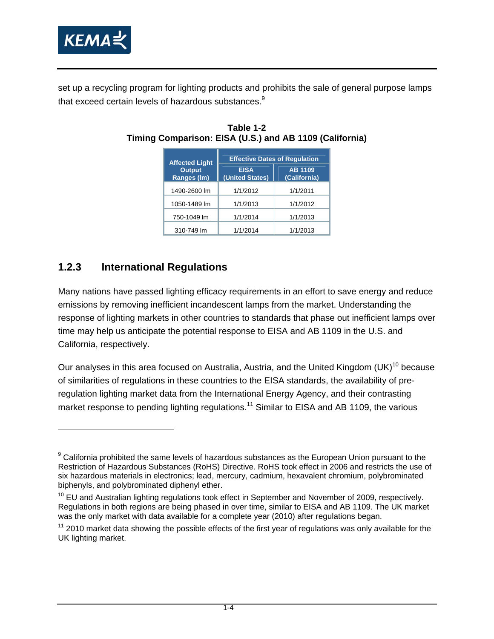

set up a recycling program for lighting products and prohibits the sale of general purpose lamps that exceed certain levels of hazardous substances.<sup>9</sup>

| <b>Affected Light</b>        | <b>Effective Dates of Requlation</b> |                                |  |  |  |
|------------------------------|--------------------------------------|--------------------------------|--|--|--|
| <b>Output</b><br>Ranges (Im) | <b>EISA</b><br>(United States)       | <b>AB 1109</b><br>(California) |  |  |  |
| 1490-2600 lm                 | 1/1/2012                             | 1/1/2011                       |  |  |  |
| 1050-1489 lm                 | 1/1/2013                             | 1/1/2012                       |  |  |  |
| 750-1049 lm                  | 1/1/2014                             | 1/1/2013                       |  |  |  |
| 310-749 lm                   | 1/1/2014                             | 1/1/2013                       |  |  |  |

**Table 1-2 Timing Comparison: EISA (U.S.) and AB 1109 (California)** 

#### **1.2.3 International Regulations**

Many nations have passed lighting efficacy requirements in an effort to save energy and reduce emissions by removing inefficient incandescent lamps from the market. Understanding the response of lighting markets in other countries to standards that phase out inefficient lamps over time may help us anticipate the potential response to EISA and AB 1109 in the U.S. and California, respectively.

Our analyses in this area focused on Australia, Austria, and the United Kingdom (UK)<sup>10</sup> because of similarities of regulations in these countries to the EISA standards, the availability of preregulation lighting market data from the International Energy Agency, and their contrasting market response to pending lighting regulations.<sup>11</sup> Similar to EISA and AB 1109, the various

 $9$  California prohibited the same levels of hazardous substances as the European Union pursuant to the Restriction of Hazardous Substances (RoHS) Directive. RoHS took effect in 2006 and restricts the use of six hazardous materials in electronics; lead, mercury, cadmium, hexavalent chromium, polybrominated biphenyls, and polybrominated diphenyl ether.

 $10$  EU and Australian lighting regulations took effect in September and November of 2009, respectively. Regulations in both regions are being phased in over time, similar to EISA and AB 1109. The UK market was the only market with data available for a complete year (2010) after regulations began.

 $11$  2010 market data showing the possible effects of the first year of regulations was only available for the UK lighting market.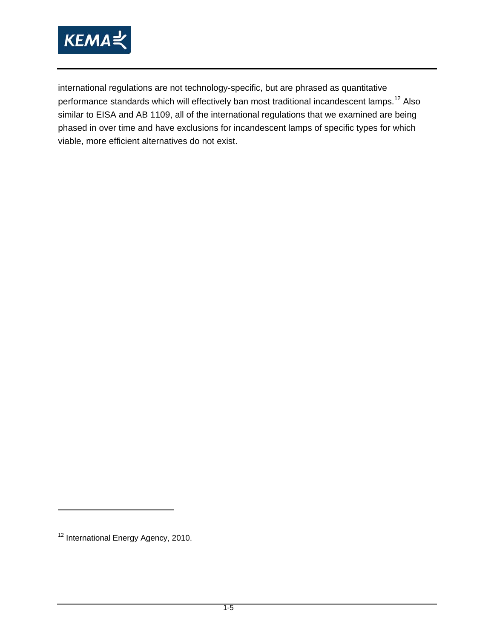

international regulations are not technology-specific, but are phrased as quantitative performance standards which will effectively ban most traditional incandescent lamps.<sup>12</sup> Also similar to EISA and AB 1109, all of the international regulations that we examined are being phased in over time and have exclusions for incandescent lamps of specific types for which viable, more efficient alternatives do not exist.

-

<sup>&</sup>lt;sup>12</sup> International Energy Agency, 2010.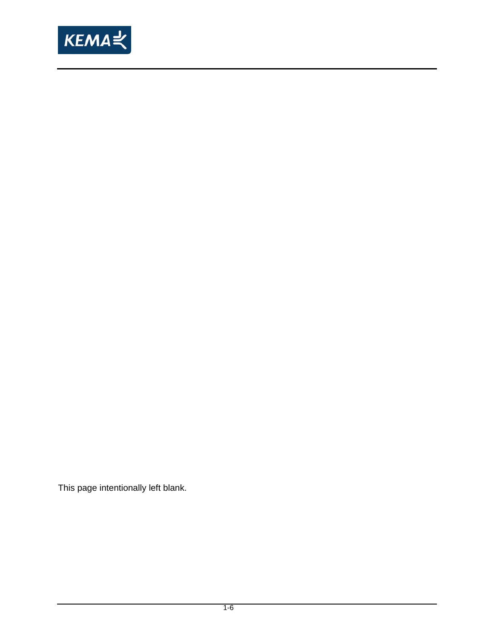

This page intentionally left blank.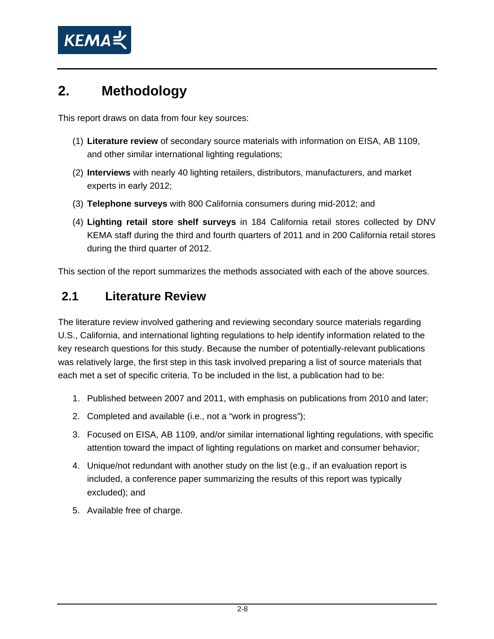

## **2. Methodology**

This report draws on data from four key sources:

- (1) **Literature review** of secondary source materials with information on EISA, AB 1109, and other similar international lighting regulations;
- (2) **Interviews** with nearly 40 lighting retailers, distributors, manufacturers, and market experts in early 2012;
- (3) **Telephone surveys** with 800 California consumers during mid-2012; and
- (4) **Lighting retail store shelf surveys** in 184 California retail stores collected by DNV KEMA staff during the third and fourth quarters of 2011 and in 200 California retail stores during the third quarter of 2012.

This section of the report summarizes the methods associated with each of the above sources.

### **2.1 Literature Review**

The literature review involved gathering and reviewing secondary source materials regarding U.S., California, and international lighting regulations to help identify information related to the key research questions for this study. Because the number of potentially-relevant publications was relatively large, the first step in this task involved preparing a list of source materials that each met a set of specific criteria. To be included in the list, a publication had to be:

- 1. Published between 2007 and 2011, with emphasis on publications from 2010 and later;
- 2. Completed and available (i.e., not a "work in progress");
- 3. Focused on EISA, AB 1109, and/or similar international lighting regulations, with specific attention toward the impact of lighting regulations on market and consumer behavior;
- 4. Unique/not redundant with another study on the list (e.g., if an evaluation report is included, a conference paper summarizing the results of this report was typically excluded); and
- 5. Available free of charge.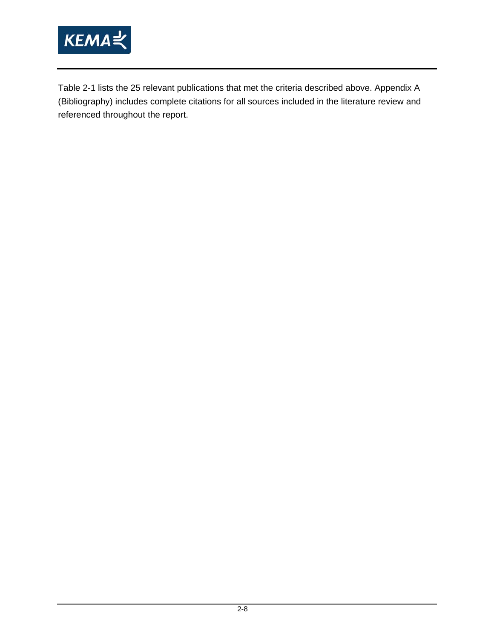

Table 2-1 lists the 25 relevant publications that met the criteria described above. Appendix A (Bibliography) includes complete citations for all sources included in the literature review and referenced throughout the report.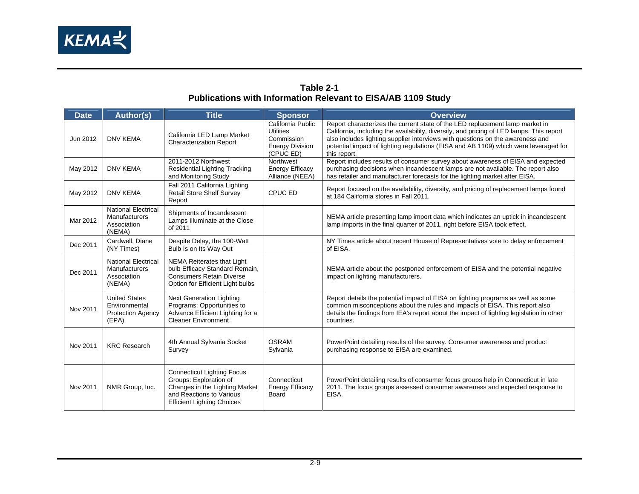

#### **Table 2-1 Publications with Information Relevant to EISA/AB 1109 Study**

| <b>Date</b> | <b>Author(s)</b>                                                            | <b>Title</b>                                                                                                                                                   | <b>Sponsor</b>                                                                             | <b>Overview</b>                                                                                                                                                                                                                                                                                                                                                    |
|-------------|-----------------------------------------------------------------------------|----------------------------------------------------------------------------------------------------------------------------------------------------------------|--------------------------------------------------------------------------------------------|--------------------------------------------------------------------------------------------------------------------------------------------------------------------------------------------------------------------------------------------------------------------------------------------------------------------------------------------------------------------|
| Jun 2012    | <b>DNV KEMA</b>                                                             | California LED Lamp Market<br><b>Characterization Report</b>                                                                                                   | California Public<br><b>Utilities</b><br>Commission<br><b>Energy Division</b><br>(CPUC ED) | Report characterizes the current state of the LED replacement lamp market in<br>California, including the availability, diversity, and pricing of LED lamps. This report<br>also includes lighting supplier interviews with questions on the awareness and<br>potential impact of lighting regulations (EISA and AB 1109) which were leveraged for<br>this report. |
| May 2012    | <b>DNV KEMA</b>                                                             | 2011-2012 Northwest<br><b>Residential Lighting Tracking</b><br>and Monitoring Study                                                                            | Northwest<br><b>Energy Efficacy</b><br>Alliance (NEEA)                                     | Report includes results of consumer survey about awareness of EISA and expected<br>purchasing decisions when incandescent lamps are not available. The report also<br>has retailer and manufacturer forecasts for the lighting market after EISA.                                                                                                                  |
| May 2012    | <b>DNV KEMA</b>                                                             | Fall 2011 California Lighting<br><b>Retail Store Shelf Survey</b><br>Report                                                                                    | CPUC ED                                                                                    | Report focused on the availability, diversity, and pricing of replacement lamps found<br>at 184 California stores in Fall 2011.                                                                                                                                                                                                                                    |
| Mar 2012    | <b>National Electrical</b><br><b>Manufacturers</b><br>Association<br>(NEMA) | Shipments of Incandescent<br>Lamps Illuminate at the Close<br>of 2011                                                                                          |                                                                                            | NEMA article presenting lamp import data which indicates an uptick in incandescent<br>lamp imports in the final quarter of 2011, right before EISA took effect.                                                                                                                                                                                                    |
| Dec 2011    | Cardwell, Diane<br>(NY Times)                                               | Despite Delay, the 100-Watt<br>Bulb Is on Its Way Out                                                                                                          |                                                                                            | NY Times article about recent House of Representatives vote to delay enforcement<br>of EISA.                                                                                                                                                                                                                                                                       |
| Dec 2011    | <b>National Electrical</b><br><b>Manufacturers</b><br>Association<br>(NEMA) | <b>NEMA Reiterates that Light</b><br>bulb Efficacy Standard Remain,<br><b>Consumers Retain Diverse</b><br>Option for Efficient Light bulbs                     |                                                                                            | NEMA article about the postponed enforcement of EISA and the potential negative<br>impact on lighting manufacturers.                                                                                                                                                                                                                                               |
| Nov 2011    | <b>United States</b><br>Environmental<br><b>Protection Agency</b><br>(EPA)  | <b>Next Generation Lighting</b><br>Programs: Opportunities to<br>Advance Efficient Lighting for a<br><b>Cleaner Environment</b>                                |                                                                                            | Report details the potential impact of EISA on lighting programs as well as some<br>common misconceptions about the rules and impacts of EISA. This report also<br>details the findings from IEA's report about the impact of lighting legislation in other<br>countries.                                                                                          |
| Nov 2011    | <b>KRC Research</b>                                                         | 4th Annual Sylvania Socket<br>Survey                                                                                                                           | <b>OSRAM</b><br>Sylvania                                                                   | PowerPoint detailing results of the survey. Consumer awareness and product<br>purchasing response to EISA are examined.                                                                                                                                                                                                                                            |
| Nov 2011    | NMR Group, Inc.                                                             | <b>Connecticut Lighting Focus</b><br>Groups: Exploration of<br>Changes in the Lighting Market<br>and Reactions to Various<br><b>Efficient Lighting Choices</b> | Connecticut<br><b>Energy Efficacy</b><br>Board                                             | PowerPoint detailing results of consumer focus groups help in Connecticut in late<br>2011. The focus groups assessed consumer awareness and expected response to<br>EISA.                                                                                                                                                                                          |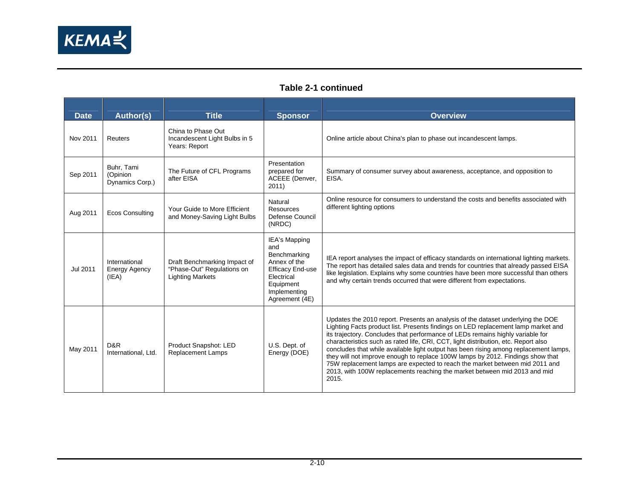

#### **Table 2-1 continued**

| <b>Date</b> | <b>Author(s)</b>                               | <b>Title</b>                                                                          | <b>Sponsor</b>                                                                                                                                      | <b>Overview</b>                                                                                                                                                                                                                                                                                                                                                                                                                                                                                                                                                                                                                                                                             |
|-------------|------------------------------------------------|---------------------------------------------------------------------------------------|-----------------------------------------------------------------------------------------------------------------------------------------------------|---------------------------------------------------------------------------------------------------------------------------------------------------------------------------------------------------------------------------------------------------------------------------------------------------------------------------------------------------------------------------------------------------------------------------------------------------------------------------------------------------------------------------------------------------------------------------------------------------------------------------------------------------------------------------------------------|
| Nov 2011    | Reuters                                        | China to Phase Out<br>Incandescent Light Bulbs in 5<br>Years: Report                  |                                                                                                                                                     | Online article about China's plan to phase out incandescent lamps.                                                                                                                                                                                                                                                                                                                                                                                                                                                                                                                                                                                                                          |
| Sep 2011    | Buhr, Tami<br>(Opinion<br>Dynamics Corp.)      | The Future of CFL Programs<br>after EISA                                              | Presentation<br>prepared for<br>ACEEE (Denver,<br>2011)                                                                                             | Summary of consumer survey about awareness, acceptance, and opposition to<br>EISA.                                                                                                                                                                                                                                                                                                                                                                                                                                                                                                                                                                                                          |
| Aug 2011    | <b>Ecos Consulting</b>                         | Your Guide to More Efficient<br>and Money-Saving Light Bulbs                          | Natural<br><b>Resources</b><br>Defense Council<br>(NRDC)                                                                                            | Online resource for consumers to understand the costs and benefits associated with<br>different lighting options                                                                                                                                                                                                                                                                                                                                                                                                                                                                                                                                                                            |
| Jul 2011    | International<br><b>Energy Agency</b><br>(IEA) | Draft Benchmarking Impact of<br>"Phase-Out" Regulations on<br><b>Lighting Markets</b> | <b>IEA's Mapping</b><br>and<br>Benchmarking<br>Annex of the<br><b>Efficacy End-use</b><br>Electrical<br>Equipment<br>Implementing<br>Agreement (4E) | IEA report analyses the impact of efficacy standards on international lighting markets.<br>The report has detailed sales data and trends for countries that already passed EISA<br>like legislation. Explains why some countries have been more successful than others<br>and why certain trends occurred that were different from expectations.                                                                                                                                                                                                                                                                                                                                            |
| May 2011    | D&R<br>International, Ltd.                     | Product Snapshot: LED<br><b>Replacement Lamps</b>                                     | U.S. Dept. of<br>Energy (DOE)                                                                                                                       | Updates the 2010 report. Presents an analysis of the dataset underlying the DOE<br>Lighting Facts product list. Presents findings on LED replacement lamp market and<br>its trajectory. Concludes that performance of LEDs remains highly variable for<br>characteristics such as rated life, CRI, CCT, light distribution, etc. Report also<br>concludes that while available light output has been rising among replacement lamps,<br>they will not improve enough to replace 100W lamps by 2012. Findings show that<br>75W replacement lamps are expected to reach the market between mid 2011 and<br>2013, with 100W replacements reaching the market between mid 2013 and mid<br>2015. |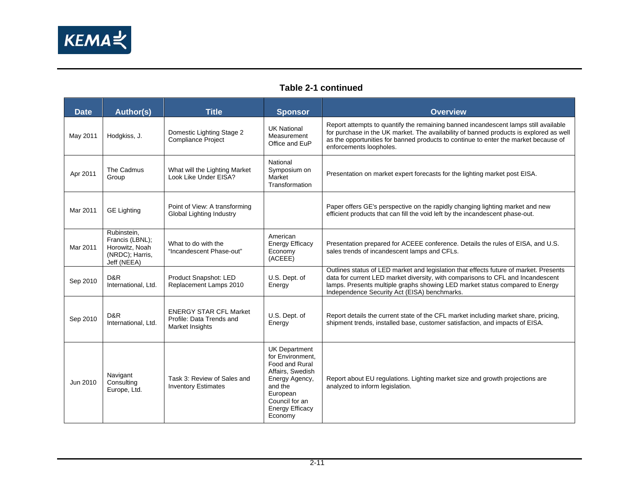

#### **Table 2-1 continued**

| <b>Date</b> | <b>Author(s)</b>                                                                   | <b>Title</b>                                                                 | <b>Sponsor</b>                                                                                                                                                                 | <b>Overview</b>                                                                                                                                                                                                                                                                                          |
|-------------|------------------------------------------------------------------------------------|------------------------------------------------------------------------------|--------------------------------------------------------------------------------------------------------------------------------------------------------------------------------|----------------------------------------------------------------------------------------------------------------------------------------------------------------------------------------------------------------------------------------------------------------------------------------------------------|
| May 2011    | Hodgkiss, J.                                                                       | Domestic Lighting Stage 2<br><b>Compliance Project</b>                       | <b>UK National</b><br>Measurement<br>Office and EuP                                                                                                                            | Report attempts to quantify the remaining banned incandescent lamps still available<br>for purchase in the UK market. The availability of banned products is explored as well<br>as the opportunities for banned products to continue to enter the market because of<br>enforcements loopholes.          |
| Apr 2011    | The Cadmus<br>Group                                                                | What will the Lighting Market<br>Look Like Under EISA?                       | National<br>Symposium on<br>Market<br>Transformation                                                                                                                           | Presentation on market expert forecasts for the lighting market post EISA.                                                                                                                                                                                                                               |
| Mar 2011    | <b>GE Lighting</b>                                                                 | Point of View: A transforming<br>Global Lighting Industry                    |                                                                                                                                                                                | Paper offers GE's perspective on the rapidly changing lighting market and new<br>efficient products that can fill the void left by the incandescent phase-out.                                                                                                                                           |
| Mar 2011    | Rubinstein,<br>Francis (LBNL);<br>Horowitz, Noah<br>(NRDC); Harris,<br>Jeff (NEEA) | What to do with the<br>"Incandescent Phase-out"                              | American<br><b>Energy Efficacy</b><br>Economy<br>(ACEEE)                                                                                                                       | Presentation prepared for ACEEE conference. Details the rules of EISA, and U.S.<br>sales trends of incandescent lamps and CFLs.                                                                                                                                                                          |
| Sep 2010    | D&R<br>International, Ltd.                                                         | Product Snapshot: LED<br>Replacement Lamps 2010                              | U.S. Dept. of<br>Energy                                                                                                                                                        | Outlines status of LED market and legislation that effects future of market. Presents<br>data for current LED market diversity, with comparisons to CFL and Incandescent<br>lamps. Presents multiple graphs showing LED market status compared to Energy<br>Independence Security Act (EISA) benchmarks. |
| Sep 2010    | D&R<br>International, Ltd.                                                         | <b>ENERGY STAR CFL Market</b><br>Profile: Data Trends and<br>Market Insights | U.S. Dept. of<br>Energy                                                                                                                                                        | Report details the current state of the CFL market including market share, pricing,<br>shipment trends, installed base, customer satisfaction, and impacts of EISA.                                                                                                                                      |
| Jun 2010    | Navigant<br>Consulting<br>Europe, Ltd.                                             | Task 3: Review of Sales and<br><b>Inventory Estimates</b>                    | <b>UK Department</b><br>for Environment.<br>Food and Rural<br>Affairs, Swedish<br>Energy Agency,<br>and the<br>European<br>Council for an<br><b>Energy Efficacy</b><br>Economy | Report about EU regulations. Lighting market size and growth projections are<br>analyzed to inform legislation.                                                                                                                                                                                          |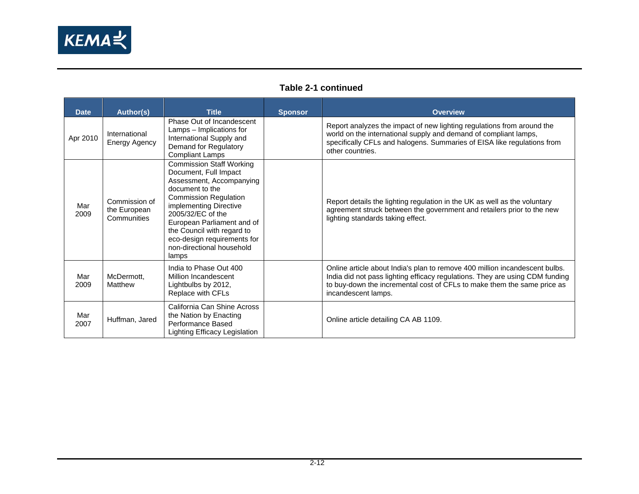

#### **Table 2-1 continued**

| <b>Date</b> | Author(s)                                    | <b>Title</b>                                                                                                                                                                                                                                                                                                            | <b>Sponsor</b> | <b>Overview</b>                                                                                                                                                                                                                                               |
|-------------|----------------------------------------------|-------------------------------------------------------------------------------------------------------------------------------------------------------------------------------------------------------------------------------------------------------------------------------------------------------------------------|----------------|---------------------------------------------------------------------------------------------------------------------------------------------------------------------------------------------------------------------------------------------------------------|
| Apr 2010    | International<br>Energy Agency               | Phase Out of Incandescent<br>Lamps - Implications for<br>International Supply and<br>Demand for Regulatory<br><b>Compliant Lamps</b>                                                                                                                                                                                    |                | Report analyzes the impact of new lighting regulations from around the<br>world on the international supply and demand of compliant lamps,<br>specifically CFLs and halogens. Summaries of EISA like regulations from<br>other countries.                     |
| Mar<br>2009 | Commission of<br>the European<br>Communities | <b>Commission Staff Working</b><br>Document, Full Impact<br>Assessment, Accompanying<br>document to the<br><b>Commission Regulation</b><br>implementing Directive<br>2005/32/EC of the<br>European Parliament and of<br>the Council with regard to<br>eco-design requirements for<br>non-directional household<br>lamps |                | Report details the lighting regulation in the UK as well as the voluntary<br>agreement struck between the government and retailers prior to the new<br>lighting standards taking effect.                                                                      |
| Mar<br>2009 | McDermott,<br>Matthew                        | India to Phase Out 400<br>Million Incandescent<br>Lightbulbs by 2012,<br>Replace with CFLs                                                                                                                                                                                                                              |                | Online article about India's plan to remove 400 million incandescent bulbs.<br>India did not pass lighting efficacy regulations. They are using CDM funding<br>to buy-down the incremental cost of CFLs to make them the same price as<br>incandescent lamps. |
| Mar<br>2007 | Huffman, Jared                               | California Can Shine Across<br>the Nation by Enacting<br>Performance Based<br>Lighting Efficacy Legislation                                                                                                                                                                                                             |                | Online article detailing CA AB 1109.                                                                                                                                                                                                                          |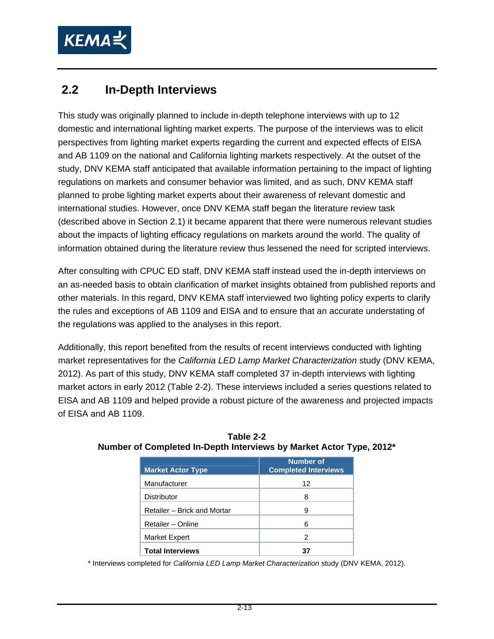

#### **2.2 In-Depth Interviews**

This study was originally planned to include in-depth telephone interviews with up to 12 domestic and international lighting market experts. The purpose of the interviews was to elicit perspectives from lighting market experts regarding the current and expected effects of EISA and AB 1109 on the national and California lighting markets respectively. At the outset of the study, DNV KEMA staff anticipated that available information pertaining to the impact of lighting regulations on markets and consumer behavior was limited, and as such, DNV KEMA staff planned to probe lighting market experts about their awareness of relevant domestic and international studies. However, once DNV KEMA staff began the literature review task (described above in Section 2.1) it became apparent that there were numerous relevant studies about the impacts of lighting efficacy regulations on markets around the world. The quality of information obtained during the literature review thus lessened the need for scripted interviews.

After consulting with CPUC ED staff, DNV KEMA staff instead used the in-depth interviews on an as-needed basis to obtain clarification of market insights obtained from published reports and other materials. In this regard, DNV KEMA staff interviewed two lighting policy experts to clarify the rules and exceptions of AB 1109 and EISA and to ensure that an accurate understating of the regulations was applied to the analyses in this report.

Additionally, this report benefited from the results of recent interviews conducted with lighting market representatives for the *California LED Lamp Market Characterization* study (DNV KEMA, 2012). As part of this study, DNV KEMA staff completed 37 in-depth interviews with lighting market actors in early 2012 (Table 2-2). These interviews included a series questions related to EISA and AB 1109 and helped provide a robust picture of the awareness and projected impacts of EISA and AB 1109.

| <b>Market Actor Type</b>    | <b>Number of</b><br><b>Completed Interviews</b> |  |  |
|-----------------------------|-------------------------------------------------|--|--|
| Manufacturer                | 12                                              |  |  |
| <b>Distributor</b>          | 8                                               |  |  |
| Retailer - Brick and Mortar | g                                               |  |  |
| Retailer - Online           | 6                                               |  |  |
| <b>Market Expert</b>        | 2                                               |  |  |
| <b>Total Interviews</b>     | 37                                              |  |  |

**Table 2-2 Number of Completed In-Depth Interviews by Market Actor Type, 2012\*** 

\* Interviews completed for *California LED Lamp Market Characterization* study (DNV KEMA, 2012).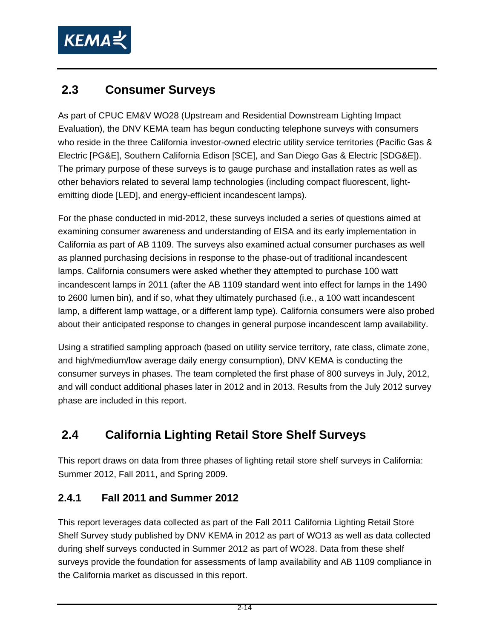

### **2.3 Consumer Surveys**

As part of CPUC EM&V WO28 (Upstream and Residential Downstream Lighting Impact Evaluation), the DNV KEMA team has begun conducting telephone surveys with consumers who reside in the three California investor-owned electric utility service territories (Pacific Gas & Electric [PG&E], Southern California Edison [SCE], and San Diego Gas & Electric [SDG&E]). The primary purpose of these surveys is to gauge purchase and installation rates as well as other behaviors related to several lamp technologies (including compact fluorescent, lightemitting diode [LED], and energy-efficient incandescent lamps).

For the phase conducted in mid-2012, these surveys included a series of questions aimed at examining consumer awareness and understanding of EISA and its early implementation in California as part of AB 1109. The surveys also examined actual consumer purchases as well as planned purchasing decisions in response to the phase-out of traditional incandescent lamps. California consumers were asked whether they attempted to purchase 100 watt incandescent lamps in 2011 (after the AB 1109 standard went into effect for lamps in the 1490 to 2600 lumen bin), and if so, what they ultimately purchased (i.e., a 100 watt incandescent lamp, a different lamp wattage, or a different lamp type). California consumers were also probed about their anticipated response to changes in general purpose incandescent lamp availability.

Using a stratified sampling approach (based on utility service territory, rate class, climate zone, and high/medium/low average daily energy consumption), DNV KEMA is conducting the consumer surveys in phases. The team completed the first phase of 800 surveys in July, 2012, and will conduct additional phases later in 2012 and in 2013. Results from the July 2012 survey phase are included in this report.

## **2.4 California Lighting Retail Store Shelf Surveys**

This report draws on data from three phases of lighting retail store shelf surveys in California: Summer 2012, Fall 2011, and Spring 2009.

#### **2.4.1 Fall 2011 and Summer 2012**

This report leverages data collected as part of the Fall 2011 California Lighting Retail Store Shelf Survey study published by DNV KEMA in 2012 as part of WO13 as well as data collected during shelf surveys conducted in Summer 2012 as part of WO28. Data from these shelf surveys provide the foundation for assessments of lamp availability and AB 1109 compliance in the California market as discussed in this report.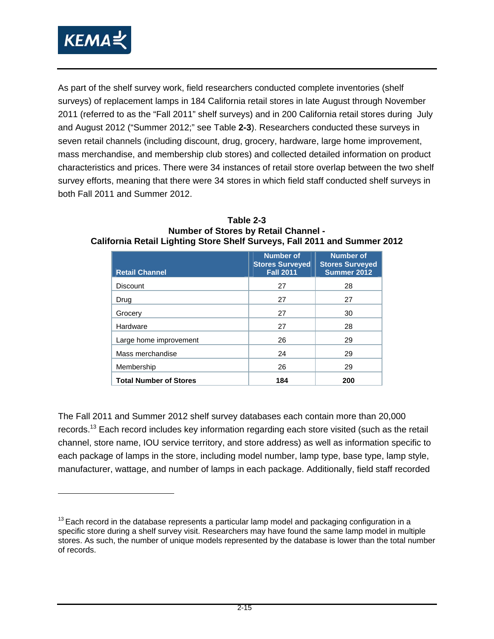

-

As part of the shelf survey work, field researchers conducted complete inventories (shelf surveys) of replacement lamps in 184 California retail stores in late August through November 2011 (referred to as the "Fall 2011" shelf surveys) and in 200 California retail stores during July and August 2012 ("Summer 2012;" see Table **2-3**). Researchers conducted these surveys in seven retail channels (including discount, drug, grocery, hardware, large home improvement, mass merchandise, and membership club stores) and collected detailed information on product characteristics and prices. There were 34 instances of retail store overlap between the two shelf survey efforts, meaning that there were 34 stores in which field staff conducted shelf surveys in both Fall 2011 and Summer 2012.

| <b>Retail Channel</b>         | <b>Number of</b><br><b>Stores Surveyed</b><br><b>Fall 2011</b> | <b>Number of</b><br><b>Stores Surveyed</b><br>Summer 2012 |
|-------------------------------|----------------------------------------------------------------|-----------------------------------------------------------|
| <b>Discount</b>               | 27                                                             | 28                                                        |
| Drug                          | 27                                                             | 27                                                        |
| Grocery                       | 27                                                             | 30                                                        |
| Hardware                      | 27                                                             | 28                                                        |
| Large home improvement        | 26                                                             | 29                                                        |
| Mass merchandise              | 24                                                             | 29                                                        |
| Membership                    | 26                                                             | 29                                                        |
| <b>Total Number of Stores</b> | 184                                                            | 200                                                       |

**Table 2-3 Number of Stores by Retail Channel - California Retail Lighting Store Shelf Surveys, Fall 2011 and Summer 2012** 

The Fall 2011 and Summer 2012 shelf survey databases each contain more than 20,000 records.<sup>13</sup> Each record includes key information regarding each store visited (such as the retail channel, store name, IOU service territory, and store address) as well as information specific to each package of lamps in the store, including model number, lamp type, base type, lamp style, manufacturer, wattage, and number of lamps in each package. Additionally, field staff recorded

 $13$  Each record in the database represents a particular lamp model and packaging configuration in a specific store during a shelf survey visit. Researchers may have found the same lamp model in multiple stores. As such, the number of unique models represented by the database is lower than the total number of records.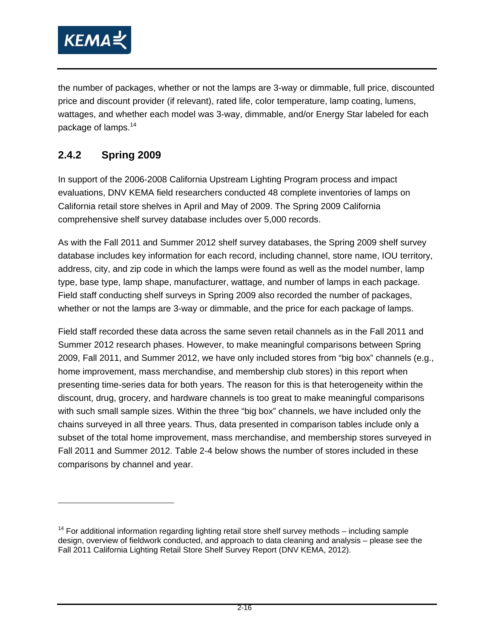

the number of packages, whether or not the lamps are 3-way or dimmable, full price, discounted price and discount provider (if relevant), rated life, color temperature, lamp coating, lumens, wattages, and whether each model was 3-way, dimmable, and/or Energy Star labeled for each package of lamps.<sup>14</sup>

#### **2.4.2 Spring 2009**

In support of the 2006-2008 California Upstream Lighting Program process and impact evaluations, DNV KEMA field researchers conducted 48 complete inventories of lamps on California retail store shelves in April and May of 2009. The Spring 2009 California comprehensive shelf survey database includes over 5,000 records.

As with the Fall 2011 and Summer 2012 shelf survey databases, the Spring 2009 shelf survey database includes key information for each record, including channel, store name, IOU territory, address, city, and zip code in which the lamps were found as well as the model number, lamp type, base type, lamp shape, manufacturer, wattage, and number of lamps in each package. Field staff conducting shelf surveys in Spring 2009 also recorded the number of packages, whether or not the lamps are 3-way or dimmable, and the price for each package of lamps.

Field staff recorded these data across the same seven retail channels as in the Fall 2011 and Summer 2012 research phases. However, to make meaningful comparisons between Spring 2009, Fall 2011, and Summer 2012, we have only included stores from "big box" channels (e.g., home improvement, mass merchandise, and membership club stores) in this report when presenting time-series data for both years. The reason for this is that heterogeneity within the discount, drug, grocery, and hardware channels is too great to make meaningful comparisons with such small sample sizes. Within the three "big box" channels, we have included only the chains surveyed in all three years. Thus, data presented in comparison tables include only a subset of the total home improvement, mass merchandise, and membership stores surveyed in Fall 2011 and Summer 2012. Table 2-4 below shows the number of stores included in these comparisons by channel and year.

 $14$  For additional information regarding lighting retail store shelf survey methods – including sample design, overview of fieldwork conducted, and approach to data cleaning and analysis – please see the Fall 2011 California Lighting Retail Store Shelf Survey Report (DNV KEMA, 2012).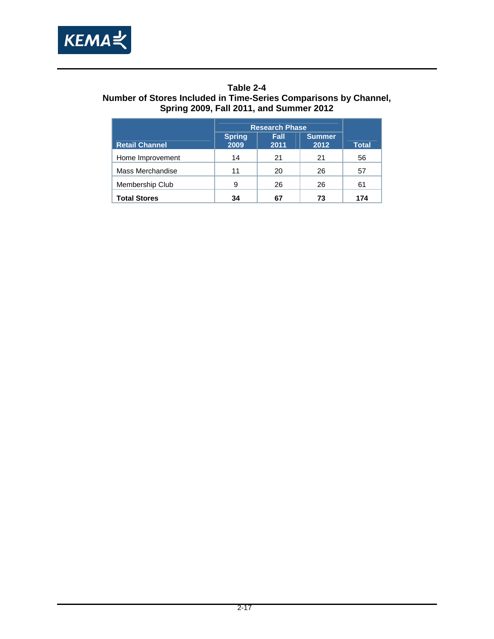

#### **Table 2-4 Number of Stores Included in Time-Series Comparisons by Channel, Spring 2009, Fall 2011, and Summer 2012**

|                       | <b>Research Phase</b> |                     |                       |              |
|-----------------------|-----------------------|---------------------|-----------------------|--------------|
| <b>Retail Channel</b> | <b>Spring</b><br>2009 | <b>Fall</b><br>2011 | <b>Summer</b><br>2012 | <b>Total</b> |
| Home Improvement      | 14                    | 21                  | 21                    | 56           |
| Mass Merchandise      | 11                    | 20                  | 26                    | 57           |
| Membership Club       | 9                     | 26                  | 26                    | 61           |
| <b>Total Stores</b>   | 34                    | 67                  | 73                    | 174          |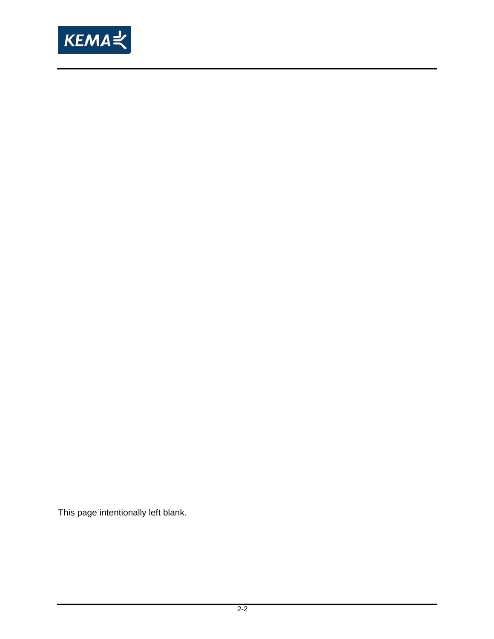

This page intentionally left blank.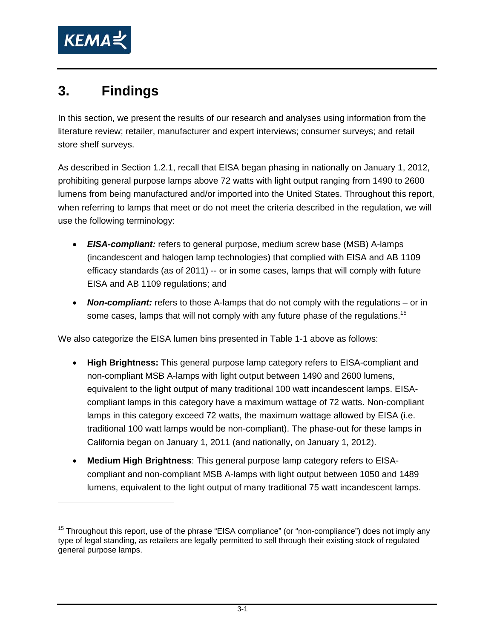

-

## **3. Findings**

In this section, we present the results of our research and analyses using information from the literature review; retailer, manufacturer and expert interviews; consumer surveys; and retail store shelf surveys.

As described in Section 1.2.1, recall that EISA began phasing in nationally on January 1, 2012, prohibiting general purpose lamps above 72 watts with light output ranging from 1490 to 2600 lumens from being manufactured and/or imported into the United States. Throughout this report, when referring to lamps that meet or do not meet the criteria described in the regulation, we will use the following terminology:

- *EISA-compliant:* refers to general purpose, medium screw base (MSB) A-lamps (incandescent and halogen lamp technologies) that complied with EISA and AB 1109 efficacy standards (as of 2011) -- or in some cases, lamps that will comply with future EISA and AB 1109 regulations; and
- *Non-compliant:* refers to those A-lamps that do not comply with the regulations or in some cases, lamps that will not comply with any future phase of the regulations.<sup>15</sup>

We also categorize the EISA lumen bins presented in Table 1-1 above as follows:

- **High Brightness:** This general purpose lamp category refers to EISA-compliant and non-compliant MSB A-lamps with light output between 1490 and 2600 lumens, equivalent to the light output of many traditional 100 watt incandescent lamps. EISAcompliant lamps in this category have a maximum wattage of 72 watts. Non-compliant lamps in this category exceed 72 watts, the maximum wattage allowed by EISA (i.e. traditional 100 watt lamps would be non-compliant). The phase-out for these lamps in California began on January 1, 2011 (and nationally, on January 1, 2012).
- **Medium High Brightness**: This general purpose lamp category refers to EISAcompliant and non-compliant MSB A-lamps with light output between 1050 and 1489 lumens, equivalent to the light output of many traditional 75 watt incandescent lamps.

<sup>&</sup>lt;sup>15</sup> Throughout this report, use of the phrase "EISA compliance" (or "non-compliance") does not imply any type of legal standing, as retailers are legally permitted to sell through their existing stock of regulated general purpose lamps.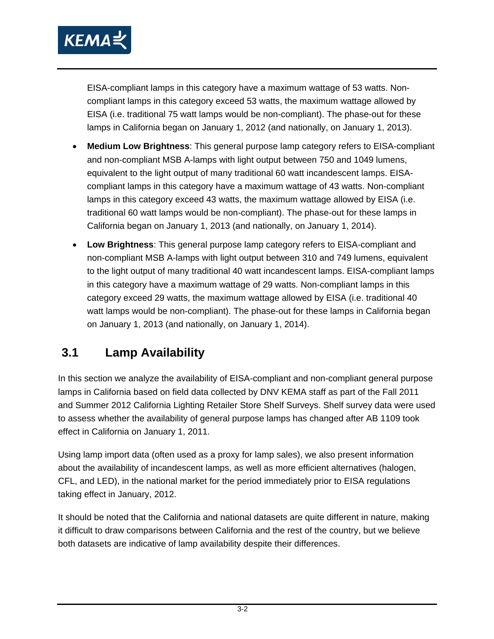

EISA-compliant lamps in this category have a maximum wattage of 53 watts. Noncompliant lamps in this category exceed 53 watts, the maximum wattage allowed by EISA (i.e. traditional 75 watt lamps would be non-compliant). The phase-out for these lamps in California began on January 1, 2012 (and nationally, on January 1, 2013).

- **Medium Low Brightness**: This general purpose lamp category refers to EISA-compliant and non-compliant MSB A-lamps with light output between 750 and 1049 lumens, equivalent to the light output of many traditional 60 watt incandescent lamps. EISAcompliant lamps in this category have a maximum wattage of 43 watts. Non-compliant lamps in this category exceed 43 watts, the maximum wattage allowed by EISA (i.e. traditional 60 watt lamps would be non-compliant). The phase-out for these lamps in California began on January 1, 2013 (and nationally, on January 1, 2014).
- **Low Brightness**: This general purpose lamp category refers to EISA-compliant and non-compliant MSB A-lamps with light output between 310 and 749 lumens, equivalent to the light output of many traditional 40 watt incandescent lamps. EISA-compliant lamps in this category have a maximum wattage of 29 watts. Non-compliant lamps in this category exceed 29 watts, the maximum wattage allowed by EISA (i.e. traditional 40 watt lamps would be non-compliant). The phase-out for these lamps in California began on January 1, 2013 (and nationally, on January 1, 2014).

### **3.1 Lamp Availability**

In this section we analyze the availability of EISA-compliant and non-compliant general purpose lamps in California based on field data collected by DNV KEMA staff as part of the Fall 2011 and Summer 2012 California Lighting Retailer Store Shelf Surveys. Shelf survey data were used to assess whether the availability of general purpose lamps has changed after AB 1109 took effect in California on January 1, 2011.

Using lamp import data (often used as a proxy for lamp sales), we also present information about the availability of incandescent lamps, as well as more efficient alternatives (halogen, CFL, and LED), in the national market for the period immediately prior to EISA regulations taking effect in January, 2012.

It should be noted that the California and national datasets are quite different in nature, making it difficult to draw comparisons between California and the rest of the country, but we believe both datasets are indicative of lamp availability despite their differences.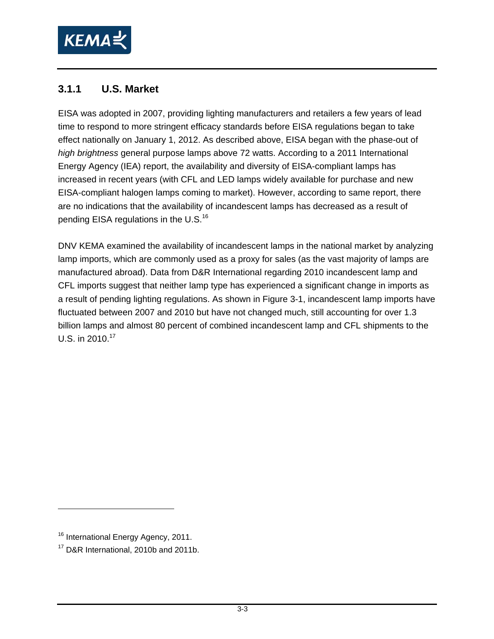

#### **3.1.1 U.S. Market**

EISA was adopted in 2007, providing lighting manufacturers and retailers a few years of lead time to respond to more stringent efficacy standards before EISA regulations began to take effect nationally on January 1, 2012. As described above, EISA began with the phase-out of *high brightness* general purpose lamps above 72 watts. According to a 2011 International Energy Agency (IEA) report, the availability and diversity of EISA-compliant lamps has increased in recent years (with CFL and LED lamps widely available for purchase and new EISA-compliant halogen lamps coming to market). However, according to same report, there are no indications that the availability of incandescent lamps has decreased as a result of pending EISA regulations in the U.S.<sup>16</sup>

DNV KEMA examined the availability of incandescent lamps in the national market by analyzing lamp imports, which are commonly used as a proxy for sales (as the vast majority of lamps are manufactured abroad). Data from D&R International regarding 2010 incandescent lamp and CFL imports suggest that neither lamp type has experienced a significant change in imports as a result of pending lighting regulations. As shown in Figure 3-1, incandescent lamp imports have fluctuated between 2007 and 2010 but have not changed much, still accounting for over 1.3 billion lamps and almost 80 percent of combined incandescent lamp and CFL shipments to the U.S. in 2010.<sup>17</sup>

<sup>&</sup>lt;sup>16</sup> International Energy Agency, 2011.

<sup>&</sup>lt;sup>17</sup> D&R International, 2010b and 2011b.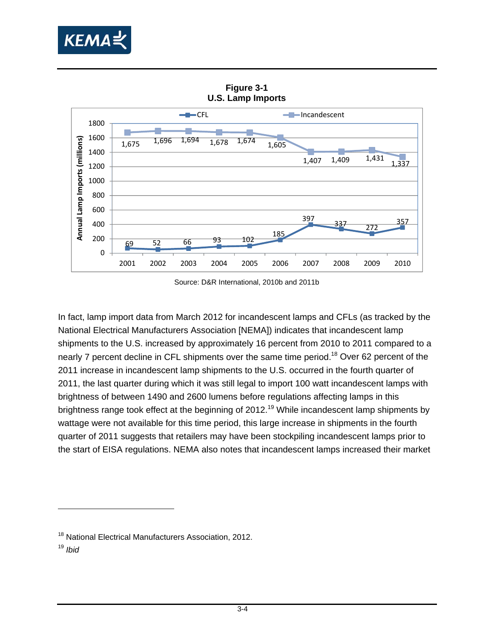



**Figure 3-1 U.S. Lamp Imports** 

Source: D&R International, 2010b and 2011b

In fact, lamp import data from March 2012 for incandescent lamps and CFLs (as tracked by the National Electrical Manufacturers Association [NEMA]) indicates that incandescent lamp shipments to the U.S. increased by approximately 16 percent from 2010 to 2011 compared to a nearly 7 percent decline in CFL shipments over the same time period.<sup>18</sup> Over 62 percent of the 2011 increase in incandescent lamp shipments to the U.S. occurred in the fourth quarter of 2011, the last quarter during which it was still legal to import 100 watt incandescent lamps with brightness of between 1490 and 2600 lumens before regulations affecting lamps in this brightness range took effect at the beginning of 2012.<sup>19</sup> While incandescent lamp shipments by wattage were not available for this time period, this large increase in shipments in the fourth quarter of 2011 suggests that retailers may have been stockpiling incandescent lamps prior to the start of EISA regulations. NEMA also notes that incandescent lamps increased their market

<sup>19</sup> *Ibid*

<sup>&</sup>lt;sup>18</sup> National Electrical Manufacturers Association, 2012.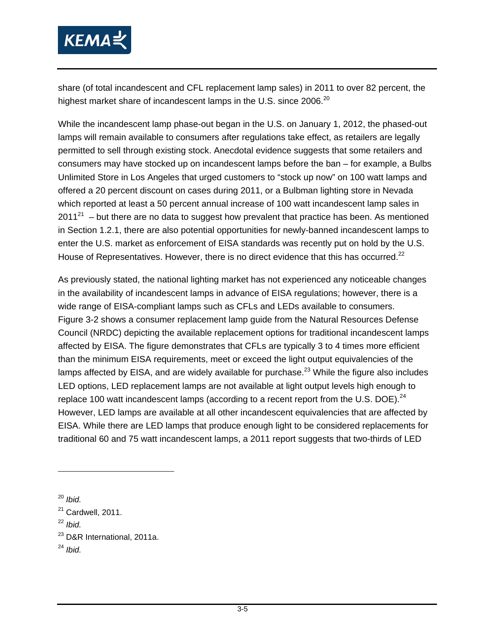

share (of total incandescent and CFL replacement lamp sales) in 2011 to over 82 percent, the highest market share of incandescent lamps in the U.S. since 2006.<sup>20</sup>

While the incandescent lamp phase-out began in the U.S. on January 1, 2012, the phased-out lamps will remain available to consumers after regulations take effect, as retailers are legally permitted to sell through existing stock. Anecdotal evidence suggests that some retailers and consumers may have stocked up on incandescent lamps before the ban – for example, a Bulbs Unlimited Store in Los Angeles that urged customers to "stock up now" on 100 watt lamps and offered a 20 percent discount on cases during 2011, or a Bulbman lighting store in Nevada which reported at least a 50 percent annual increase of 100 watt incandescent lamp sales in  $2011^{21}$  – but there are no data to suggest how prevalent that practice has been. As mentioned in Section 1.2.1, there are also potential opportunities for newly-banned incandescent lamps to enter the U.S. market as enforcement of EISA standards was recently put on hold by the U.S. House of Representatives. However, there is no direct evidence that this has occurred.<sup>22</sup>

As previously stated, the national lighting market has not experienced any noticeable changes in the availability of incandescent lamps in advance of EISA regulations; however, there is a wide range of EISA-compliant lamps such as CFLs and LEDs available to consumers. Figure 3-2 shows a consumer replacement lamp guide from the Natural Resources Defense Council (NRDC) depicting the available replacement options for traditional incandescent lamps affected by EISA. The figure demonstrates that CFLs are typically 3 to 4 times more efficient than the minimum EISA requirements, meet or exceed the light output equivalencies of the lamps affected by EISA, and are widely available for purchase.<sup>23</sup> While the figure also includes LED options, LED replacement lamps are not available at light output levels high enough to replace 100 watt incandescent lamps (according to a recent report from the U.S. DOE). $^{24}$ However, LED lamps are available at all other incandescent equivalencies that are affected by EISA. While there are LED lamps that produce enough light to be considered replacements for traditional 60 and 75 watt incandescent lamps, a 2011 report suggests that two-thirds of LED

<sup>22</sup> *Ibid.*

<sup>24</sup> *Ibid.*

<sup>20</sup> *Ibid.*

 $21$  Cardwell, 2011.

<sup>23</sup> D&R International, 2011a.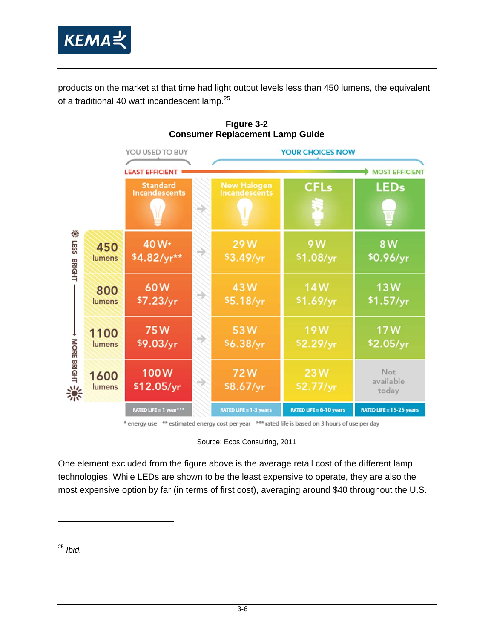

products on the market at that time had light output levels less than 450 lumens, the equivalent of a traditional 40 watt incandescent lamp.<sup>25</sup>



**Figure 3-2 Consumer Replacement Lamp Guide**

\* energy use \*\* estimated energy cost per year \*\*\* rated life is based on 3 hours of use per day

Source: Ecos Consulting, 2011

One element excluded from the figure above is the average retail cost of the different lamp technologies. While LEDs are shown to be the least expensive to operate, they are also the most expensive option by far (in terms of first cost), averaging around \$40 throughout the U.S.

<sup>25</sup> *Ibid.*

 $\overline{a}$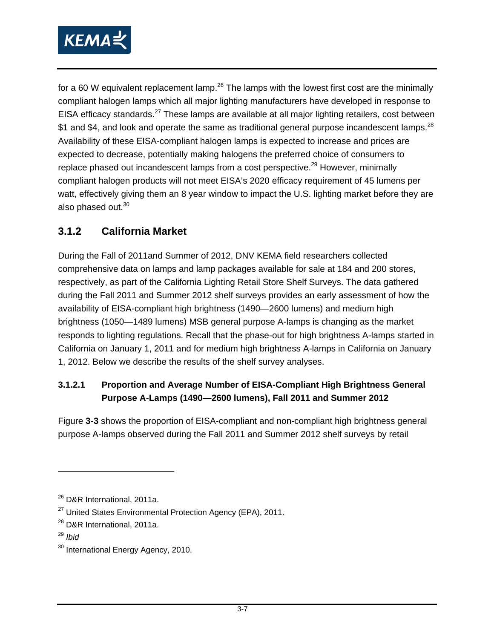

for a 60 W equivalent replacement lamp.<sup>26</sup> The lamps with the lowest first cost are the minimally compliant halogen lamps which all major lighting manufacturers have developed in response to EISA efficacy standards.<sup>27</sup> These lamps are available at all major lighting retailers, cost between \$1 and \$4, and look and operate the same as traditional general purpose incandescent lamps.<sup>28</sup> Availability of these EISA-compliant halogen lamps is expected to increase and prices are expected to decrease, potentially making halogens the preferred choice of consumers to replace phased out incandescent lamps from a cost perspective.<sup>29</sup> However, minimally compliant halogen products will not meet EISA's 2020 efficacy requirement of 45 lumens per watt, effectively giving them an 8 year window to impact the U.S. lighting market before they are also phased out.<sup>30</sup>

#### **3.1.2 California Market**

During the Fall of 2011and Summer of 2012, DNV KEMA field researchers collected comprehensive data on lamps and lamp packages available for sale at 184 and 200 stores, respectively, as part of the California Lighting Retail Store Shelf Surveys. The data gathered during the Fall 2011 and Summer 2012 shelf surveys provides an early assessment of how the availability of EISA-compliant high brightness (1490—2600 lumens) and medium high brightness (1050—1489 lumens) MSB general purpose A-lamps is changing as the market responds to lighting regulations. Recall that the phase-out for high brightness A-lamps started in California on January 1, 2011 and for medium high brightness A-lamps in California on January 1, 2012. Below we describe the results of the shelf survey analyses.

#### **3.1.2.1 Proportion and Average Number of EISA-Compliant High Brightness General Purpose A-Lamps (1490—2600 lumens), Fall 2011 and Summer 2012**

Figure **3-3** shows the proportion of EISA-compliant and non-compliant high brightness general purpose A-lamps observed during the Fall 2011 and Summer 2012 shelf surveys by retail

<sup>&</sup>lt;sup>26</sup> D&R International, 2011a.

<sup>&</sup>lt;sup>27</sup> United States Environmental Protection Agency (EPA), 2011.

<sup>&</sup>lt;sup>28</sup> D&R International, 2011a.

<sup>29</sup> *Ibid*

<sup>&</sup>lt;sup>30</sup> International Energy Agency, 2010.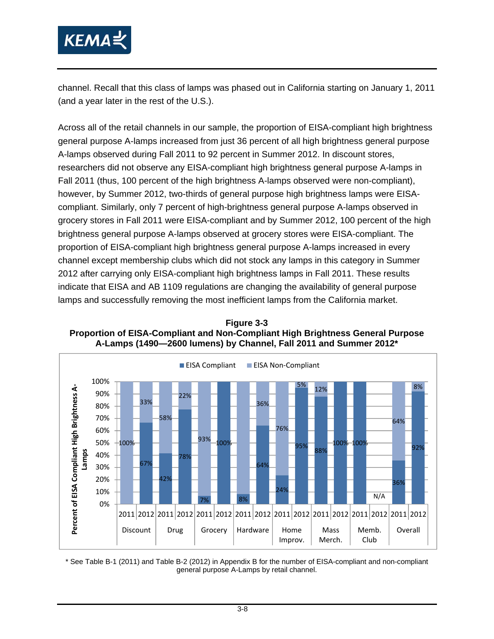

channel. Recall that this class of lamps was phased out in California starting on January 1, 2011 (and a year later in the rest of the U.S.).

Across all of the retail channels in our sample, the proportion of EISA-compliant high brightness general purpose A-lamps increased from just 36 percent of all high brightness general purpose A-lamps observed during Fall 2011 to 92 percent in Summer 2012. In discount stores, researchers did not observe any EISA-compliant high brightness general purpose A-lamps in Fall 2011 (thus, 100 percent of the high brightness A-lamps observed were non-compliant), however, by Summer 2012, two-thirds of general purpose high brightness lamps were EISAcompliant. Similarly, only 7 percent of high-brightness general purpose A-lamps observed in grocery stores in Fall 2011 were EISA-compliant and by Summer 2012, 100 percent of the high brightness general purpose A-lamps observed at grocery stores were EISA-compliant. The proportion of EISA-compliant high brightness general purpose A-lamps increased in every channel except membership clubs which did not stock any lamps in this category in Summer 2012 after carrying only EISA-compliant high brightness lamps in Fall 2011. These results indicate that EISA and AB 1109 regulations are changing the availability of general purpose lamps and successfully removing the most inefficient lamps from the California market.

**Figure 3-3 Proportion of EISA-Compliant and Non-Compliant High Brightness General Purpose A-Lamps (1490—2600 lumens) by Channel, Fall 2011 and Summer 2012\*** 



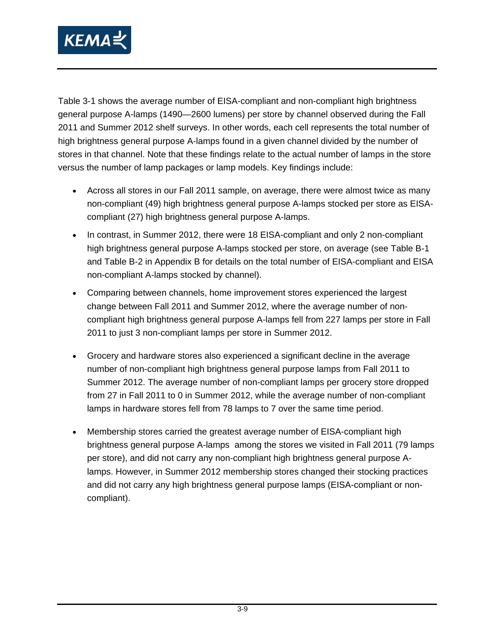

Table 3-1 shows the average number of EISA-compliant and non-compliant high brightness general purpose A-lamps (1490—2600 lumens) per store by channel observed during the Fall 2011 and Summer 2012 shelf surveys. In other words, each cell represents the total number of high brightness general purpose A-lamps found in a given channel divided by the number of stores in that channel. Note that these findings relate to the actual number of lamps in the store versus the number of lamp packages or lamp models. Key findings include:

- Across all stores in our Fall 2011 sample, on average, there were almost twice as many non-compliant (49) high brightness general purpose A-lamps stocked per store as EISAcompliant (27) high brightness general purpose A-lamps.
- In contrast, in Summer 2012, there were 18 EISA-compliant and only 2 non-compliant high brightness general purpose A-lamps stocked per store, on average (see Table B-1 and Table B-2 in Appendix B for details on the total number of EISA-compliant and EISA non-compliant A-lamps stocked by channel).
- Comparing between channels, home improvement stores experienced the largest change between Fall 2011 and Summer 2012, where the average number of noncompliant high brightness general purpose A-lamps fell from 227 lamps per store in Fall 2011 to just 3 non-compliant lamps per store in Summer 2012.
- Grocery and hardware stores also experienced a significant decline in the average number of non-compliant high brightness general purpose lamps from Fall 2011 to Summer 2012. The average number of non-compliant lamps per grocery store dropped from 27 in Fall 2011 to 0 in Summer 2012, while the average number of non-compliant lamps in hardware stores fell from 78 lamps to 7 over the same time period.
- Membership stores carried the greatest average number of EISA-compliant high brightness general purpose A-lamps among the stores we visited in Fall 2011 (79 lamps per store), and did not carry any non-compliant high brightness general purpose Alamps. However, in Summer 2012 membership stores changed their stocking practices and did not carry any high brightness general purpose lamps (EISA-compliant or noncompliant).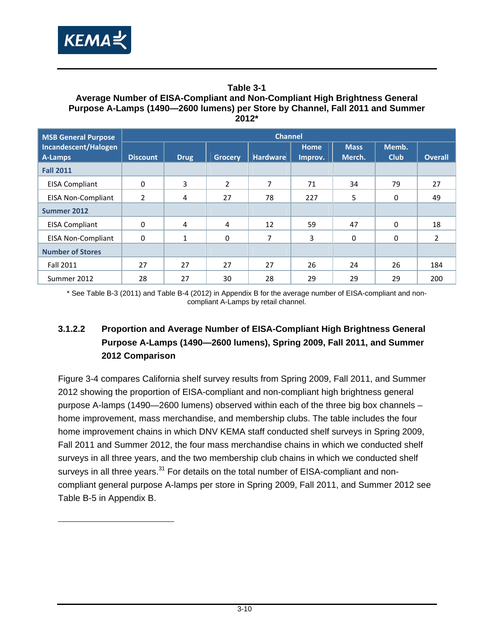

 $\overline{a}$ 

#### **Table 3-1 Average Number of EISA-Compliant and Non-Compliant High Brightness General Purpose A-Lamps (1490—2600 lumens) per Store by Channel, Fall 2011 and Summer 2012\***

| <b>MSB General Purpose</b>      |                 |             |                | <b>Channel</b>  |                 |                       |                      |                |
|---------------------------------|-----------------|-------------|----------------|-----------------|-----------------|-----------------------|----------------------|----------------|
| Incandescent/Halogen<br>A-Lamps | <b>Discount</b> | <b>Drug</b> | <b>Grocery</b> | <b>Hardware</b> | Home<br>Improv. | <b>Mass</b><br>Merch. | Memb.<br><b>Club</b> | <b>Overall</b> |
| <b>Fall 2011</b>                |                 |             |                |                 |                 |                       |                      |                |
| <b>EISA Compliant</b>           | $\Omega$        | 3           | $\overline{2}$ | 7               | 71              | 34                    | 79                   | 27             |
| <b>EISA Non-Compliant</b>       | $\overline{2}$  | 4           | 27             | 78              | 227             | 5                     | 0                    | 49             |
| Summer 2012                     |                 |             |                |                 |                 |                       |                      |                |
| <b>EISA Compliant</b>           | 0               | 4           | 4              | 12              | 59              | 47                    | $\Omega$             | 18             |
| <b>EISA Non-Compliant</b>       | $\Omega$        | 1           | 0              | 7               | 3               | 0                     | $\Omega$             | 2              |
| <b>Number of Stores</b>         |                 |             |                |                 |                 |                       |                      |                |
| <b>Fall 2011</b>                | 27              | 27          | 27             | 27              | 26              | 24                    | 26                   | 184            |
| Summer 2012                     | 28              | 27          | 30             | 28              | 29              | 29                    | 29                   | 200            |

\* See Table B-3 (2011) and Table B-4 (2012) in Appendix B for the average number of EISA-compliant and noncompliant A-Lamps by retail channel.

## **3.1.2.2 Proportion and Average Number of EISA-Compliant High Brightness General Purpose A-Lamps (1490—2600 lumens), Spring 2009, Fall 2011, and Summer 2012 Comparison**

Figure 3-4 compares California shelf survey results from Spring 2009, Fall 2011, and Summer 2012 showing the proportion of EISA-compliant and non-compliant high brightness general purpose A-lamps (1490—2600 lumens) observed within each of the three big box channels – home improvement, mass merchandise, and membership clubs. The table includes the four home improvement chains in which DNV KEMA staff conducted shelf surveys in Spring 2009, Fall 2011 and Summer 2012, the four mass merchandise chains in which we conducted shelf surveys in all three years, and the two membership club chains in which we conducted shelf survevs in all three vears.<sup>31</sup> For details on the total number of EISA-compliant and noncompliant general purpose A-lamps per store in Spring 2009, Fall 2011, and Summer 2012 see Table B-5 in Appendix B.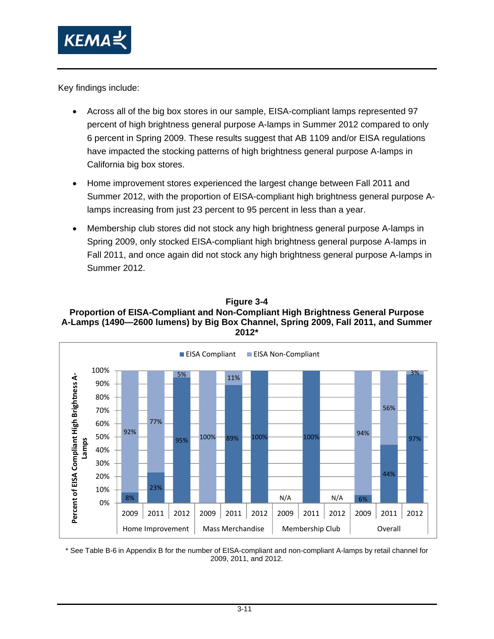

Key findings include:

- Across all of the big box stores in our sample, EISA-compliant lamps represented 97 percent of high brightness general purpose A-lamps in Summer 2012 compared to only 6 percent in Spring 2009. These results suggest that AB 1109 and/or EISA regulations have impacted the stocking patterns of high brightness general purpose A-lamps in California big box stores.
- Home improvement stores experienced the largest change between Fall 2011 and Summer 2012, with the proportion of EISA-compliant high brightness general purpose Alamps increasing from just 23 percent to 95 percent in less than a year.
- Membership club stores did not stock any high brightness general purpose A-lamps in Spring 2009, only stocked EISA-compliant high brightness general purpose A-lamps in Fall 2011, and once again did not stock any high brightness general purpose A-lamps in Summer 2012.

#### **Figure 3-4 Proportion of EISA-Compliant and Non-Compliant High Brightness General Purpose A-Lamps (1490—2600 lumens) by Big Box Channel, Spring 2009, Fall 2011, and Summer 2012\***



\* See Table B-6 in Appendix B for the number of EISA-compliant and non-compliant A-lamps by retail channel for 2009, 2011, and 2012.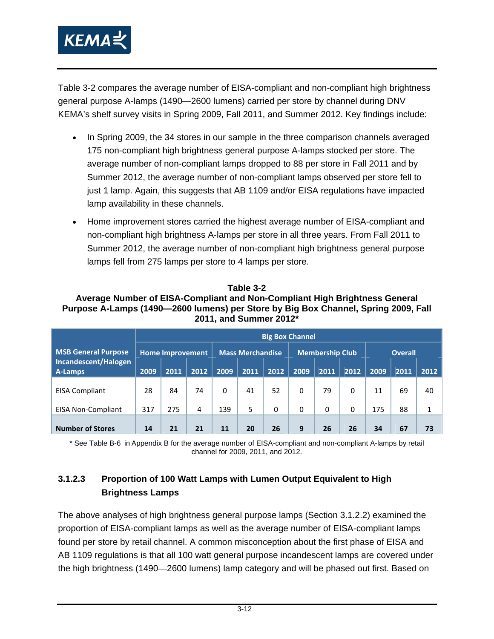

Table 3-2 compares the average number of EISA-compliant and non-compliant high brightness general purpose A-lamps (1490—2600 lumens) carried per store by channel during DNV KEMA's shelf survey visits in Spring 2009, Fall 2011, and Summer 2012. Key findings include:

- In Spring 2009, the 34 stores in our sample in the three comparison channels averaged 175 non-compliant high brightness general purpose A-lamps stocked per store. The average number of non-compliant lamps dropped to 88 per store in Fall 2011 and by Summer 2012, the average number of non-compliant lamps observed per store fell to just 1 lamp. Again, this suggests that AB 1109 and/or EISA regulations have impacted lamp availability in these channels.
- Home improvement stores carried the highest average number of EISA-compliant and non-compliant high brightness A-lamps per store in all three years. From Fall 2011 to Summer 2012, the average number of non-compliant high brightness general purpose lamps fell from 275 lamps per store to 4 lamps per store.

#### **Table 3-2 Average Number of EISA-Compliant and Non-Compliant High Brightness General Purpose A-Lamps (1490—2600 lumens) per Store by Big Box Channel, Spring 2009, Fall 2011, and Summer 2012\***

|                                 | <b>Big Box Channel</b>  |      |      |                         |      |          |                        |          |          |                |      |      |
|---------------------------------|-------------------------|------|------|-------------------------|------|----------|------------------------|----------|----------|----------------|------|------|
| <b>MSB General Purpose</b>      | <b>Home Improvement</b> |      |      | <b>Mass Merchandise</b> |      |          | <b>Membership Club</b> |          |          | <b>Overall</b> |      |      |
| Incandescent/Halogen<br>A-Lamps | 2009                    | 2011 | 2012 | 2009                    | 2011 | 2012     | 2009                   | 2011     | 2012     | 2009           | 2011 | 2012 |
|                                 |                         |      |      |                         |      |          |                        |          |          |                |      |      |
| <b>EISA Compliant</b>           | 28                      | 84   | 74   | $\Omega$                | 41   | 52       | 0                      | 79       | $\Omega$ | 11             | 69   | 40   |
| <b>EISA Non-Compliant</b>       | 317                     | 275  | 4    | 139                     | 5    | $\Omega$ | 0                      | $\Omega$ | $\Omega$ | 175            | 88   | 1    |
| <b>Number of Stores</b>         | 14                      | 21   | 21   | 11                      | 20   | 26       | 9                      | 26       | 26       | 34             | 67   | 73   |

\* See Table B-6 in Appendix B for the average number of EISA-compliant and non-compliant A-lamps by retail channel for 2009, 2011, and 2012.

## **3.1.2.3 Proportion of 100 Watt Lamps with Lumen Output Equivalent to High Brightness Lamps**

The above analyses of high brightness general purpose lamps (Section 3.1.2.2) examined the proportion of EISA-compliant lamps as well as the average number of EISA-compliant lamps found per store by retail channel. A common misconception about the first phase of EISA and AB 1109 regulations is that all 100 watt general purpose incandescent lamps are covered under the high brightness (1490—2600 lumens) lamp category and will be phased out first. Based on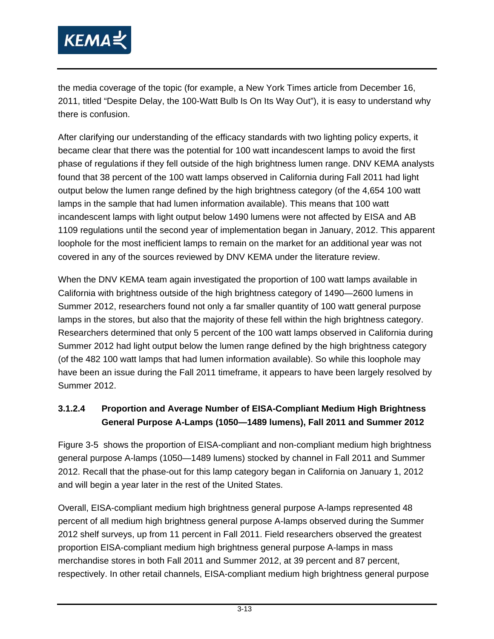

the media coverage of the topic (for example, a New York Times article from December 16, 2011, titled "Despite Delay, the 100-Watt Bulb Is On Its Way Out"), it is easy to understand why there is confusion.

After clarifying our understanding of the efficacy standards with two lighting policy experts, it became clear that there was the potential for 100 watt incandescent lamps to avoid the first phase of regulations if they fell outside of the high brightness lumen range. DNV KEMA analysts found that 38 percent of the 100 watt lamps observed in California during Fall 2011 had light output below the lumen range defined by the high brightness category (of the 4,654 100 watt lamps in the sample that had lumen information available). This means that 100 watt incandescent lamps with light output below 1490 lumens were not affected by EISA and AB 1109 regulations until the second year of implementation began in January, 2012. This apparent loophole for the most inefficient lamps to remain on the market for an additional year was not covered in any of the sources reviewed by DNV KEMA under the literature review.

When the DNV KEMA team again investigated the proportion of 100 watt lamps available in California with brightness outside of the high brightness category of 1490—2600 lumens in Summer 2012, researchers found not only a far smaller quantity of 100 watt general purpose lamps in the stores, but also that the majority of these fell within the high brightness category. Researchers determined that only 5 percent of the 100 watt lamps observed in California during Summer 2012 had light output below the lumen range defined by the high brightness category (of the 482 100 watt lamps that had lumen information available). So while this loophole may have been an issue during the Fall 2011 timeframe, it appears to have been largely resolved by Summer 2012.

### **3.1.2.4 Proportion and Average Number of EISA-Compliant Medium High Brightness General Purpose A-Lamps (1050—1489 lumens), Fall 2011 and Summer 2012**

Figure 3-5 shows the proportion of EISA-compliant and non-compliant medium high brightness general purpose A-lamps (1050—1489 lumens) stocked by channel in Fall 2011 and Summer 2012. Recall that the phase-out for this lamp category began in California on January 1, 2012 and will begin a year later in the rest of the United States.

Overall, EISA-compliant medium high brightness general purpose A-lamps represented 48 percent of all medium high brightness general purpose A-lamps observed during the Summer 2012 shelf surveys, up from 11 percent in Fall 2011. Field researchers observed the greatest proportion EISA-compliant medium high brightness general purpose A-lamps in mass merchandise stores in both Fall 2011 and Summer 2012, at 39 percent and 87 percent, respectively. In other retail channels, EISA-compliant medium high brightness general purpose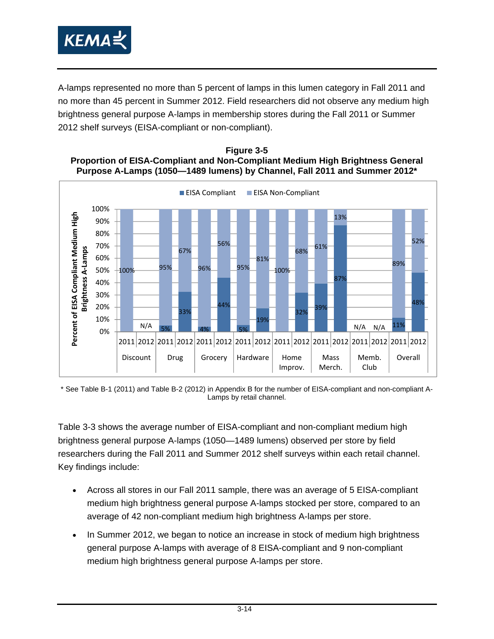

A-lamps represented no more than 5 percent of lamps in this lumen category in Fall 2011 and no more than 45 percent in Summer 2012. Field researchers did not observe any medium high brightness general purpose A-lamps in membership stores during the Fall 2011 or Summer 2012 shelf surveys (EISA-compliant or non-compliant).





\* See Table B-1 (2011) and Table B-2 (2012) in Appendix B for the number of EISA-compliant and non-compliant A-Lamps by retail channel.

Table 3-3 shows the average number of EISA-compliant and non-compliant medium high brightness general purpose A-lamps (1050—1489 lumens) observed per store by field researchers during the Fall 2011 and Summer 2012 shelf surveys within each retail channel. Key findings include:

- Across all stores in our Fall 2011 sample, there was an average of 5 EISA-compliant medium high brightness general purpose A-lamps stocked per store, compared to an average of 42 non-compliant medium high brightness A-lamps per store.
- In Summer 2012, we began to notice an increase in stock of medium high brightness general purpose A-lamps with average of 8 EISA-compliant and 9 non-compliant medium high brightness general purpose A-lamps per store.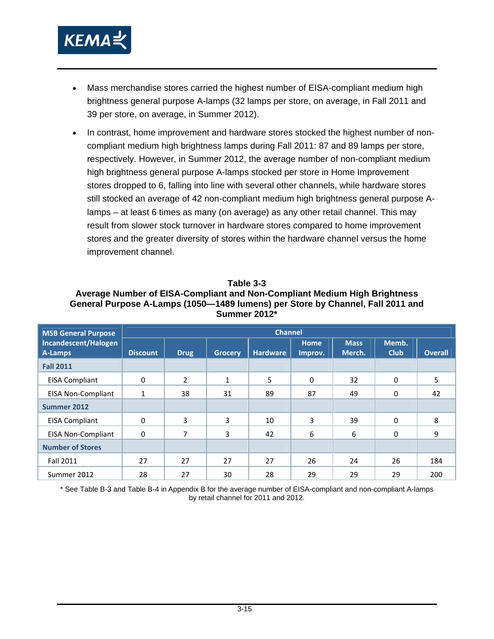

- Mass merchandise stores carried the highest number of EISA-compliant medium high brightness general purpose A-lamps (32 lamps per store, on average, in Fall 2011 and 39 per store, on average, in Summer 2012).
- In contrast, home improvement and hardware stores stocked the highest number of noncompliant medium high brightness lamps during Fall 2011: 87 and 89 lamps per store, respectively. However, in Summer 2012, the average number of non-compliant medium high brightness general purpose A-lamps stocked per store in Home Improvement stores dropped to 6, falling into line with several other channels, while hardware stores still stocked an average of 42 non-compliant medium high brightness general purpose Alamps – at least 6 times as many (on average) as any other retail channel. This may result from slower stock turnover in hardware stores compared to home improvement stores and the greater diversity of stores within the hardware channel versus the home improvement channel.

#### **Table 3-3 Average Number of EISA-Compliant and Non-Compliant Medium High Brightness General Purpose A-Lamps (1050—1489 lumens) per Store by Channel, Fall 2011 and Summer 2012\***

| <b>MSB General Purpose</b>      |                 |                | <b>Channel</b> |                 |                        |                       |                      |                |  |  |  |  |  |  |
|---------------------------------|-----------------|----------------|----------------|-----------------|------------------------|-----------------------|----------------------|----------------|--|--|--|--|--|--|
| Incandescent/Halogen<br>A-Lamps | <b>Discount</b> | Drug           | <b>Grocery</b> | <b>Hardware</b> | <b>Home</b><br>Improv. | <b>Mass</b><br>Merch. | Memb.<br><b>Club</b> | <b>Overall</b> |  |  |  |  |  |  |
| <b>Fall 2011</b>                |                 |                |                |                 |                        |                       |                      |                |  |  |  |  |  |  |
| <b>EISA Compliant</b>           | $\mathbf 0$     | $\overline{2}$ | 1              | 5               | 0                      | 32                    | 0                    | 5              |  |  |  |  |  |  |
| <b>EISA Non-Compliant</b>       | 1               | 38             | 31             | 89              | 87                     | 49                    | $\Omega$             | 42             |  |  |  |  |  |  |
| Summer 2012                     |                 |                |                |                 |                        |                       |                      |                |  |  |  |  |  |  |
| <b>EISA Compliant</b>           | $\Omega$        | 3              | 3              | 10              | 3                      | 39                    | $\Omega$             | 8              |  |  |  |  |  |  |
| <b>EISA Non-Compliant</b>       | 0               | 7              | 3              | 42              | 6                      | 6                     | 0                    | 9              |  |  |  |  |  |  |
| <b>Number of Stores</b>         |                 |                |                |                 |                        |                       |                      |                |  |  |  |  |  |  |
| <b>Fall 2011</b>                | 27              | 27             | 27             | 27              | 26                     | 24                    | 26                   | 184            |  |  |  |  |  |  |
| Summer 2012                     | 28              | 27             | 30             | 28              | 29                     | 29                    | 29                   | 200            |  |  |  |  |  |  |

\* See Table B-3 and Table B-4 in Appendix B for the average number of EISA-compliant and non-compliant A-lamps by retail channel for 2011 and 2012.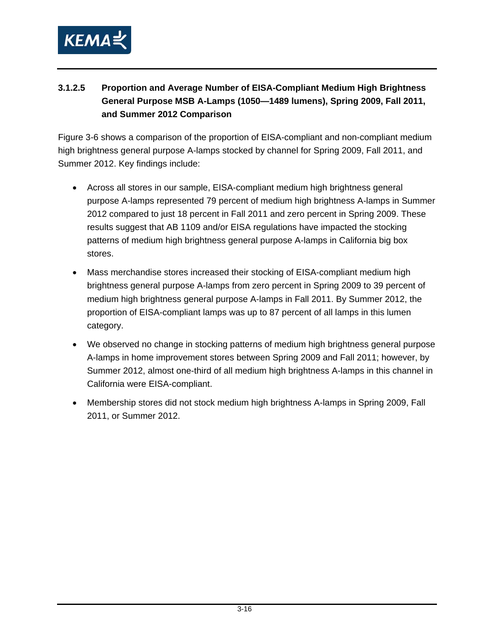

## **3.1.2.5 Proportion and Average Number of EISA-Compliant Medium High Brightness General Purpose MSB A-Lamps (1050—1489 lumens), Spring 2009, Fall 2011, and Summer 2012 Comparison**

Figure 3-6 shows a comparison of the proportion of EISA-compliant and non-compliant medium high brightness general purpose A-lamps stocked by channel for Spring 2009, Fall 2011, and Summer 2012. Key findings include:

- Across all stores in our sample, EISA-compliant medium high brightness general purpose A-lamps represented 79 percent of medium high brightness A-lamps in Summer 2012 compared to just 18 percent in Fall 2011 and zero percent in Spring 2009. These results suggest that AB 1109 and/or EISA regulations have impacted the stocking patterns of medium high brightness general purpose A-lamps in California big box stores.
- Mass merchandise stores increased their stocking of EISA-compliant medium high brightness general purpose A-lamps from zero percent in Spring 2009 to 39 percent of medium high brightness general purpose A-lamps in Fall 2011. By Summer 2012, the proportion of EISA-compliant lamps was up to 87 percent of all lamps in this lumen category.
- We observed no change in stocking patterns of medium high brightness general purpose A-lamps in home improvement stores between Spring 2009 and Fall 2011; however, by Summer 2012, almost one-third of all medium high brightness A-lamps in this channel in California were EISA-compliant.
- Membership stores did not stock medium high brightness A-lamps in Spring 2009, Fall 2011, or Summer 2012.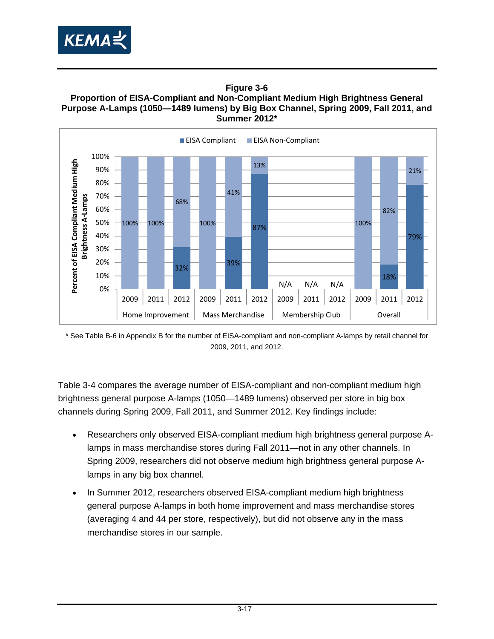

#### **Figure 3-6 Proportion of EISA-Compliant and Non-Compliant Medium High Brightness General Purpose A-Lamps (1050—1489 lumens) by Big Box Channel, Spring 2009, Fall 2011, and Summer 2012\***



\* See Table B-6 in Appendix B for the number of EISA-compliant and non-compliant A-lamps by retail channel for 2009, 2011, and 2012.

Table 3-4 compares the average number of EISA-compliant and non-compliant medium high brightness general purpose A-lamps (1050—1489 lumens) observed per store in big box channels during Spring 2009, Fall 2011, and Summer 2012. Key findings include:

- Researchers only observed EISA-compliant medium high brightness general purpose Alamps in mass merchandise stores during Fall 2011—not in any other channels. In Spring 2009, researchers did not observe medium high brightness general purpose Alamps in any big box channel.
- In Summer 2012, researchers observed EISA-compliant medium high brightness general purpose A-lamps in both home improvement and mass merchandise stores (averaging 4 and 44 per store, respectively), but did not observe any in the mass merchandise stores in our sample.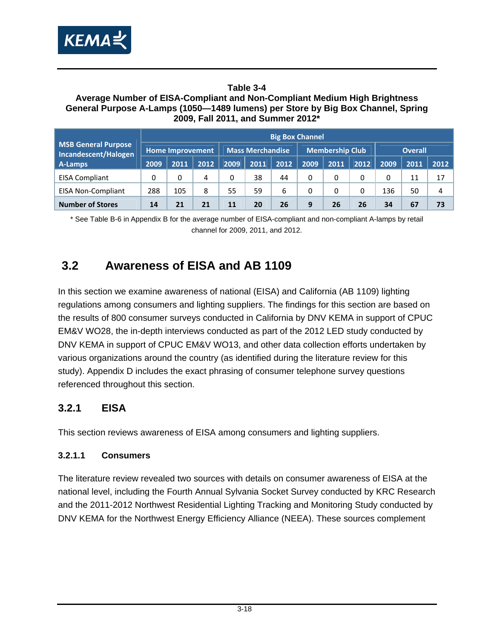

#### **Table 3-4**

#### **Average Number of EISA-Compliant and Non-Compliant Medium High Brightness General Purpose A-Lamps (1050—1489 lumens) per Store by Big Box Channel, Spring 2009, Fall 2011, and Summer 2012\***

|                                                    | <b>Big Box Channel</b>  |      |      |                         |      |      |                        |      |      |                |      |      |
|----------------------------------------------------|-------------------------|------|------|-------------------------|------|------|------------------------|------|------|----------------|------|------|
| <b>MSB General Purpose</b><br>Incandescent/Halogen | <b>Home Improvement</b> |      |      | <b>Mass Merchandise</b> |      |      | <b>Membership Club</b> |      |      | <b>Overall</b> |      |      |
| A-Lamps                                            | 2009                    | 2011 | 2012 | 2009                    | 2011 | 2012 | 2009                   | 2011 | 2012 | 2009           | 2011 | 2012 |
| <b>EISA Compliant</b>                              | 0                       | 0    | 4    | 0                       | 38   | 44   | 0                      | 0    | 0    | 0              | 11   | 17   |
| <b>EISA Non-Compliant</b>                          | 288                     | 105  | 8    | 55                      | 59   | 6    | $\Omega$               | 0    | 0    | 136            | 50   | 4    |
| <b>Number of Stores</b>                            | 14                      | 21   | 21   | 11                      | 20   | 26   | 9                      | 26   | 26   | 34             | 67   | 73   |

\* See Table B-6 in Appendix B for the average number of EISA-compliant and non-compliant A-lamps by retail channel for 2009, 2011, and 2012.

# **3.2 Awareness of EISA and AB 1109**

In this section we examine awareness of national (EISA) and California (AB 1109) lighting regulations among consumers and lighting suppliers. The findings for this section are based on the results of 800 consumer surveys conducted in California by DNV KEMA in support of CPUC EM&V WO28, the in-depth interviews conducted as part of the 2012 LED study conducted by DNV KEMA in support of CPUC EM&V WO13, and other data collection efforts undertaken by various organizations around the country (as identified during the literature review for this study). Appendix D includes the exact phrasing of consumer telephone survey questions referenced throughout this section.

## **3.2.1 EISA**

This section reviews awareness of EISA among consumers and lighting suppliers.

### **3.2.1.1 Consumers**

The literature review revealed two sources with details on consumer awareness of EISA at the national level, including the Fourth Annual Sylvania Socket Survey conducted by KRC Research and the 2011-2012 Northwest Residential Lighting Tracking and Monitoring Study conducted by DNV KEMA for the Northwest Energy Efficiency Alliance (NEEA). These sources complement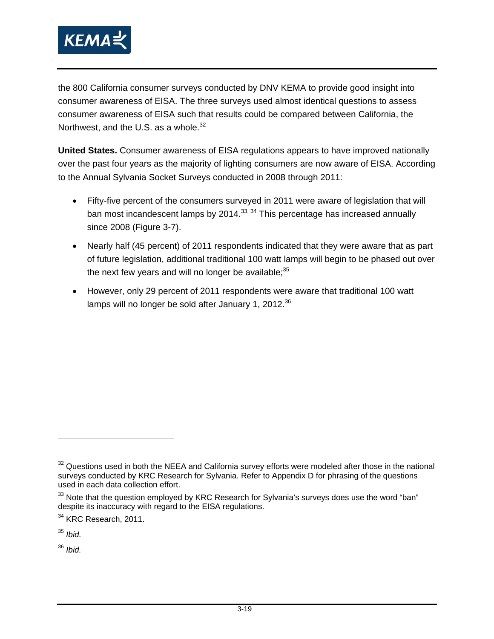

the 800 California consumer surveys conducted by DNV KEMA to provide good insight into consumer awareness of EISA. The three surveys used almost identical questions to assess consumer awareness of EISA such that results could be compared between California, the Northwest, and the U.S. as a whole.<sup>32</sup>

**United States.** Consumer awareness of EISA regulations appears to have improved nationally over the past four years as the majority of lighting consumers are now aware of EISA. According to the Annual Sylvania Socket Surveys conducted in 2008 through 2011:

- Fifty-five percent of the consumers surveyed in 2011 were aware of legislation that will ban most incandescent lamps by 2014.<sup>33, 34</sup> This percentage has increased annually since 2008 (Figure 3-7).
- Nearly half (45 percent) of 2011 respondents indicated that they were aware that as part of future legislation, additional traditional 100 watt lamps will begin to be phased out over the next few years and will no longer be available; $35$
- However, only 29 percent of 2011 respondents were aware that traditional 100 watt lamps will no longer be sold after January 1, 2012.<sup>36</sup>

<sup>35</sup> *Ibid.*

<sup>36</sup> *Ibid.*

 $32$  Questions used in both the NEEA and California survey efforts were modeled after those in the national surveys conducted by KRC Research for Sylvania. Refer to Appendix D for phrasing of the questions used in each data collection effort.

<sup>&</sup>lt;sup>33</sup> Note that the question employed by KRC Research for Sylvania's surveys does use the word "ban" despite its inaccuracy with regard to the EISA regulations.

<sup>&</sup>lt;sup>34</sup> KRC Research, 2011.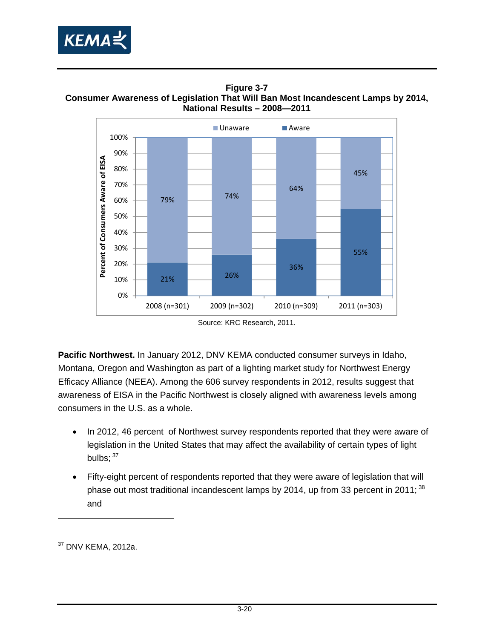

**Figure 3-7 Consumer Awareness of Legislation That Will Ban Most Incandescent Lamps by 2014, National Results – 2008—2011** 



Source: KRC Research, 2011.

**Pacific Northwest.** In January 2012, DNV KEMA conducted consumer surveys in Idaho, Montana, Oregon and Washington as part of a lighting market study for Northwest Energy Efficacy Alliance (NEEA). Among the 606 survey respondents in 2012, results suggest that awareness of EISA in the Pacific Northwest is closely aligned with awareness levels among consumers in the U.S. as a whole.

- In 2012, 46 percent of Northwest survey respondents reported that they were aware of legislation in the United States that may affect the availability of certain types of light bulbs:  $37$
- Fifty-eight percent of respondents reported that they were aware of legislation that will phase out most traditional incandescent lamps by 2014, up from 33 percent in 2011;  $38$ and

 $\overline{a}$ 

<sup>37</sup> DNV KEMA, 2012a.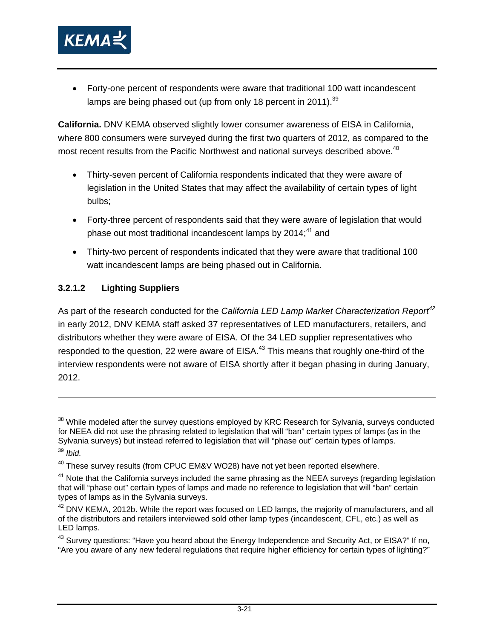

 Forty-one percent of respondents were aware that traditional 100 watt incandescent lamps are being phased out (up from only 18 percent in 2011).<sup>39</sup>

**California.** DNV KEMA observed slightly lower consumer awareness of EISA in California, where 800 consumers were surveyed during the first two quarters of 2012, as compared to the most recent results from the Pacific Northwest and national surveys described above.<sup>40</sup>

- Thirty-seven percent of California respondents indicated that they were aware of legislation in the United States that may affect the availability of certain types of light bulbs;
- Forty-three percent of respondents said that they were aware of legislation that would phase out most traditional incandescent lamps by 2014;<sup>41</sup> and
- Thirty-two percent of respondents indicated that they were aware that traditional 100 watt incandescent lamps are being phased out in California.

### **3.2.1.2 Lighting Suppliers**

-

As part of the research conducted for the *California LED Lamp Market Characterization Report<sup>42</sup>* in early 2012, DNV KEMA staff asked 37 representatives of LED manufacturers, retailers, and distributors whether they were aware of EISA. Of the 34 LED supplier representatives who responded to the question, 22 were aware of EISA. $43$  This means that roughly one-third of the interview respondents were not aware of EISA shortly after it began phasing in during January, 2012.

<sup>&</sup>lt;sup>38</sup> While modeled after the survey questions employed by KRC Research for Sylvania, surveys conducted for NEEA did not use the phrasing related to legislation that will "ban" certain types of lamps (as in the Sylvania surveys) but instead referred to legislation that will "phase out" certain types of lamps. <sup>39</sup> *Ibid.*

 $^{40}$  These survey results (from CPUC EM&V WO28) have not yet been reported elsewhere.

 $41$  Note that the California surveys included the same phrasing as the NEEA surveys (regarding legislation that will "phase out" certain types of lamps and made no reference to legislation that will "ban" certain types of lamps as in the Sylvania surveys.

<sup>&</sup>lt;sup>42</sup> DNV KEMA, 2012b. While the report was focused on LED lamps, the majority of manufacturers, and all of the distributors and retailers interviewed sold other lamp types (incandescent, CFL, etc.) as well as LED lamps.

<sup>&</sup>lt;sup>43</sup> Survey questions: "Have you heard about the Energy Independence and Security Act, or EISA?" If no, "Are you aware of any new federal regulations that require higher efficiency for certain types of lighting?"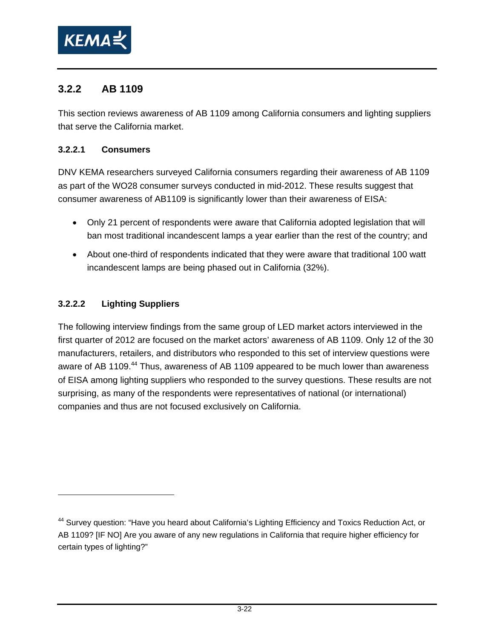

## **3.2.2 AB 1109**

This section reviews awareness of AB 1109 among California consumers and lighting suppliers that serve the California market.

#### **3.2.2.1 Consumers**

DNV KEMA researchers surveyed California consumers regarding their awareness of AB 1109 as part of the WO28 consumer surveys conducted in mid-2012. These results suggest that consumer awareness of AB1109 is significantly lower than their awareness of EISA:

- Only 21 percent of respondents were aware that California adopted legislation that will ban most traditional incandescent lamps a year earlier than the rest of the country; and
- About one-third of respondents indicated that they were aware that traditional 100 watt incandescent lamps are being phased out in California (32%).

#### **3.2.2.2 Lighting Suppliers**

-

The following interview findings from the same group of LED market actors interviewed in the first quarter of 2012 are focused on the market actors' awareness of AB 1109. Only 12 of the 30 manufacturers, retailers, and distributors who responded to this set of interview questions were aware of AB 1109.<sup>44</sup> Thus, awareness of AB 1109 appeared to be much lower than awareness of EISA among lighting suppliers who responded to the survey questions. These results are not surprising, as many of the respondents were representatives of national (or international) companies and thus are not focused exclusively on California.

<sup>&</sup>lt;sup>44</sup> Survey question: "Have you heard about California's Lighting Efficiency and Toxics Reduction Act, or AB 1109? [IF NO] Are you aware of any new regulations in California that require higher efficiency for certain types of lighting?"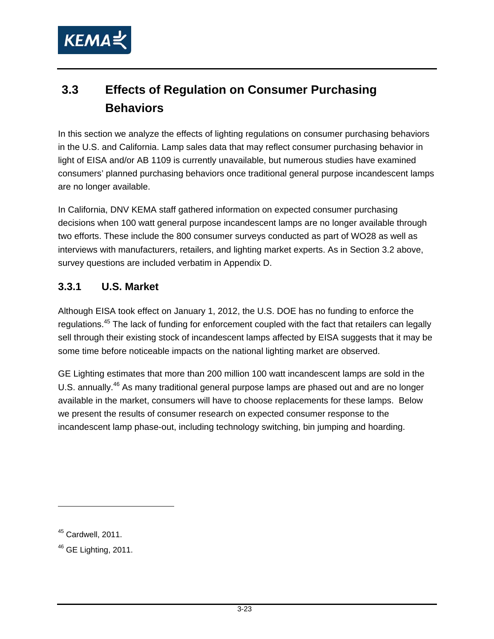

# **3.3 Effects of Regulation on Consumer Purchasing Behaviors**

In this section we analyze the effects of lighting regulations on consumer purchasing behaviors in the U.S. and California. Lamp sales data that may reflect consumer purchasing behavior in light of EISA and/or AB 1109 is currently unavailable, but numerous studies have examined consumers' planned purchasing behaviors once traditional general purpose incandescent lamps are no longer available.

In California, DNV KEMA staff gathered information on expected consumer purchasing decisions when 100 watt general purpose incandescent lamps are no longer available through two efforts. These include the 800 consumer surveys conducted as part of WO28 as well as interviews with manufacturers, retailers, and lighting market experts. As in Section 3.2 above, survey questions are included verbatim in Appendix D.

# **3.3.1 U.S. Market**

Although EISA took effect on January 1, 2012, the U.S. DOE has no funding to enforce the regulations.45 The lack of funding for enforcement coupled with the fact that retailers can legally sell through their existing stock of incandescent lamps affected by EISA suggests that it may be some time before noticeable impacts on the national lighting market are observed.

GE Lighting estimates that more than 200 million 100 watt incandescent lamps are sold in the U.S. annually.<sup>46</sup> As many traditional general purpose lamps are phased out and are no longer available in the market, consumers will have to choose replacements for these lamps. Below we present the results of consumer research on expected consumer response to the incandescent lamp phase-out, including technology switching, bin jumping and hoarding.

 $45$  Cardwell, 2011.

<sup>46</sup> GE Lighting, 2011.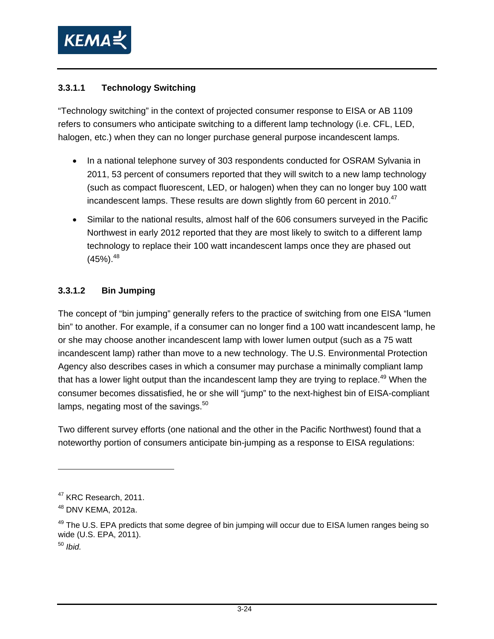

### **3.3.1.1 Technology Switching**

"Technology switching" in the context of projected consumer response to EISA or AB 1109 refers to consumers who anticipate switching to a different lamp technology (i.e. CFL, LED, halogen, etc.) when they can no longer purchase general purpose incandescent lamps.

- In a national telephone survey of 303 respondents conducted for OSRAM Sylvania in 2011, 53 percent of consumers reported that they will switch to a new lamp technology (such as compact fluorescent, LED, or halogen) when they can no longer buy 100 watt incandescent lamps. These results are down slightly from 60 percent in 2010.<sup>47</sup>
- Similar to the national results, almost half of the 606 consumers surveyed in the Pacific Northwest in early 2012 reported that they are most likely to switch to a different lamp technology to replace their 100 watt incandescent lamps once they are phased out  $(45\%)$ .  $48$

#### **3.3.1.2 Bin Jumping**

The concept of "bin jumping" generally refers to the practice of switching from one EISA "lumen bin" to another. For example, if a consumer can no longer find a 100 watt incandescent lamp, he or she may choose another incandescent lamp with lower lumen output (such as a 75 watt incandescent lamp) rather than move to a new technology. The U.S. Environmental Protection Agency also describes cases in which a consumer may purchase a minimally compliant lamp that has a lower light output than the incandescent lamp they are trying to replace.<sup>49</sup> When the consumer becomes dissatisfied, he or she will "jump" to the next-highest bin of EISA-compliant lamps, negating most of the savings.<sup>50</sup>

Two different survey efforts (one national and the other in the Pacific Northwest) found that a noteworthy portion of consumers anticipate bin-jumping as a response to EISA regulations:

-

<sup>&</sup>lt;sup>47</sup> KRC Research, 2011.

<sup>48</sup> DNV KEMA, 2012a.

<sup>&</sup>lt;sup>49</sup> The U.S. EPA predicts that some degree of bin jumping will occur due to EISA lumen ranges being so wide (U.S. EPA, 2011).

<sup>50</sup> *Ibid.*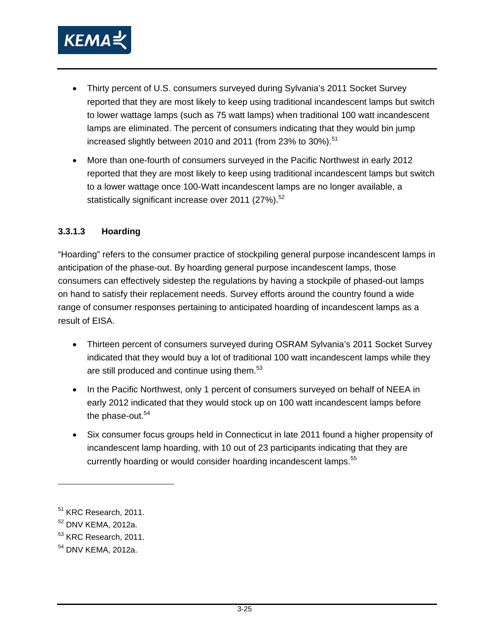

- Thirty percent of U.S. consumers surveyed during Sylvania's 2011 Socket Survey reported that they are most likely to keep using traditional incandescent lamps but switch to lower wattage lamps (such as 75 watt lamps) when traditional 100 watt incandescent lamps are eliminated. The percent of consumers indicating that they would bin jump increased slightly between 2010 and 2011 (from 23% to 30%). $51$
- More than one-fourth of consumers surveyed in the Pacific Northwest in early 2012 reported that they are most likely to keep using traditional incandescent lamps but switch to a lower wattage once 100-Watt incandescent lamps are no longer available, a statistically significant increase over 2011 (27%).<sup>52</sup>

#### **3.3.1.3 Hoarding**

"Hoarding" refers to the consumer practice of stockpiling general purpose incandescent lamps in anticipation of the phase-out. By hoarding general purpose incandescent lamps, those consumers can effectively sidestep the regulations by having a stockpile of phased-out lamps on hand to satisfy their replacement needs. Survey efforts around the country found a wide range of consumer responses pertaining to anticipated hoarding of incandescent lamps as a result of EISA.

- Thirteen percent of consumers surveyed during OSRAM Sylvania's 2011 Socket Survey indicated that they would buy a lot of traditional 100 watt incandescent lamps while they are still produced and continue using them.<sup>53</sup>
- In the Pacific Northwest, only 1 percent of consumers surveyed on behalf of NEEA in early 2012 indicated that they would stock up on 100 watt incandescent lamps before the phase-out.<sup>54</sup>
- Six consumer focus groups held in Connecticut in late 2011 found a higher propensity of incandescent lamp hoarding, with 10 out of 23 participants indicating that they are currently hoarding or would consider hoarding incandescent lamps.<sup>55</sup>

 $\overline{a}$ 

<sup>&</sup>lt;sup>51</sup> KRC Research, 2011.

<sup>52</sup> DNV KEMA, 2012a.

<sup>&</sup>lt;sup>53</sup> KRC Research, 2011.

<sup>54</sup> DNV KEMA, 2012a.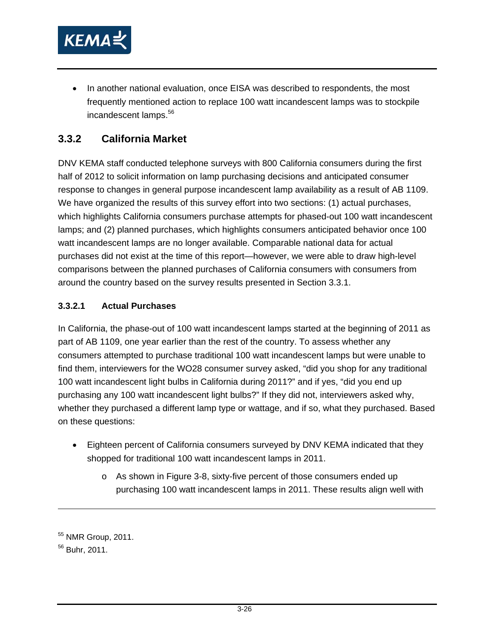

 In another national evaluation, once EISA was described to respondents, the most frequently mentioned action to replace 100 watt incandescent lamps was to stockpile incandescent lamps.<sup>56</sup>

# **3.3.2 California Market**

DNV KEMA staff conducted telephone surveys with 800 California consumers during the first half of 2012 to solicit information on lamp purchasing decisions and anticipated consumer response to changes in general purpose incandescent lamp availability as a result of AB 1109. We have organized the results of this survey effort into two sections: (1) actual purchases, which highlights California consumers purchase attempts for phased-out 100 watt incandescent lamps; and (2) planned purchases, which highlights consumers anticipated behavior once 100 watt incandescent lamps are no longer available. Comparable national data for actual purchases did not exist at the time of this report—however, we were able to draw high-level comparisons between the planned purchases of California consumers with consumers from around the country based on the survey results presented in Section 3.3.1.

#### **3.3.2.1 Actual Purchases**

In California, the phase-out of 100 watt incandescent lamps started at the beginning of 2011 as part of AB 1109, one year earlier than the rest of the country. To assess whether any consumers attempted to purchase traditional 100 watt incandescent lamps but were unable to find them, interviewers for the WO28 consumer survey asked, "did you shop for any traditional 100 watt incandescent light bulbs in California during 2011?" and if yes, "did you end up purchasing any 100 watt incandescent light bulbs?" If they did not, interviewers asked why, whether they purchased a different lamp type or wattage, and if so, what they purchased. Based on these questions:

- Eighteen percent of California consumers surveyed by DNV KEMA indicated that they shopped for traditional 100 watt incandescent lamps in 2011.
	- o As shown in Figure 3-8, sixty-five percent of those consumers ended up purchasing 100 watt incandescent lamps in 2011. These results align well with

-

<sup>55</sup> NMR Group, 2011.

<sup>56</sup> Buhr, 2011.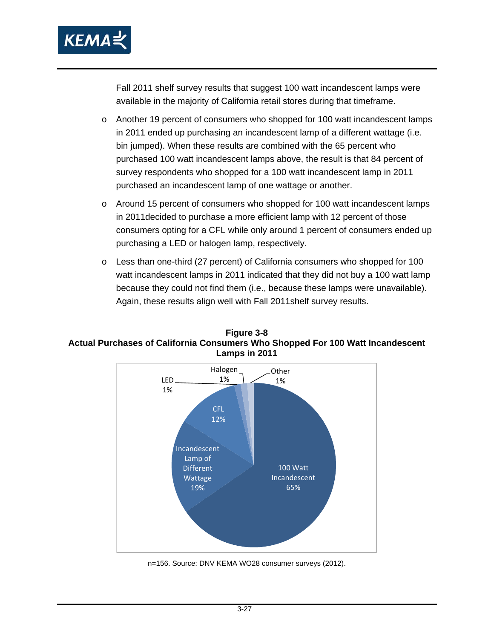

Fall 2011 shelf survey results that suggest 100 watt incandescent lamps were available in the majority of California retail stores during that timeframe.

- o Another 19 percent of consumers who shopped for 100 watt incandescent lamps in 2011 ended up purchasing an incandescent lamp of a different wattage (i.e. bin jumped). When these results are combined with the 65 percent who purchased 100 watt incandescent lamps above, the result is that 84 percent of survey respondents who shopped for a 100 watt incandescent lamp in 2011 purchased an incandescent lamp of one wattage or another.
- o Around 15 percent of consumers who shopped for 100 watt incandescent lamps in 2011decided to purchase a more efficient lamp with 12 percent of those consumers opting for a CFL while only around 1 percent of consumers ended up purchasing a LED or halogen lamp, respectively.
- o Less than one-third (27 percent) of California consumers who shopped for 100 watt incandescent lamps in 2011 indicated that they did not buy a 100 watt lamp because they could not find them (i.e., because these lamps were unavailable). Again, these results align well with Fall 2011shelf survey results.

**Figure 3-8 Actual Purchases of California Consumers Who Shopped For 100 Watt Incandescent Lamps in 2011**



n=156. Source: DNV KEMA WO28 consumer surveys (2012).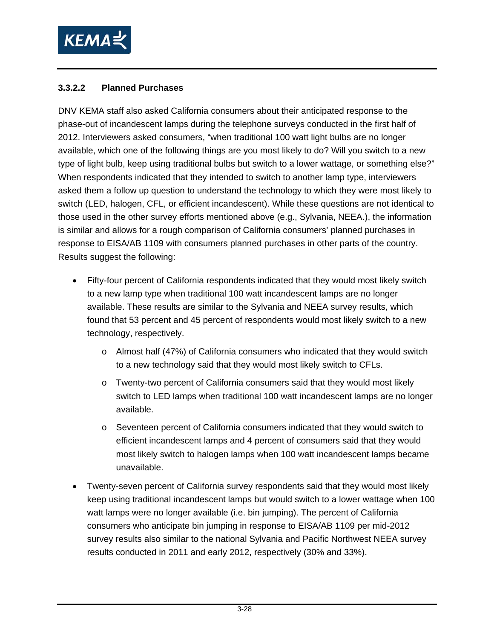

#### **3.3.2.2 Planned Purchases**

DNV KEMA staff also asked California consumers about their anticipated response to the phase-out of incandescent lamps during the telephone surveys conducted in the first half of 2012. Interviewers asked consumers, "when traditional 100 watt light bulbs are no longer available, which one of the following things are you most likely to do? Will you switch to a new type of light bulb, keep using traditional bulbs but switch to a lower wattage, or something else?" When respondents indicated that they intended to switch to another lamp type, interviewers asked them a follow up question to understand the technology to which they were most likely to switch (LED, halogen, CFL, or efficient incandescent). While these questions are not identical to those used in the other survey efforts mentioned above (e.g., Sylvania, NEEA.), the information is similar and allows for a rough comparison of California consumers' planned purchases in response to EISA/AB 1109 with consumers planned purchases in other parts of the country. Results suggest the following:

- Fifty-four percent of California respondents indicated that they would most likely switch to a new lamp type when traditional 100 watt incandescent lamps are no longer available. These results are similar to the Sylvania and NEEA survey results, which found that 53 percent and 45 percent of respondents would most likely switch to a new technology, respectively.
	- o Almost half (47%) of California consumers who indicated that they would switch to a new technology said that they would most likely switch to CFLs.
	- o Twenty-two percent of California consumers said that they would most likely switch to LED lamps when traditional 100 watt incandescent lamps are no longer available.
	- o Seventeen percent of California consumers indicated that they would switch to efficient incandescent lamps and 4 percent of consumers said that they would most likely switch to halogen lamps when 100 watt incandescent lamps became unavailable.
- Twenty-seven percent of California survey respondents said that they would most likely keep using traditional incandescent lamps but would switch to a lower wattage when 100 watt lamps were no longer available (i.e. bin jumping). The percent of California consumers who anticipate bin jumping in response to EISA/AB 1109 per mid-2012 survey results also similar to the national Sylvania and Pacific Northwest NEEA survey results conducted in 2011 and early 2012, respectively (30% and 33%).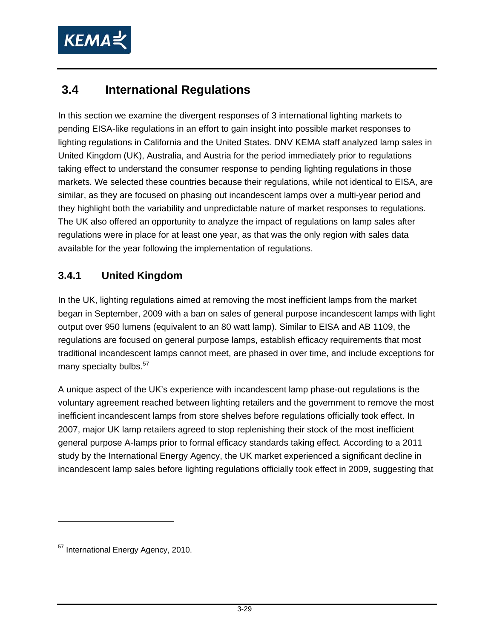

# **3.4 International Regulations**

In this section we examine the divergent responses of 3 international lighting markets to pending EISA-like regulations in an effort to gain insight into possible market responses to lighting regulations in California and the United States. DNV KEMA staff analyzed lamp sales in United Kingdom (UK), Australia, and Austria for the period immediately prior to regulations taking effect to understand the consumer response to pending lighting regulations in those markets. We selected these countries because their regulations, while not identical to EISA, are similar, as they are focused on phasing out incandescent lamps over a multi-year period and they highlight both the variability and unpredictable nature of market responses to regulations. The UK also offered an opportunity to analyze the impact of regulations on lamp sales after regulations were in place for at least one year, as that was the only region with sales data available for the year following the implementation of regulations.

# **3.4.1 United Kingdom**

In the UK, lighting regulations aimed at removing the most inefficient lamps from the market began in September, 2009 with a ban on sales of general purpose incandescent lamps with light output over 950 lumens (equivalent to an 80 watt lamp). Similar to EISA and AB 1109, the regulations are focused on general purpose lamps, establish efficacy requirements that most traditional incandescent lamps cannot meet, are phased in over time, and include exceptions for many specialty bulbs.<sup>57</sup>

A unique aspect of the UK's experience with incandescent lamp phase-out regulations is the voluntary agreement reached between lighting retailers and the government to remove the most inefficient incandescent lamps from store shelves before regulations officially took effect. In 2007, major UK lamp retailers agreed to stop replenishing their stock of the most inefficient general purpose A-lamps prior to formal efficacy standards taking effect. According to a 2011 study by the International Energy Agency, the UK market experienced a significant decline in incandescent lamp sales before lighting regulations officially took effect in 2009, suggesting that

-

<sup>&</sup>lt;sup>57</sup> International Energy Agency, 2010.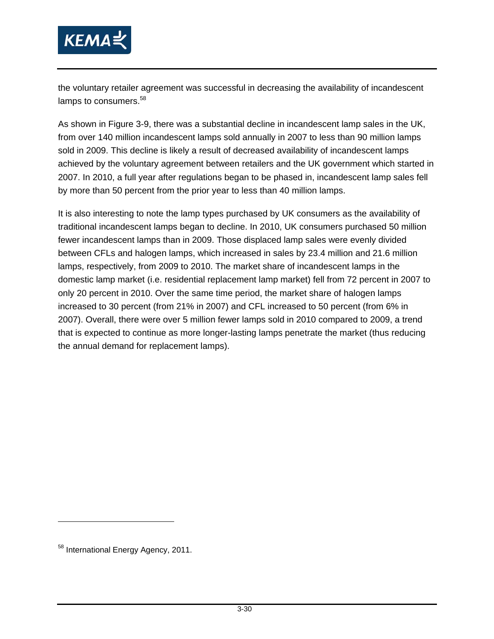

the voluntary retailer agreement was successful in decreasing the availability of incandescent lamps to consumers.<sup>58</sup>

As shown in Figure 3-9, there was a substantial decline in incandescent lamp sales in the UK, from over 140 million incandescent lamps sold annually in 2007 to less than 90 million lamps sold in 2009. This decline is likely a result of decreased availability of incandescent lamps achieved by the voluntary agreement between retailers and the UK government which started in 2007. In 2010, a full year after regulations began to be phased in, incandescent lamp sales fell by more than 50 percent from the prior year to less than 40 million lamps.

It is also interesting to note the lamp types purchased by UK consumers as the availability of traditional incandescent lamps began to decline. In 2010, UK consumers purchased 50 million fewer incandescent lamps than in 2009. Those displaced lamp sales were evenly divided between CFLs and halogen lamps, which increased in sales by 23.4 million and 21.6 million lamps, respectively, from 2009 to 2010. The market share of incandescent lamps in the domestic lamp market (i.e. residential replacement lamp market) fell from 72 percent in 2007 to only 20 percent in 2010. Over the same time period, the market share of halogen lamps increased to 30 percent (from 21% in 2007) and CFL increased to 50 percent (from 6% in 2007). Overall, there were over 5 million fewer lamps sold in 2010 compared to 2009, a trend that is expected to continue as more longer-lasting lamps penetrate the market (thus reducing the annual demand for replacement lamps).

 $\overline{a}$ 

<sup>58</sup> International Energy Agency, 2011.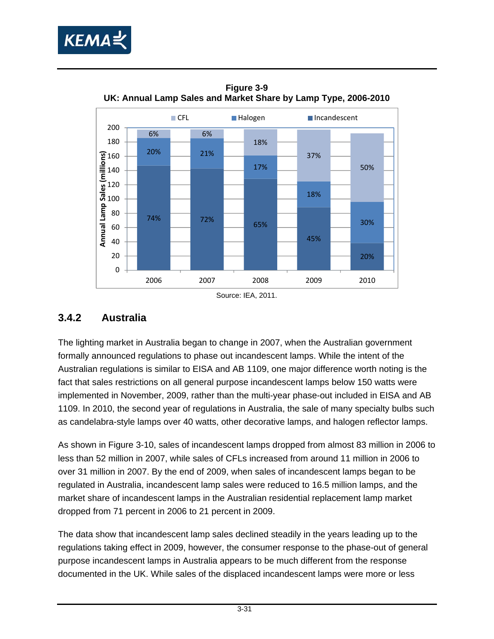



**Figure 3-9 UK: Annual Lamp Sales and Market Share by Lamp Type, 2006-2010** 

## **3.4.2 Australia**

The lighting market in Australia began to change in 2007, when the Australian government formally announced regulations to phase out incandescent lamps. While the intent of the Australian regulations is similar to EISA and AB 1109, one major difference worth noting is the fact that sales restrictions on all general purpose incandescent lamps below 150 watts were implemented in November, 2009, rather than the multi-year phase-out included in EISA and AB 1109. In 2010, the second year of regulations in Australia, the sale of many specialty bulbs such as candelabra-style lamps over 40 watts, other decorative lamps, and halogen reflector lamps.

As shown in Figure 3-10, sales of incandescent lamps dropped from almost 83 million in 2006 to less than 52 million in 2007, while sales of CFLs increased from around 11 million in 2006 to over 31 million in 2007. By the end of 2009, when sales of incandescent lamps began to be regulated in Australia, incandescent lamp sales were reduced to 16.5 million lamps, and the market share of incandescent lamps in the Australian residential replacement lamp market dropped from 71 percent in 2006 to 21 percent in 2009.

The data show that incandescent lamp sales declined steadily in the years leading up to the regulations taking effect in 2009, however, the consumer response to the phase-out of general purpose incandescent lamps in Australia appears to be much different from the response documented in the UK. While sales of the displaced incandescent lamps were more or less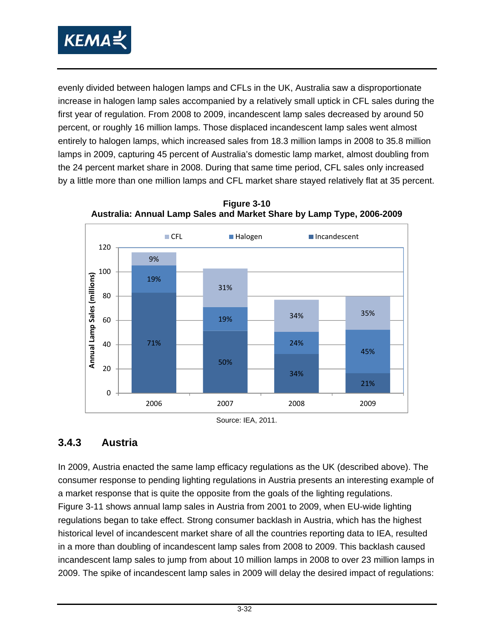

evenly divided between halogen lamps and CFLs in the UK, Australia saw a disproportionate increase in halogen lamp sales accompanied by a relatively small uptick in CFL sales during the first year of regulation. From 2008 to 2009, incandescent lamp sales decreased by around 50 percent, or roughly 16 million lamps. Those displaced incandescent lamp sales went almost entirely to halogen lamps, which increased sales from 18.3 million lamps in 2008 to 35.8 million lamps in 2009, capturing 45 percent of Australia's domestic lamp market, almost doubling from the 24 percent market share in 2008. During that same time period, CFL sales only increased by a little more than one million lamps and CFL market share stayed relatively flat at 35 percent.



**Figure 3-10 Australia: Annual Lamp Sales and Market Share by Lamp Type, 2006-2009** 

# **3.4.3 Austria**

In 2009, Austria enacted the same lamp efficacy regulations as the UK (described above). The consumer response to pending lighting regulations in Austria presents an interesting example of a market response that is quite the opposite from the goals of the lighting regulations. Figure 3-11 shows annual lamp sales in Austria from 2001 to 2009, when EU-wide lighting regulations began to take effect. Strong consumer backlash in Austria, which has the highest historical level of incandescent market share of all the countries reporting data to IEA, resulted in a more than doubling of incandescent lamp sales from 2008 to 2009. This backlash caused incandescent lamp sales to jump from about 10 million lamps in 2008 to over 23 million lamps in 2009. The spike of incandescent lamp sales in 2009 will delay the desired impact of regulations:

Source: IEA, 2011.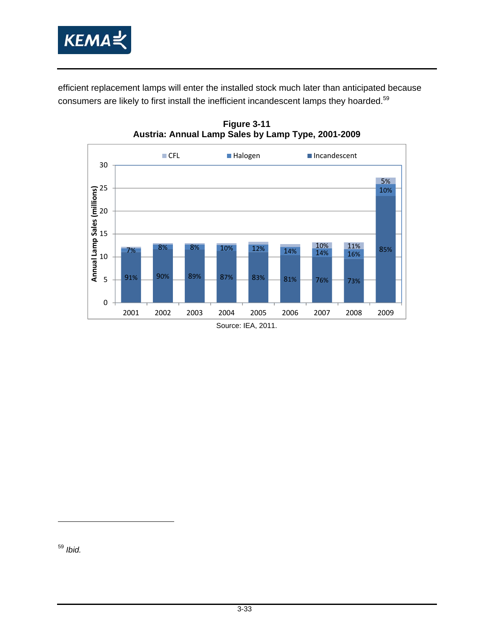

efficient replacement lamps will enter the installed stock much later than anticipated because consumers are likely to first install the inefficient incandescent lamps they hoarded.<sup>59</sup>



**Figure 3-11 Austria: Annual Lamp Sales by Lamp Type, 2001-2009** 

<sup>59</sup> *Ibid.* 

 $\overline{a}$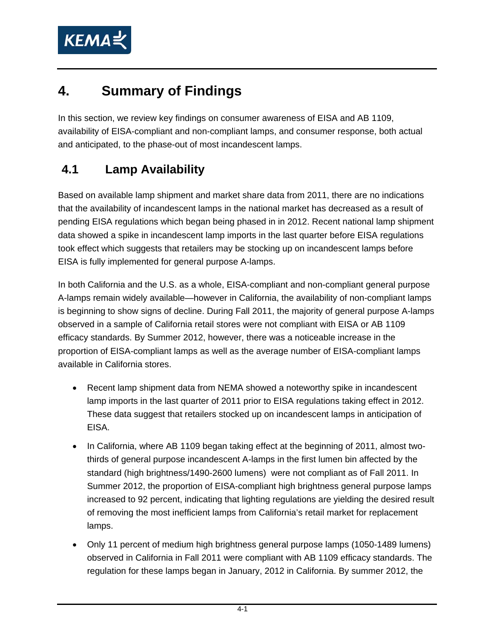

# **4. Summary of Findings**

In this section, we review key findings on consumer awareness of EISA and AB 1109, availability of EISA-compliant and non-compliant lamps, and consumer response, both actual and anticipated, to the phase-out of most incandescent lamps.

# **4.1 Lamp Availability**

Based on available lamp shipment and market share data from 2011, there are no indications that the availability of incandescent lamps in the national market has decreased as a result of pending EISA regulations which began being phased in in 2012. Recent national lamp shipment data showed a spike in incandescent lamp imports in the last quarter before EISA regulations took effect which suggests that retailers may be stocking up on incandescent lamps before EISA is fully implemented for general purpose A-lamps.

In both California and the U.S. as a whole, EISA-compliant and non-compliant general purpose A-lamps remain widely available—however in California, the availability of non-compliant lamps is beginning to show signs of decline. During Fall 2011, the majority of general purpose A-lamps observed in a sample of California retail stores were not compliant with EISA or AB 1109 efficacy standards. By Summer 2012, however, there was a noticeable increase in the proportion of EISA-compliant lamps as well as the average number of EISA-compliant lamps available in California stores.

- Recent lamp shipment data from NEMA showed a noteworthy spike in incandescent lamp imports in the last quarter of 2011 prior to EISA regulations taking effect in 2012. These data suggest that retailers stocked up on incandescent lamps in anticipation of EISA.
- In California, where AB 1109 began taking effect at the beginning of 2011, almost twothirds of general purpose incandescent A-lamps in the first lumen bin affected by the standard (high brightness/1490-2600 lumens) were not compliant as of Fall 2011. In Summer 2012, the proportion of EISA-compliant high brightness general purpose lamps increased to 92 percent, indicating that lighting regulations are yielding the desired result of removing the most inefficient lamps from California's retail market for replacement lamps.
- Only 11 percent of medium high brightness general purpose lamps (1050-1489 lumens) observed in California in Fall 2011 were compliant with AB 1109 efficacy standards. The regulation for these lamps began in January, 2012 in California. By summer 2012, the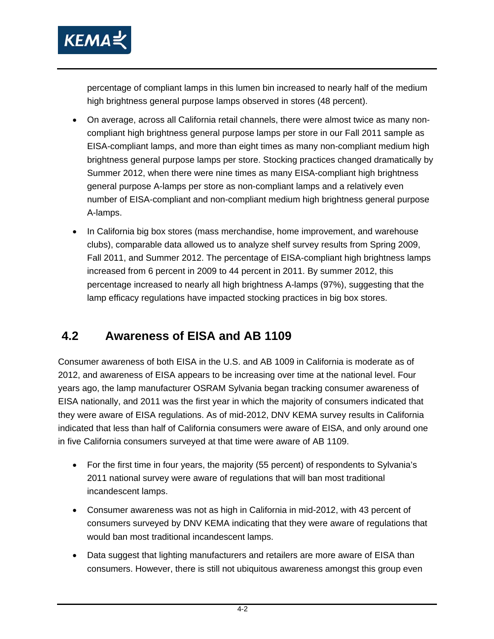

percentage of compliant lamps in this lumen bin increased to nearly half of the medium high brightness general purpose lamps observed in stores (48 percent).

- On average, across all California retail channels, there were almost twice as many noncompliant high brightness general purpose lamps per store in our Fall 2011 sample as EISA-compliant lamps, and more than eight times as many non-compliant medium high brightness general purpose lamps per store. Stocking practices changed dramatically by Summer 2012, when there were nine times as many EISA-compliant high brightness general purpose A-lamps per store as non-compliant lamps and a relatively even number of EISA-compliant and non-compliant medium high brightness general purpose A-lamps.
- In California big box stores (mass merchandise, home improvement, and warehouse clubs), comparable data allowed us to analyze shelf survey results from Spring 2009, Fall 2011, and Summer 2012. The percentage of EISA-compliant high brightness lamps increased from 6 percent in 2009 to 44 percent in 2011. By summer 2012, this percentage increased to nearly all high brightness A-lamps (97%), suggesting that the lamp efficacy regulations have impacted stocking practices in big box stores.

# **4.2 Awareness of EISA and AB 1109**

Consumer awareness of both EISA in the U.S. and AB 1009 in California is moderate as of 2012, and awareness of EISA appears to be increasing over time at the national level. Four years ago, the lamp manufacturer OSRAM Sylvania began tracking consumer awareness of EISA nationally, and 2011 was the first year in which the majority of consumers indicated that they were aware of EISA regulations. As of mid-2012, DNV KEMA survey results in California indicated that less than half of California consumers were aware of EISA, and only around one in five California consumers surveyed at that time were aware of AB 1109.

- For the first time in four years, the majority (55 percent) of respondents to Sylvania's 2011 national survey were aware of regulations that will ban most traditional incandescent lamps.
- Consumer awareness was not as high in California in mid-2012, with 43 percent of consumers surveyed by DNV KEMA indicating that they were aware of regulations that would ban most traditional incandescent lamps.
- Data suggest that lighting manufacturers and retailers are more aware of EISA than consumers. However, there is still not ubiquitous awareness amongst this group even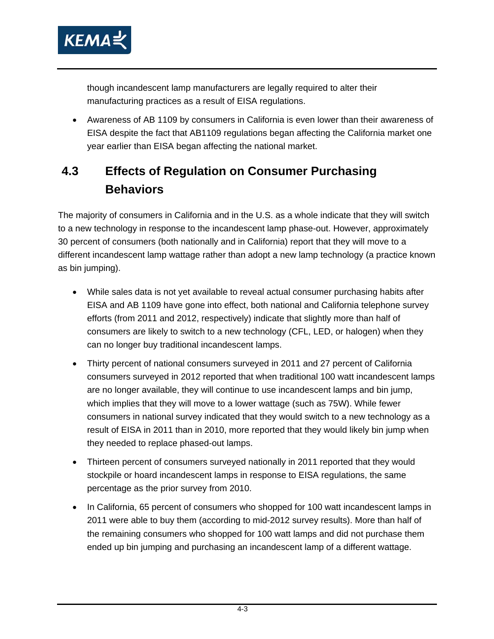

though incandescent lamp manufacturers are legally required to alter their manufacturing practices as a result of EISA regulations.

 Awareness of AB 1109 by consumers in California is even lower than their awareness of EISA despite the fact that AB1109 regulations began affecting the California market one year earlier than EISA began affecting the national market.

# **4.3 Effects of Regulation on Consumer Purchasing Behaviors**

The majority of consumers in California and in the U.S. as a whole indicate that they will switch to a new technology in response to the incandescent lamp phase-out. However, approximately 30 percent of consumers (both nationally and in California) report that they will move to a different incandescent lamp wattage rather than adopt a new lamp technology (a practice known as bin jumping).

- While sales data is not yet available to reveal actual consumer purchasing habits after EISA and AB 1109 have gone into effect, both national and California telephone survey efforts (from 2011 and 2012, respectively) indicate that slightly more than half of consumers are likely to switch to a new technology (CFL, LED, or halogen) when they can no longer buy traditional incandescent lamps.
- Thirty percent of national consumers surveyed in 2011 and 27 percent of California consumers surveyed in 2012 reported that when traditional 100 watt incandescent lamps are no longer available, they will continue to use incandescent lamps and bin jump, which implies that they will move to a lower wattage (such as 75W). While fewer consumers in national survey indicated that they would switch to a new technology as a result of EISA in 2011 than in 2010, more reported that they would likely bin jump when they needed to replace phased-out lamps.
- Thirteen percent of consumers surveyed nationally in 2011 reported that they would stockpile or hoard incandescent lamps in response to EISA regulations, the same percentage as the prior survey from 2010.
- In California, 65 percent of consumers who shopped for 100 watt incandescent lamps in 2011 were able to buy them (according to mid-2012 survey results). More than half of the remaining consumers who shopped for 100 watt lamps and did not purchase them ended up bin jumping and purchasing an incandescent lamp of a different wattage.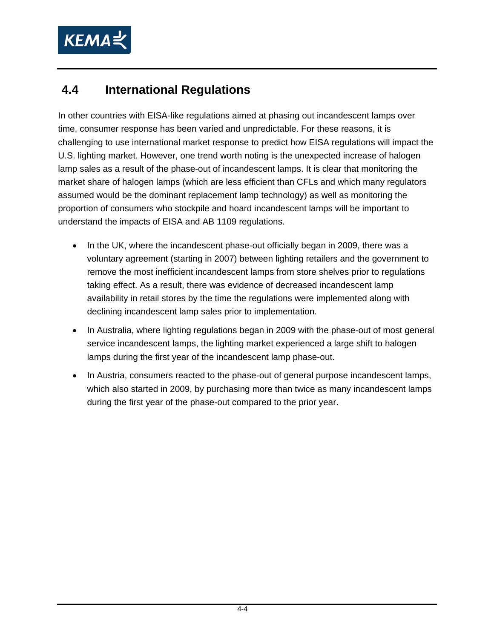

# **4.4 International Regulations**

In other countries with EISA-like regulations aimed at phasing out incandescent lamps over time, consumer response has been varied and unpredictable. For these reasons, it is challenging to use international market response to predict how EISA regulations will impact the U.S. lighting market. However, one trend worth noting is the unexpected increase of halogen lamp sales as a result of the phase-out of incandescent lamps. It is clear that monitoring the market share of halogen lamps (which are less efficient than CFLs and which many regulators assumed would be the dominant replacement lamp technology) as well as monitoring the proportion of consumers who stockpile and hoard incandescent lamps will be important to understand the impacts of EISA and AB 1109 regulations.

- In the UK, where the incandescent phase-out officially began in 2009, there was a voluntary agreement (starting in 2007) between lighting retailers and the government to remove the most inefficient incandescent lamps from store shelves prior to regulations taking effect. As a result, there was evidence of decreased incandescent lamp availability in retail stores by the time the regulations were implemented along with declining incandescent lamp sales prior to implementation.
- In Australia, where lighting regulations began in 2009 with the phase-out of most general service incandescent lamps, the lighting market experienced a large shift to halogen lamps during the first year of the incandescent lamp phase-out.
- In Austria, consumers reacted to the phase-out of general purpose incandescent lamps, which also started in 2009, by purchasing more than twice as many incandescent lamps during the first year of the phase-out compared to the prior year.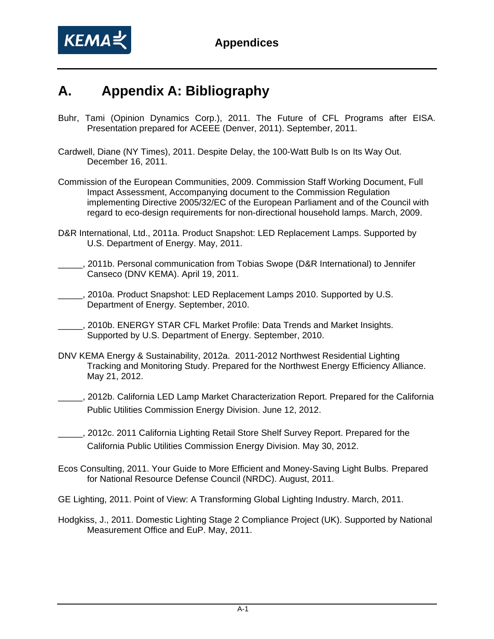

# **A. Appendix A: Bibliography**

- Buhr, Tami (Opinion Dynamics Corp.), 2011. The Future of CFL Programs after EISA. Presentation prepared for ACEEE (Denver, 2011). September, 2011.
- Cardwell, Diane (NY Times), 2011. Despite Delay, the 100-Watt Bulb Is on Its Way Out. December 16, 2011.
- Commission of the European Communities, 2009. Commission Staff Working Document, Full Impact Assessment, Accompanying document to the Commission Regulation implementing Directive 2005/32/EC of the European Parliament and of the Council with regard to eco-design requirements for non-directional household lamps. March, 2009.
- D&R International, Ltd., 2011a. Product Snapshot: LED Replacement Lamps. Supported by U.S. Department of Energy. May, 2011.
- \_\_\_\_\_, 2011b. Personal communication from Tobias Swope (D&R International) to Jennifer Canseco (DNV KEMA). April 19, 2011.
- \_\_\_\_\_, 2010a. Product Snapshot: LED Replacement Lamps 2010. Supported by U.S. Department of Energy. September, 2010.
- \_\_\_\_\_, 2010b. ENERGY STAR CFL Market Profile: Data Trends and Market Insights. Supported by U.S. Department of Energy. September, 2010.
- DNV KEMA Energy & Sustainability, 2012a. 2011-2012 Northwest Residential Lighting Tracking and Monitoring Study. Prepared for the Northwest Energy Efficiency Alliance. May 21, 2012.
- \_\_\_\_\_, 2012b. California LED Lamp Market Characterization Report. Prepared for the California Public Utilities Commission Energy Division. June 12, 2012.
- \_\_\_\_\_, 2012c. 2011 California Lighting Retail Store Shelf Survey Report. Prepared for the California Public Utilities Commission Energy Division. May 30, 2012.
- Ecos Consulting, 2011. Your Guide to More Efficient and Money-Saving Light Bulbs. Prepared for National Resource Defense Council (NRDC). August, 2011.
- GE Lighting, 2011. Point of View: A Transforming Global Lighting Industry. March, 2011.
- Hodgkiss, J., 2011. Domestic Lighting Stage 2 Compliance Project (UK). Supported by National Measurement Office and EuP. May, 2011.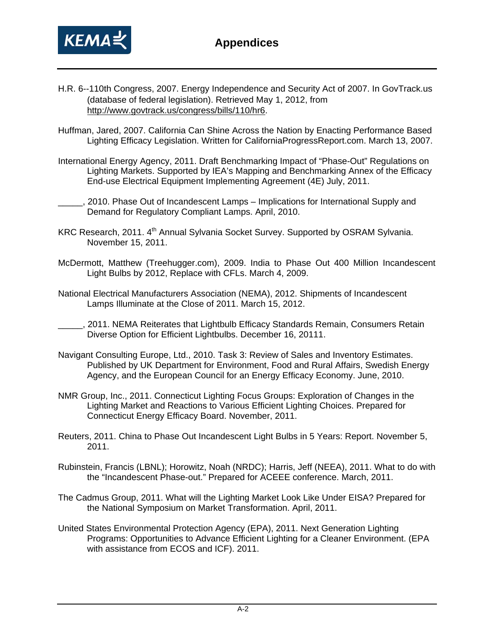

- H.R. 6--110th Congress, 2007. Energy Independence and Security Act of 2007. In GovTrack.us (database of federal legislation). Retrieved May 1, 2012, from http://www.govtrack.us/congress/bills/110/hr6.
- Huffman, Jared, 2007. California Can Shine Across the Nation by Enacting Performance Based Lighting Efficacy Legislation. Written for CaliforniaProgressReport.com. March 13, 2007.
- International Energy Agency, 2011. Draft Benchmarking Impact of "Phase-Out" Regulations on Lighting Markets. Supported by IEA's Mapping and Benchmarking Annex of the Efficacy End-use Electrical Equipment Implementing Agreement (4E) July, 2011.
- \_\_\_\_\_, 2010. Phase Out of Incandescent Lamps Implications for International Supply and Demand for Regulatory Compliant Lamps. April, 2010.
- KRC Research, 2011. 4<sup>th</sup> Annual Sylvania Socket Survey. Supported by OSRAM Sylvania. November 15, 2011.
- McDermott, Matthew (Treehugger.com), 2009. India to Phase Out 400 Million Incandescent Light Bulbs by 2012, Replace with CFLs. March 4, 2009.
- National Electrical Manufacturers Association (NEMA), 2012. Shipments of Incandescent Lamps Illuminate at the Close of 2011. March 15, 2012.
- \_\_\_\_\_, 2011. NEMA Reiterates that Lightbulb Efficacy Standards Remain, Consumers Retain Diverse Option for Efficient Lightbulbs. December 16, 20111.
- Navigant Consulting Europe, Ltd., 2010. Task 3: Review of Sales and Inventory Estimates. Published by UK Department for Environment, Food and Rural Affairs, Swedish Energy Agency, and the European Council for an Energy Efficacy Economy. June, 2010.
- NMR Group, Inc., 2011. Connecticut Lighting Focus Groups: Exploration of Changes in the Lighting Market and Reactions to Various Efficient Lighting Choices. Prepared for Connecticut Energy Efficacy Board. November, 2011.
- Reuters, 2011. China to Phase Out Incandescent Light Bulbs in 5 Years: Report. November 5, 2011.
- Rubinstein, Francis (LBNL); Horowitz, Noah (NRDC); Harris, Jeff (NEEA), 2011. What to do with the "Incandescent Phase-out." Prepared for ACEEE conference. March, 2011.
- The Cadmus Group, 2011. What will the Lighting Market Look Like Under EISA? Prepared for the National Symposium on Market Transformation. April, 2011.
- United States Environmental Protection Agency (EPA), 2011. Next Generation Lighting Programs: Opportunities to Advance Efficient Lighting for a Cleaner Environment. (EPA with assistance from ECOS and ICF). 2011.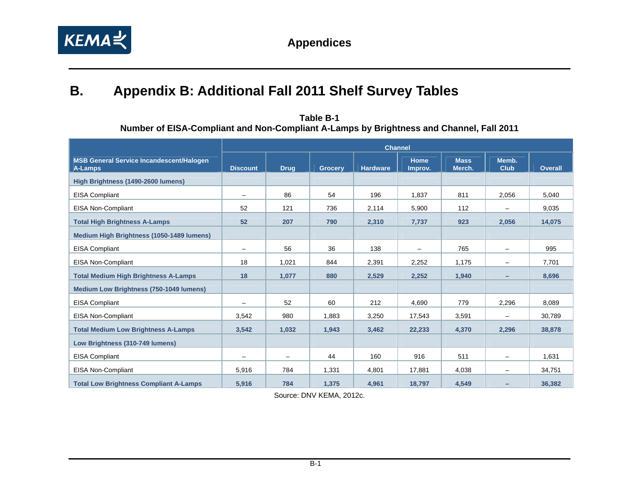

# **B. Appendix B: Additional Fall 2011 Shelf Survey Tables**

**Table B-1 Number of EISA-Compliant and Non-Compliant A-Lamps by Brightness and Channel, Fall 2011** 

|                                                            |                          | <b>Channel</b>    |         |                 |                        |                       |                      |                |  |  |  |
|------------------------------------------------------------|--------------------------|-------------------|---------|-----------------|------------------------|-----------------------|----------------------|----------------|--|--|--|
| <b>MSB General Service Incandescent/Halogen</b><br>A-Lamps | <b>Discount</b>          | <b>Drug</b>       | Grocery | <b>Hardware</b> | <b>Home</b><br>Improv. | <b>Mass</b><br>Merch. | Memb.<br><b>Club</b> | <b>Overall</b> |  |  |  |
| High Brightness (1490-2600 lumens)                         |                          |                   |         |                 |                        |                       |                      |                |  |  |  |
| <b>EISA Compliant</b>                                      | -                        | 86                | 54      | 196             | 1.837                  | 811                   | 2.056                | 5,040          |  |  |  |
| <b>EISA Non-Compliant</b>                                  | 52                       | 121               | 736     | 2,114           | 5,900                  | 112                   |                      | 9,035          |  |  |  |
| <b>Total High Brightness A-Lamps</b>                       | 52                       | 207               | 790     | 2,310           | 7,737                  | 923                   | 2,056                | 14,075         |  |  |  |
| Medium High Brightness (1050-1489 lumens)                  |                          |                   |         |                 |                        |                       |                      |                |  |  |  |
| <b>EISA Compliant</b>                                      |                          | 56                | 36      | 138             |                        | 765                   | -                    | 995            |  |  |  |
| <b>EISA Non-Compliant</b>                                  | 18                       | 1,021             | 844     | 2,391           | 2,252                  | 1,175                 | -                    | 7,701          |  |  |  |
| <b>Total Medium High Brightness A-Lamps</b>                | 18                       | 1,077             | 880     | 2,529           | 2,252                  | 1,940                 |                      | 8,696          |  |  |  |
| Medium Low Brightness (750-1049 lumens)                    |                          |                   |         |                 |                        |                       |                      |                |  |  |  |
| <b>EISA Compliant</b>                                      |                          | 52                | 60      | 212             | 4,690                  | 779                   | 2,296                | 8,089          |  |  |  |
| <b>EISA Non-Compliant</b>                                  | 3,542                    | 980               | 1,883   | 3,250           | 17,543                 | 3,591                 |                      | 30,789         |  |  |  |
| <b>Total Medium Low Brightness A-Lamps</b>                 | 3,542                    | 1,032             | 1,943   | 3,462           | 22,233                 | 4,370                 | 2,296                | 38,878         |  |  |  |
| Low Brightness (310-749 lumens)                            |                          |                   |         |                 |                        |                       |                      |                |  |  |  |
| <b>EISA Compliant</b>                                      | $\overline{\phantom{m}}$ | $\qquad \qquad -$ | 44      | 160             | 916                    | 511                   | $\qquad \qquad -$    | 1,631          |  |  |  |
| <b>EISA Non-Compliant</b>                                  | 5,916                    | 784               | 1,331   | 4,801           | 17,881                 | 4,038                 | -                    | 34,751         |  |  |  |
| <b>Total Low Brightness Compliant A-Lamps</b>              | 5,916                    | 784               | 1,375   | 4,961           | 18,797                 | 4,549                 | -                    | 36,382         |  |  |  |

Source: DNV KEMA, 2012c.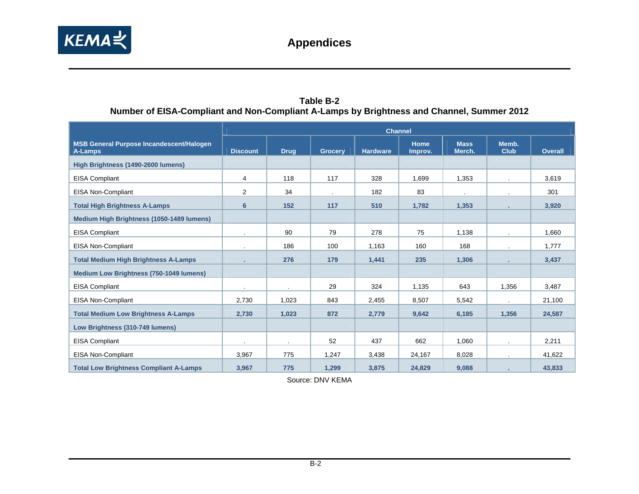

|                                                                                           | Table B-2 |  |  |
|-------------------------------------------------------------------------------------------|-----------|--|--|
| Number of EISA-Compliant and Non-Compliant A-Lamps by Brightness and Channel, Summer 2012 |           |  |  |

|                                                                   |                 |                |         |                 | <b>Channel</b>         |                       |                      |                |
|-------------------------------------------------------------------|-----------------|----------------|---------|-----------------|------------------------|-----------------------|----------------------|----------------|
| <b>MSB General Purpose Incandescent/Halogen</b><br><b>A-Lamps</b> | <b>Discount</b> | <b>Drug</b>    | Grocery | <b>Hardware</b> | <b>Home</b><br>Improv. | <b>Mass</b><br>Merch. | Memb.<br><b>Club</b> | <b>Overall</b> |
| High Brightness (1490-2600 lumens)                                |                 |                |         |                 |                        |                       |                      |                |
| <b>EISA Compliant</b>                                             | 4               | 118            | 117     | 328             | 1.699                  | 1,353                 | $\cdot$              | 3,619          |
| <b>EISA Non-Compliant</b>                                         | $\overline{2}$  | 34             |         | 182             | 83                     | $\blacksquare$        | $\cdot$              | 301            |
| <b>Total High Brightness A-Lamps</b>                              | 6               | 152            | 117     | 510             | 1,782                  | 1,353                 |                      | 3,920          |
| Medium High Brightness (1050-1489 lumens)                         |                 |                |         |                 |                        |                       |                      |                |
| <b>EISA Compliant</b>                                             | $\blacksquare$  | 90             | 79      | 278             | 75                     | 1,138                 | $\sim$               | 1,660          |
| <b>EISA Non-Compliant</b>                                         | $\cdot$         | 186            | 100     | 1,163           | 160                    | 168                   | $\sim$               | 1,777          |
| <b>Total Medium High Brightness A-Lamps</b>                       |                 | 276            | 179     | 1,441           | 235                    | 1,306                 |                      | 3,437          |
| Medium Low Brightness (750-1049 lumens)                           |                 |                |         |                 |                        |                       |                      |                |
| EISA Compliant                                                    | $\sim$          | $\blacksquare$ | 29      | 324             | 1,135                  | 643                   | 1,356                | 3,487          |
| <b>EISA Non-Compliant</b>                                         | 2,730           | 1,023          | 843     | 2,455           | 8,507                  | 5,542                 | $\cdot$              | 21,100         |
| <b>Total Medium Low Brightness A-Lamps</b>                        | 2,730           | 1,023          | 872     | 2,779           | 9,642                  | 6,185                 | 1,356                | 24,587         |
| Low Brightness (310-749 lumens)                                   |                 |                |         |                 |                        |                       |                      |                |
| <b>EISA Compliant</b>                                             | $\sim$          | $\sim$         | 52      | 437             | 662                    | 1,060                 | $\sim$               | 2,211          |
| <b>EISA Non-Compliant</b>                                         | 3,967           | 775            | 1,247   | 3,438           | 24,167                 | 8,028                 |                      | 41,622         |
| <b>Total Low Brightness Compliant A-Lamps</b>                     | 3,967           | 775            | 1,299   | 3,875           | 24,829                 | 9,088                 |                      | 43,833         |

Source: DNV KEMA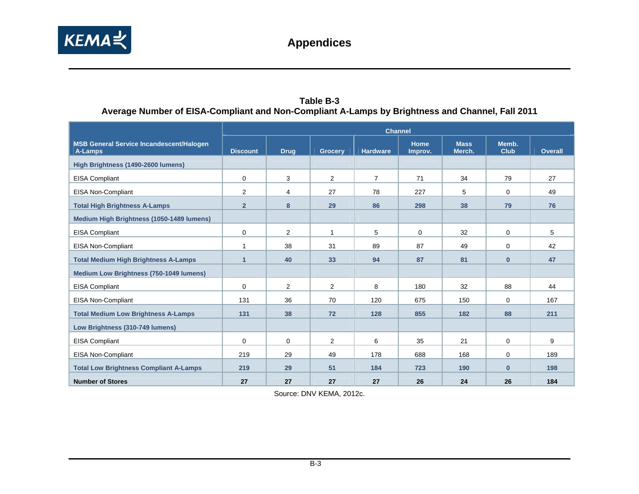

|                                                                                                 | Table B-3 |  |
|-------------------------------------------------------------------------------------------------|-----------|--|
| Average Number of EISA-Compliant and Non-Compliant A-Lamps by Brightness and Channel, Fall 2011 |           |  |

|                                                            |                 | <b>Channel</b> |                |                 |                        |                       |                      |                |  |  |  |
|------------------------------------------------------------|-----------------|----------------|----------------|-----------------|------------------------|-----------------------|----------------------|----------------|--|--|--|
| <b>MSB General Service Incandescent/Halogen</b><br>A-Lamps | <b>Discount</b> | <b>Drug</b>    | <b>Grocery</b> | <b>Hardware</b> | <b>Home</b><br>Improv. | <b>Mass</b><br>Merch. | Memb.<br><b>Club</b> | <b>Overall</b> |  |  |  |
| High Brightness (1490-2600 lumens)                         |                 |                |                |                 |                        |                       |                      |                |  |  |  |
| <b>EISA Compliant</b>                                      | $\mathbf 0$     | 3              | $\overline{2}$ | $\overline{7}$  | 71                     | 34                    | 79                   | 27             |  |  |  |
| <b>EISA Non-Compliant</b>                                  | 2               | 4              | 27             | 78              | 227                    | 5                     | 0                    | 49             |  |  |  |
| <b>Total High Brightness A-Lamps</b>                       | $\overline{2}$  | 8              | 29             | 86              | 298                    | 38                    | 79                   | 76             |  |  |  |
| Medium High Brightness (1050-1489 lumens)                  |                 |                |                |                 |                        |                       |                      |                |  |  |  |
| <b>EISA Compliant</b>                                      | $\Omega$        | 2              | $\mathbf{1}$   | 5               | $\Omega$               | 32                    | $\Omega$             | 5              |  |  |  |
| <b>EISA Non-Compliant</b>                                  | 1               | 38             | 31             | 89              | 87                     | 49                    | $\mathbf 0$          | 42             |  |  |  |
| <b>Total Medium High Brightness A-Lamps</b>                | $\mathbf{1}$    | 40             | 33             | 94              | 87                     | 81                    | $\mathbf{0}$         | 47             |  |  |  |
| <b>Medium Low Brightness (750-1049 lumens)</b>             |                 |                |                |                 |                        |                       |                      |                |  |  |  |
| <b>EISA Compliant</b>                                      | 0               | 2              | $\overline{2}$ | 8               | 180                    | 32                    | 88                   | 44             |  |  |  |
| <b>EISA Non-Compliant</b>                                  | 131             | 36             | 70             | 120             | 675                    | 150                   | 0                    | 167            |  |  |  |
| <b>Total Medium Low Brightness A-Lamps</b>                 | 131             | 38             | 72             | 128             | 855                    | 182                   | 88                   | 211            |  |  |  |
| Low Brightness (310-749 lumens)                            |                 |                |                |                 |                        |                       |                      |                |  |  |  |
| <b>EISA Compliant</b>                                      | 0               | $\mathbf 0$    | $\overline{2}$ | 6               | 35                     | 21                    | 0                    | 9              |  |  |  |
| <b>EISA Non-Compliant</b>                                  | 219             | 29             | 49             | 178             | 688                    | 168                   | 0                    | 189            |  |  |  |
| <b>Total Low Brightness Compliant A-Lamps</b>              | 219             | 29             | 51             | 184             | 723                    | 190                   | $\mathbf{0}$         | 198            |  |  |  |
| <b>Number of Stores</b>                                    | 27              | 27             | 27             | 27              | 26                     | 24                    | 26                   | 184            |  |  |  |

Source: DNV KEMA, 2012c.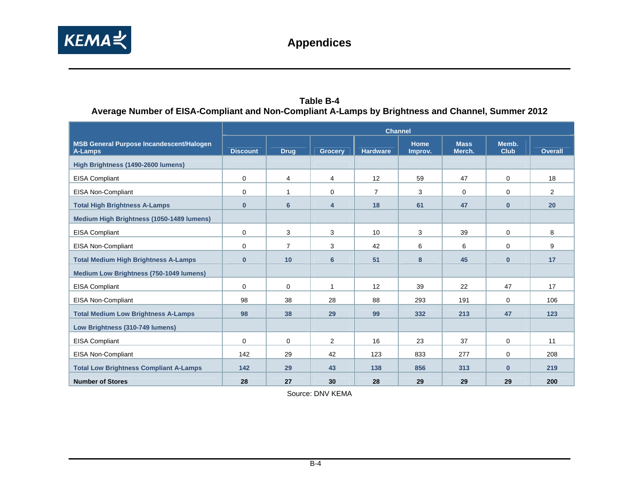

#### **Table B-4 Average Number of EISA-Compliant and Non-Compliant A-Lamps by Brightness and Channel, Summer 2012**

|                                                            |                 |                |                | <b>Channel</b>  |                        |                       |                      |                |
|------------------------------------------------------------|-----------------|----------------|----------------|-----------------|------------------------|-----------------------|----------------------|----------------|
| <b>MSB General Purpose Incandescent/Halogen</b><br>A-Lamps | <b>Discount</b> | <b>Drug</b>    | <b>Grocery</b> | <b>Hardware</b> | <b>Home</b><br>Improv. | <b>Mass</b><br>Merch. | Memb.<br><b>Club</b> | <b>Overall</b> |
| High Brightness (1490-2600 lumens)                         |                 |                |                |                 |                        |                       |                      |                |
| <b>EISA Compliant</b>                                      | 0               | 4              | $\overline{4}$ | 12              | 59                     | 47                    | $\mathbf 0$          | 18             |
| <b>EISA Non-Compliant</b>                                  | $\mathbf 0$     | 1              | $\mathbf 0$    | $\overline{7}$  | 3                      | $\mathbf 0$           | $\mathbf 0$          | $\overline{2}$ |
| <b>Total High Brightness A-Lamps</b>                       | 0               | $6\phantom{1}$ | 4              | 18              | 61                     | 47                    | $\mathbf{0}$         | 20             |
| Medium High Brightness (1050-1489 lumens)                  |                 |                |                |                 |                        |                       |                      |                |
| <b>EISA Compliant</b>                                      | 0               | 3              | 3              | 10              | 3                      | 39                    | $\mathbf 0$          | 8              |
| <b>EISA Non-Compliant</b>                                  | 0               | $\overline{7}$ | 3              | 42              | 6                      | 6                     | $\Omega$             | 9              |
| <b>Total Medium High Brightness A-Lamps</b>                | $\mathbf{0}$    | 10             | 6              | 51              | 8                      | 45                    | $\mathbf{0}$         | 17             |
| Medium Low Brightness (750-1049 lumens)                    |                 |                |                |                 |                        |                       |                      |                |
| <b>EISA Compliant</b>                                      | $\mathbf{0}$    | $\mathbf 0$    | $\mathbf{1}$   | 12              | 39                     | 22                    | 47                   | 17             |
| <b>EISA Non-Compliant</b>                                  | 98              | 38             | 28             | 88              | 293                    | 191                   | $\mathbf 0$          | 106            |
| <b>Total Medium Low Brightness A-Lamps</b>                 | 98              | 38             | 29             | 99              | 332                    | 213                   | 47                   | 123            |
| Low Brightness (310-749 lumens)                            |                 |                |                |                 |                        |                       |                      |                |
| <b>EISA Compliant</b>                                      | $\mathbf 0$     | $\mathbf 0$    | $\overline{2}$ | 16              | 23                     | 37                    | $\mathbf 0$          | 11             |
| <b>EISA Non-Compliant</b>                                  | 142             | 29             | 42             | 123             | 833                    | 277                   | 0                    | 208            |
| <b>Total Low Brightness Compliant A-Lamps</b>              | 142             | 29             | 43             | 138             | 856                    | 313                   | $\mathbf{0}$         | 219            |
| <b>Number of Stores</b>                                    | 28              | 27             | 30             | 28              | 29                     | 29                    | 29                   | 200            |

Source: DNV KEMA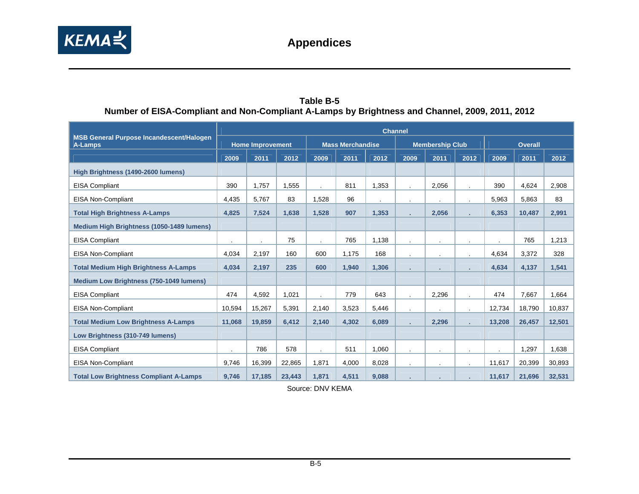

|                                                                                                | Table B-5 |  |  |
|------------------------------------------------------------------------------------------------|-----------|--|--|
| Number of EISA-Compliant and Non-Compliant A-Lamps by Brightness and Channel, 2009, 2011, 2012 |           |  |  |

|                                                                   |         |                         |        |         |                         | <b>Channel</b> |      |                        |                |                |        |        |
|-------------------------------------------------------------------|---------|-------------------------|--------|---------|-------------------------|----------------|------|------------------------|----------------|----------------|--------|--------|
| <b>MSB General Purpose Incandescent/Halogen</b><br><b>A-Lamps</b> |         | <b>Home Improvement</b> |        |         | <b>Mass Merchandise</b> |                |      | <b>Membership Club</b> |                | <b>Overall</b> |        |        |
|                                                                   | 2009    | 2011                    | 2012   | 2009    | 2011                    | 2012           | 2009 | 2011                   | 2012           | 2009           | 2011   | 2012   |
| High Brightness (1490-2600 lumens)                                |         |                         |        |         |                         |                |      |                        |                |                |        |        |
| <b>EISA Compliant</b>                                             | 390     | 1,757                   | 1,555  |         | 811                     | 1,353          |      | 2,056                  |                | 390            | 4,624  | 2,908  |
| <b>EISA Non-Compliant</b>                                         | 4,435   | 5,767                   | 83     | 1,528   | 96                      |                |      |                        |                | 5,963          | 5,863  | 83     |
| <b>Total High Brightness A-Lamps</b>                              | 4,825   | 7,524                   | 1.638  | 1.528   | 907                     | 1,353          |      | 2.056                  | ÷              | 6,353          | 10,487 | 2,991  |
| Medium High Brightness (1050-1489 lumens)                         |         |                         |        |         |                         |                |      |                        |                |                |        |        |
| <b>EISA Compliant</b>                                             | $\cdot$ |                         | 75     | $\cdot$ | 765                     | 1,138          |      |                        | $\cdot$        |                | 765    | 1,213  |
| <b>EISA Non-Compliant</b>                                         | 4,034   | 2,197                   | 160    | 600     | 1,175                   | 168            |      |                        | $\cdot$        | 4,634          | 3,372  | 328    |
| <b>Total Medium High Brightness A-Lamps</b>                       | 4,034   | 2,197                   | 235    | 600     | 1,940                   | 1,306          |      |                        |                | 4,634          | 4,137  | 1,541  |
| <b>Medium Low Brightness (750-1049 lumens)</b>                    |         |                         |        |         |                         |                |      |                        |                |                |        |        |
| <b>EISA Compliant</b>                                             | 474     | 4,592                   | 1.021  |         | 779                     | 643            |      | 2.296                  |                | 474            | 7,667  | 1,664  |
| <b>EISA Non-Compliant</b>                                         | 10,594  | 15,267                  | 5,391  | 2,140   | 3,523                   | 5,446          |      |                        | $\blacksquare$ | 12,734         | 18,790 | 10,837 |
| <b>Total Medium Low Brightness A-Lamps</b>                        | 11,068  | 19,859                  | 6,412  | 2,140   | 4,302                   | 6,089          |      | 2,296                  |                | 13,208         | 26,457 | 12,501 |
| Low Brightness (310-749 lumens)                                   |         |                         |        |         |                         |                |      |                        |                |                |        |        |
| <b>EISA Compliant</b>                                             | $\cdot$ | 786                     | 578    | $\cdot$ | 511                     | 1,060          |      |                        |                |                | 1,297  | 1,638  |
| EISA Non-Compliant                                                | 9,746   | 16,399                  | 22,865 | 1,871   | 4,000                   | 8,028          |      |                        |                | 11,617         | 20,399 | 30,893 |
| <b>Total Low Brightness Compliant A-Lamps</b>                     | 9,746   | 17,185                  | 23,443 | 1,871   | 4,511                   | 9,088          |      |                        |                | 11,617         | 21,696 | 32,531 |

Source: DNV KEMA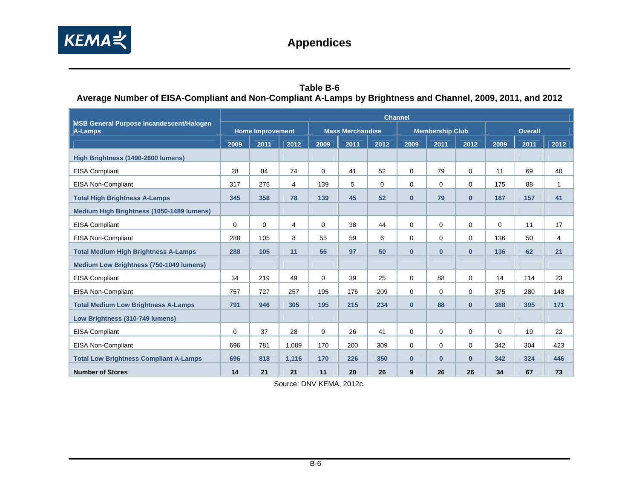

## **Table B-6**

## **Average Number of EISA-Compliant and Non-Compliant A-Lamps by Brightness and Channel, 2009, 2011, and 2012**

|                                                            | <b>Channel</b>          |      |       |                         |      |             |                        |              |              |                |      |                |
|------------------------------------------------------------|-------------------------|------|-------|-------------------------|------|-------------|------------------------|--------------|--------------|----------------|------|----------------|
| <b>MSB General Purpose Incandescent/Halogen</b><br>A-Lamps | <b>Home Improvement</b> |      |       | <b>Mass Merchandise</b> |      |             | <b>Membership Club</b> |              |              | <b>Overall</b> |      |                |
|                                                            | 2009                    | 2011 | 2012  | 2009                    | 2011 | 2012        | 2009                   | 2011         | 2012         | 2009           | 2011 | 2012           |
| High Brightness (1490-2600 lumens)                         |                         |      |       |                         |      |             |                        |              |              |                |      |                |
| <b>EISA Compliant</b>                                      | 28                      | 84   | 74    | $\Omega$                | 41   | 52          | $\Omega$               | 79           | $\Omega$     | 11             | 69   | 40             |
| <b>EISA Non-Compliant</b>                                  | 317                     | 275  | 4     | 139                     | 5    | $\mathbf 0$ | $\Omega$               | $\Omega$     | $\mathbf 0$  | 175            | 88   | $\mathbf{1}$   |
| <b>Total High Brightness A-Lamps</b>                       | 345                     | 358  | 78    | 139                     | 45   | 52          | $\bf{0}$               | 79           | $\mathbf{0}$ | 187            | 157  | 41             |
| Medium High Brightness (1050-1489 lumens)                  |                         |      |       |                         |      |             |                        |              |              |                |      |                |
| <b>EISA Compliant</b>                                      | $\mathbf 0$             | 0    | 4     | $\mathbf 0$             | 38   | 44          | $\mathbf 0$            | 0            | $\mathbf 0$  | 0              | 11   | 17             |
| <b>EISA Non-Compliant</b>                                  | 288                     | 105  | 8     | 55                      | 59   | 6           | $\mathbf 0$            | 0            | $\mathbf 0$  | 136            | 50   | $\overline{4}$ |
| <b>Total Medium High Brightness A-Lamps</b>                | 288                     | 105  | 11    | 55                      | 97   | 50          | $\bf{0}$               | $\bf{0}$     | $\mathbf{0}$ | 136            | 62   | 21             |
| <b>Medium Low Brightness (750-1049 lumens)</b>             |                         |      |       |                         |      |             |                        |              |              |                |      |                |
| <b>EISA Compliant</b>                                      | 34                      | 219  | 49    | $\Omega$                | 39   | 25          | $\Omega$               | 88           | $\mathbf 0$  | 14             | 114  | 23             |
| <b>EISA Non-Compliant</b>                                  | 757                     | 727  | 257   | 195                     | 176  | 209         | $\Omega$               | $\Omega$     | $\Omega$     | 375            | 280  | 148            |
| <b>Total Medium Low Brightness A-Lamps</b>                 | 791                     | 946  | 305   | 195                     | 215  | 234         | $\mathbf{0}$           | 88           | $\mathbf{0}$ | 388            | 395  | 171            |
| Low Brightness (310-749 lumens)                            |                         |      |       |                         |      |             |                        |              |              |                |      |                |
| <b>EISA Compliant</b>                                      | $\mathbf 0$             | 37   | 28    | $\Omega$                | 26   | 41          | $\mathbf 0$            | 0            | $\mathbf 0$  | $\Omega$       | 19   | 22             |
| EISA Non-Compliant                                         | 696                     | 781  | 1.089 | 170                     | 200  | 309         | $\mathbf 0$            | 0            | 0            | 342            | 304  | 423            |
| <b>Total Low Brightness Compliant A-Lamps</b>              | 696                     | 818  | 1,116 | 170                     | 226  | 350         | $\bf{0}$               | $\mathbf{0}$ | $\mathbf{0}$ | 342            | 324  | 446            |
| <b>Number of Stores</b>                                    | 14                      | 21   | 21    | 11                      | 20   | 26          | 9                      | 26           | 26           | 34             | 67   | 73             |

Source: DNV KEMA, 2012c.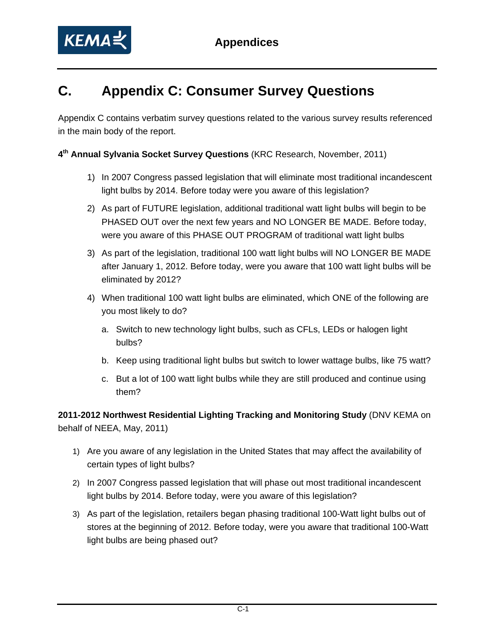

# **C. Appendix C: Consumer Survey Questions**

Appendix C contains verbatim survey questions related to the various survey results referenced in the main body of the report.

## **4th Annual Sylvania Socket Survey Questions** (KRC Research, November, 2011)

- 1) In 2007 Congress passed legislation that will eliminate most traditional incandescent light bulbs by 2014. Before today were you aware of this legislation?
- 2) As part of FUTURE legislation, additional traditional watt light bulbs will begin to be PHASED OUT over the next few years and NO LONGER BE MADE. Before today, were you aware of this PHASE OUT PROGRAM of traditional watt light bulbs
- 3) As part of the legislation, traditional 100 watt light bulbs will NO LONGER BE MADE after January 1, 2012. Before today, were you aware that 100 watt light bulbs will be eliminated by 2012?
- 4) When traditional 100 watt light bulbs are eliminated, which ONE of the following are you most likely to do?
	- a. Switch to new technology light bulbs, such as CFLs, LEDs or halogen light bulbs?
	- b. Keep using traditional light bulbs but switch to lower wattage bulbs, like 75 watt?
	- c. But a lot of 100 watt light bulbs while they are still produced and continue using them?

**2011-2012 Northwest Residential Lighting Tracking and Monitoring Study** (DNV KEMA on behalf of NEEA, May, 2011)

- 1) Are you aware of any legislation in the United States that may affect the availability of certain types of light bulbs?
- 2) In 2007 Congress passed legislation that will phase out most traditional incandescent light bulbs by 2014. Before today, were you aware of this legislation?
- 3) As part of the legislation, retailers began phasing traditional 100-Watt light bulbs out of stores at the beginning of 2012. Before today, were you aware that traditional 100-Watt light bulbs are being phased out?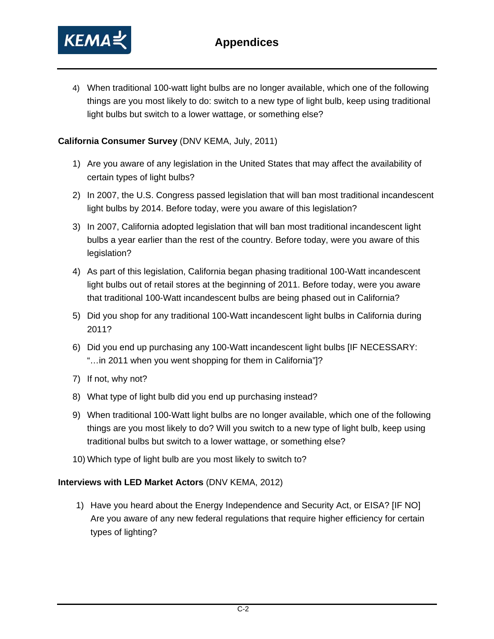

4) When traditional 100-watt light bulbs are no longer available, which one of the following things are you most likely to do: switch to a new type of light bulb, keep using traditional light bulbs but switch to a lower wattage, or something else?

## **California Consumer Survey** (DNV KEMA, July, 2011)

- 1) Are you aware of any legislation in the United States that may affect the availability of certain types of light bulbs?
- 2) In 2007, the U.S. Congress passed legislation that will ban most traditional incandescent light bulbs by 2014. Before today, were you aware of this legislation?
- 3) In 2007, California adopted legislation that will ban most traditional incandescent light bulbs a year earlier than the rest of the country. Before today, were you aware of this legislation?
- 4) As part of this legislation, California began phasing traditional 100-Watt incandescent light bulbs out of retail stores at the beginning of 2011. Before today, were you aware that traditional 100-Watt incandescent bulbs are being phased out in California?
- 5) Did you shop for any traditional 100-Watt incandescent light bulbs in California during 2011?
- 6) Did you end up purchasing any 100-Watt incandescent light bulbs [IF NECESSARY: "…in 2011 when you went shopping for them in California"]?
- 7) If not, why not?
- 8) What type of light bulb did you end up purchasing instead?
- 9) When traditional 100-Watt light bulbs are no longer available, which one of the following things are you most likely to do? Will you switch to a new type of light bulb, keep using traditional bulbs but switch to a lower wattage, or something else?
- 10) Which type of light bulb are you most likely to switch to?

#### **Interviews with LED Market Actors** (DNV KEMA, 2012)

1) Have you heard about the Energy Independence and Security Act, or EISA? [IF NO] Are you aware of any new federal regulations that require higher efficiency for certain types of lighting?